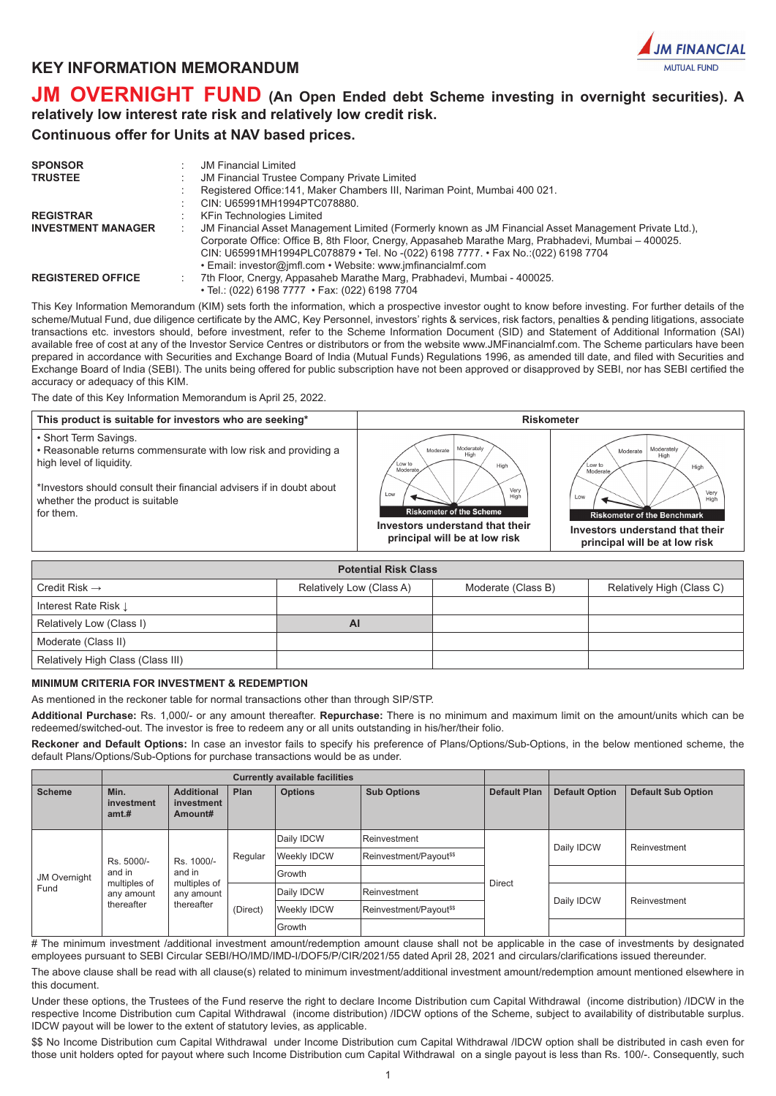



# **JM OVERNIGHT FUND (An Open Ended debt Scheme investing in overnight securities). A relatively low interest rate risk and relatively low credit risk.**

# **Continuous offer for Units at NAV based prices.**

| <b>SPONSOR</b><br><b>TRUSTEE</b> | <b>JM Financial Limited</b><br>JM Financial Trustee Company Private Limited<br>Registered Office: 141, Maker Chambers III, Nariman Point, Mumbai 400 021.<br>CIN: U65991MH1994PTC078880.                                                                                                                                                                              |
|----------------------------------|-----------------------------------------------------------------------------------------------------------------------------------------------------------------------------------------------------------------------------------------------------------------------------------------------------------------------------------------------------------------------|
| <b>REGISTRAR</b>                 | KFin Technologies Limited                                                                                                                                                                                                                                                                                                                                             |
| <b>INVESTMENT MANAGER</b>        | JM Financial Asset Management Limited (Formerly known as JM Financial Asset Management Private Ltd.),<br>÷<br>Corporate Office: Office B, 8th Floor, Cnergy, Appasaheb Marathe Marg, Prabhadevi, Mumbai - 400025.<br>CIN: U65991MH1994PLC078879 • Tel. No -(022) 6198 7777. • Fax No.: (022) 6198 7704<br>• Email: investor@jmfl.com • Website: www.jmfinancialmf.com |
| <b>REGISTERED OFFICE</b>         | 7th Floor, Cnergy, Appasaheb Marathe Marg, Prabhadevi, Mumbai - 400025.<br>• Tel.: (022) 6198 7777 • Fax: (022) 6198 7704                                                                                                                                                                                                                                             |

This Key Information Memorandum (KIM) sets forth the information, which a prospective investor ought to know before investing. For further details of the scheme/Mutual Fund, due diligence certificate by the AMC, Key Personnel, investors' rights & services, risk factors, penalties & pending litigations, associate transactions etc. investors should, before investment, refer to the Scheme Information Document (SID) and Statement of Additional Information (SAI) available free of cost at any of the Investor Service Centres or distributors or from the website www.JMFinancialmf.com. The Scheme particulars have been prepared in accordance with Securities and Exchange Board of India (Mutual Funds) Regulations 1996, as amended till date, and filed with Securities and Exchange Board of India (SEBI). The units being offered for public subscription have not been approved or disapproved by SEBI, nor has SEBI certified the accuracy or adequacy of this KIM.

The date of this Key Information Memorandum is April 25, 2022.

| This product is suitable for investors who are seeking*                                                              | <b>Riskometer</b>                                                                        |                                                                                              |  |  |  |  |
|----------------------------------------------------------------------------------------------------------------------|------------------------------------------------------------------------------------------|----------------------------------------------------------------------------------------------|--|--|--|--|
| • Short Term Savings.<br>• Reasonable returns commensurate with low risk and providing a<br>high level of liquidity. | Moderately<br>Moderate<br>High<br>Low to<br>High<br>Moderate                             | Moderately<br>Moderate<br>High<br>Low to<br>High<br>Moderate                                 |  |  |  |  |
| *Investors should consult their financial advisers if in doubt about<br>whether the product is suitable<br>for them. | Very<br>Low<br>Hig<br><b>Riskometer of the Scheme</b><br>Investors understand that their | Very<br>Low<br>High<br><b>Riskometer of the Benchmark</b><br>Investors understand that their |  |  |  |  |
|                                                                                                                      | principal will be at low risk                                                            | principal will be at low risk                                                                |  |  |  |  |

| <b>Potential Risk Class</b>       |                          |                    |                           |  |  |  |  |  |  |  |
|-----------------------------------|--------------------------|--------------------|---------------------------|--|--|--|--|--|--|--|
| Credit Risk $\rightarrow$         | Relatively Low (Class A) | Moderate (Class B) | Relatively High (Class C) |  |  |  |  |  |  |  |
| Interest Rate Risk L              |                          |                    |                           |  |  |  |  |  |  |  |
| Relatively Low (Class I)          | AI                       |                    |                           |  |  |  |  |  |  |  |
| Moderate (Class II)               |                          |                    |                           |  |  |  |  |  |  |  |
| Relatively High Class (Class III) |                          |                    |                           |  |  |  |  |  |  |  |

# **MINIMUM CRITERIA FOR INVESTMENT & REDEMPTION**

As mentioned in the reckoner table for normal transactions other than through SIP/STP.

**Additional Purchase:** Rs. 1,000/- or any amount thereafter. **Repurchase:** There is no minimum and maximum limit on the amount/units which can be redeemed/switched-out. The investor is free to redeem any or all units outstanding in his/her/their folio.

**Reckoner and Default Options:** In case an investor fails to specify his preference of Plans/Options/Sub-Options, in the below mentioned scheme, the default Plans/Options/Sub-Options for purchase transactions would be as under.

|                      |                             |                                            |          | <b>Currently available facilities</b> |                                     |                     |                       |                           |  |
|----------------------|-----------------------------|--------------------------------------------|----------|---------------------------------------|-------------------------------------|---------------------|-----------------------|---------------------------|--|
| <b>Scheme</b>        | Min.<br>investment<br>amt.# | <b>Additional</b><br>investment<br>Amount# | Plan     | <b>Options</b>                        | <b>Sub Options</b>                  | <b>Default Plan</b> | <b>Default Option</b> | <b>Default Sub Option</b> |  |
| JM Overnight<br>Fund |                             |                                            |          | Daily IDCW                            | Reinvestment                        |                     | Daily IDCW            | Reinvestment              |  |
|                      | Rs. 5000/-                  | Rs. 1000/-<br>and in                       | Regular  | Weekly IDCW                           | Reinvestment/Payout <sup>\$\$</sup> |                     |                       |                           |  |
|                      | and in<br>multiples of      |                                            |          | Growth                                |                                     | <b>Direct</b>       |                       |                           |  |
|                      | any amount                  | multiples of<br>any amount                 | (Direct) | Daily IDCW                            | Reinvestment                        |                     | Daily IDCW            |                           |  |
|                      | thereafter                  | thereafter                                 |          | <b>Weekly IDCW</b>                    | Reinvestment/Payout <sup>\$\$</sup> |                     |                       | Reinvestment              |  |
|                      |                             |                                            |          | Growth                                |                                     |                     |                       |                           |  |

# The minimum investment /additional investment amount/redemption amount clause shall not be applicable in the case of investments by designated employees pursuant to SEBI Circular SEBI/HO/IMD/IMD-I/DOF5/P/CIR/2021/55 dated April 28, 2021 and circulars/clarifications issued thereunder.

The above clause shall be read with all clause(s) related to minimum investment/additional investment amount/redemption amount mentioned elsewhere in this document.

Under these options, the Trustees of the Fund reserve the right to declare Income Distribution cum Capital Withdrawal (income distribution) /IDCW in the respective Income Distribution cum Capital Withdrawal (income distribution) /IDCW options of the Scheme, subject to availability of distributable surplus. IDCW payout will be lower to the extent of statutory levies, as applicable.

\$\$ No Income Distribution cum Capital Withdrawal under Income Distribution cum Capital Withdrawal /IDCW option shall be distributed in cash even for those unit holders opted for payout where such Income Distribution cum Capital Withdrawal on a single payout is less than Rs. 100/-. Consequently, such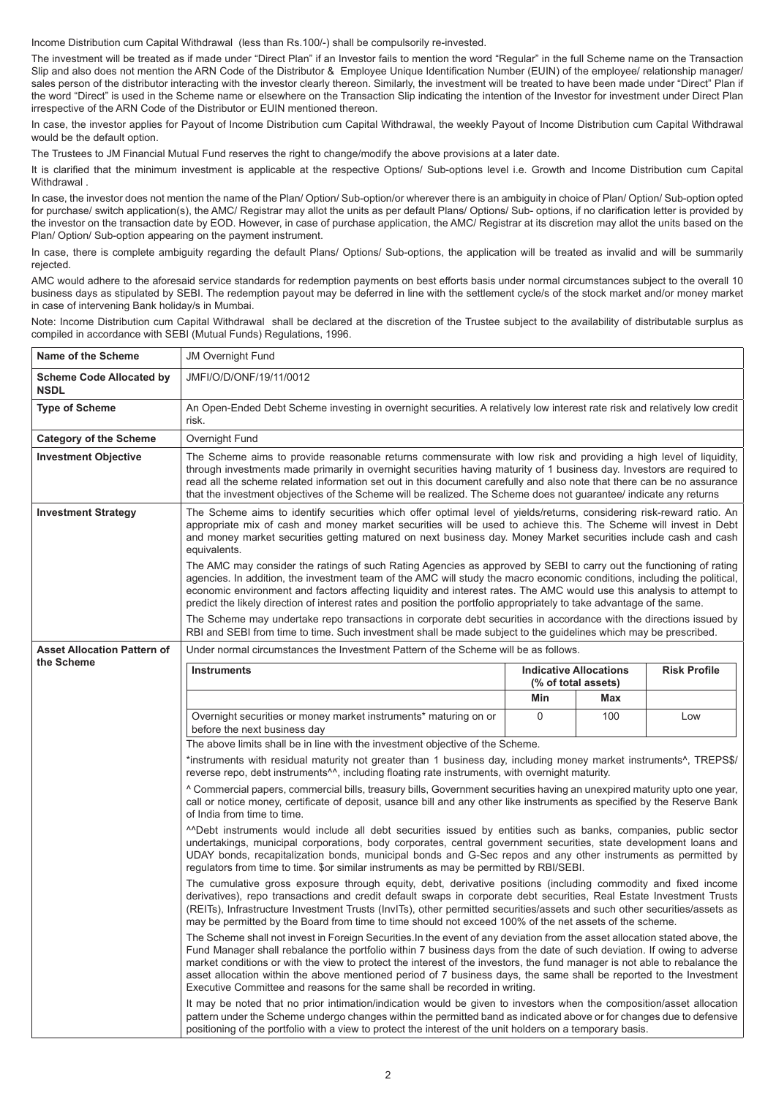Income Distribution cum Capital Withdrawal (less than Rs.100/-) shall be compulsorily re-invested.

The investment will be treated as if made under "Direct Plan" if an Investor fails to mention the word "Regular" in the full Scheme name on the Transaction Slip and also does not mention the ARN Code of the Distributor & Employee Unique Identification Number (EUIN) of the employee/ relationship manager/ sales person of the distributor interacting with the investor clearly thereon. Similarly, the investment will be treated to have been made under "Direct" Plan if the word "Direct" is used in the Scheme name or elsewhere on the Transaction Slip indicating the intention of the Investor for investment under Direct Plan irrespective of the ARN Code of the Distributor or EUIN mentioned thereon.

In case, the investor applies for Payout of Income Distribution cum Capital Withdrawal, the weekly Payout of Income Distribution cum Capital Withdrawal would be the default option.

The Trustees to JM Financial Mutual Fund reserves the right to change/modify the above provisions at a later date.

It is clarified that the minimum investment is applicable at the respective Options/ Sub-options level i.e. Growth and Income Distribution cum Capital **Withdrawal** 

In case, the investor does not mention the name of the Plan/ Option/ Sub-option/or wherever there is an ambiguity in choice of Plan/ Option/ Sub-option opted for purchase/ switch application(s), the AMC/ Registrar may allot the units as per default Plans/ Options/ Sub- options, if no clarification letter is provided by the investor on the transaction date by EOD. However, in case of purchase application, the AMC/ Registrar at its discretion may allot the units based on the Plan/ Option/ Sub-option appearing on the payment instrument.

In case, there is complete ambiguity regarding the default Plans/ Options/ Sub-options, the application will be treated as invalid and will be summarily rejected.

AMC would adhere to the aforesaid service standards for redemption payments on best efforts basis under normal circumstances subject to the overall 10 business days as stipulated by SEBI. The redemption payout may be deferred in line with the settlement cycle/s of the stock market and/or money market in case of intervening Bank holiday/s in Mumbai.

Note: Income Distribution cum Capital Withdrawal shall be declared at the discretion of the Trustee subject to the availability of distributable surplus as compiled in accordance with SEBI (Mutual Funds) Regulations, 1996.

| Name of the Scheme                             | <b>JM Overnight Fund</b>                                                                                                                                                                                                                                                                                                                                                                                                                                                                                    |          |                                                      |                     |  |  |  |  |  |  |
|------------------------------------------------|-------------------------------------------------------------------------------------------------------------------------------------------------------------------------------------------------------------------------------------------------------------------------------------------------------------------------------------------------------------------------------------------------------------------------------------------------------------------------------------------------------------|----------|------------------------------------------------------|---------------------|--|--|--|--|--|--|
| <b>Scheme Code Allocated by</b><br><b>NSDL</b> | JMFI/O/D/ONF/19/11/0012                                                                                                                                                                                                                                                                                                                                                                                                                                                                                     |          |                                                      |                     |  |  |  |  |  |  |
| <b>Type of Scheme</b>                          | An Open-Ended Debt Scheme investing in overnight securities. A relatively low interest rate risk and relatively low credit<br>risk.                                                                                                                                                                                                                                                                                                                                                                         |          |                                                      |                     |  |  |  |  |  |  |
| <b>Category of the Scheme</b>                  | Overnight Fund                                                                                                                                                                                                                                                                                                                                                                                                                                                                                              |          |                                                      |                     |  |  |  |  |  |  |
| <b>Investment Objective</b>                    | The Scheme aims to provide reasonable returns commensurate with low risk and providing a high level of liquidity,<br>through investments made primarily in overnight securities having maturity of 1 business day. Investors are required to<br>read all the scheme related information set out in this document carefully and also note that there can be no assurance<br>that the investment objectives of the Scheme will be realized. The Scheme does not guarantee/ indicate any returns               |          |                                                      |                     |  |  |  |  |  |  |
| <b>Investment Strategy</b>                     | The Scheme aims to identify securities which offer optimal level of yields/returns, considering risk-reward ratio. An<br>appropriate mix of cash and money market securities will be used to achieve this. The Scheme will invest in Debt<br>and money market securities getting matured on next business day. Money Market securities include cash and cash<br>equivalents.                                                                                                                                |          |                                                      |                     |  |  |  |  |  |  |
|                                                | The AMC may consider the ratings of such Rating Agencies as approved by SEBI to carry out the functioning of rating<br>agencies. In addition, the investment team of the AMC will study the macro economic conditions, including the political,<br>economic environment and factors affecting liquidity and interest rates. The AMC would use this analysis to attempt to<br>predict the likely direction of interest rates and position the portfolio appropriately to take advantage of the same.         |          |                                                      |                     |  |  |  |  |  |  |
|                                                | The Scheme may undertake repo transactions in corporate debt securities in accordance with the directions issued by<br>RBI and SEBI from time to time. Such investment shall be made subject to the guidelines which may be prescribed.                                                                                                                                                                                                                                                                     |          |                                                      |                     |  |  |  |  |  |  |
| <b>Asset Allocation Pattern of</b>             | Under normal circumstances the Investment Pattern of the Scheme will be as follows.                                                                                                                                                                                                                                                                                                                                                                                                                         |          |                                                      |                     |  |  |  |  |  |  |
| the Scheme                                     | <b>Instruments</b>                                                                                                                                                                                                                                                                                                                                                                                                                                                                                          |          | <b>Indicative Allocations</b><br>(% of total assets) | <b>Risk Profile</b> |  |  |  |  |  |  |
|                                                |                                                                                                                                                                                                                                                                                                                                                                                                                                                                                                             | Min      | Max                                                  |                     |  |  |  |  |  |  |
|                                                | Overnight securities or money market instruments* maturing on or<br>before the next business day                                                                                                                                                                                                                                                                                                                                                                                                            | $\Omega$ | 100                                                  | Low                 |  |  |  |  |  |  |
|                                                | The above limits shall be in line with the investment objective of the Scheme.                                                                                                                                                                                                                                                                                                                                                                                                                              |          |                                                      |                     |  |  |  |  |  |  |
|                                                | *instruments with residual maturity not greater than 1 business day, including money market instruments <sup>^</sup> , TREPS\$/<br>reverse repo, debt instruments <sup>^^</sup> , including floating rate instruments, with overnight maturity.                                                                                                                                                                                                                                                             |          |                                                      |                     |  |  |  |  |  |  |
|                                                | A Commercial papers, commercial bills, treasury bills, Government securities having an unexpired maturity upto one year,<br>call or notice money, certificate of deposit, usance bill and any other like instruments as specified by the Reserve Bank<br>of India from time to time.                                                                                                                                                                                                                        |          |                                                      |                     |  |  |  |  |  |  |
|                                                | "Debt instruments would include all debt securities issued by entities such as banks, companies, public sector<br>undertakings, municipal corporations, body corporates, central government securities, state development loans and<br>UDAY bonds, recapitalization bonds, municipal bonds and G-Sec repos and any other instruments as permitted by<br>requiators from time to time. \$or similar instruments as may be permitted by RBI/SEBI.                                                             |          |                                                      |                     |  |  |  |  |  |  |
|                                                | The cumulative gross exposure through equity, debt, derivative positions (including commodity and fixed income<br>derivatives), repo transactions and credit default swaps in corporate debt securities, Real Estate Investment Trusts<br>(REITs), Infrastructure Investment Trusts (InvITs), other permitted securities/assets and such other securities/assets as<br>may be permitted by the Board from time to time should not exceed 100% of the net assets of the scheme.                              |          |                                                      |                     |  |  |  |  |  |  |
|                                                | The Scheme shall not invest in Foreign Securities. In the event of any deviation from the asset allocation stated above, the<br>Fund Manager shall rebalance the portfolio within 7 business days from the date of such deviation. If owing to adverse<br>market conditions or with the view to protect the interest of the investors, the fund manager is not able to rebalance the<br>asset allocation within the above mentioned period of 7 business days, the same shall be reported to the Investment |          |                                                      |                     |  |  |  |  |  |  |
|                                                | Executive Committee and reasons for the same shall be recorded in writing.                                                                                                                                                                                                                                                                                                                                                                                                                                  |          |                                                      |                     |  |  |  |  |  |  |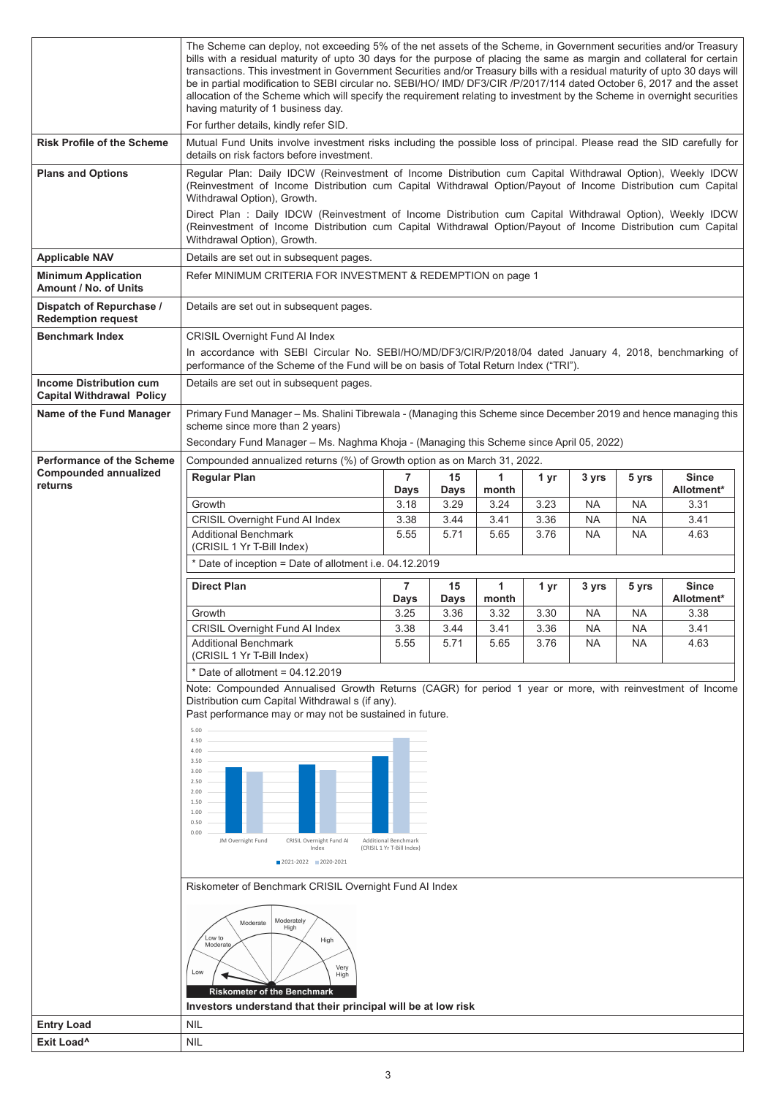|                                                                    | The Scheme can deploy, not exceeding 5% of the net assets of the Scheme, in Government securities and/or Treasury<br>bills with a residual maturity of upto 30 days for the purpose of placing the same as margin and collateral for certain<br>transactions. This investment in Government Securities and/or Treasury bills with a residual maturity of upto 30 days will<br>be in partial modification to SEBI circular no. SEBI/HO/ IMD/ DF3/CIR /P/2017/114 dated October 6, 2017 and the asset<br>allocation of the Scheme which will specify the requirement relating to investment by the Scheme in overnight securities<br>having maturity of 1 business day.<br>For further details, kindly refer SID. |                                                                                                                                                                                                             |              |               |      |           |           |                            |  |  |  |  |
|--------------------------------------------------------------------|-----------------------------------------------------------------------------------------------------------------------------------------------------------------------------------------------------------------------------------------------------------------------------------------------------------------------------------------------------------------------------------------------------------------------------------------------------------------------------------------------------------------------------------------------------------------------------------------------------------------------------------------------------------------------------------------------------------------|-------------------------------------------------------------------------------------------------------------------------------------------------------------------------------------------------------------|--------------|---------------|------|-----------|-----------|----------------------------|--|--|--|--|
| <b>Risk Profile of the Scheme</b>                                  | Mutual Fund Units involve investment risks including the possible loss of principal. Please read the SID carefully for<br>details on risk factors before investment.                                                                                                                                                                                                                                                                                                                                                                                                                                                                                                                                            |                                                                                                                                                                                                             |              |               |      |           |           |                            |  |  |  |  |
| <b>Plans and Options</b>                                           | Regular Plan: Daily IDCW (Reinvestment of Income Distribution cum Capital Withdrawal Option), Weekly IDCW<br>(Reinvestment of Income Distribution cum Capital Withdrawal Option/Payout of Income Distribution cum Capital<br>Withdrawal Option), Growth.<br>Direct Plan : Daily IDCW (Reinvestment of Income Distribution cum Capital Withdrawal Option), Weekly IDCW<br>(Reinvestment of Income Distribution cum Capital Withdrawal Option/Payout of Income Distribution cum Capital                                                                                                                                                                                                                           |                                                                                                                                                                                                             |              |               |      |           |           |                            |  |  |  |  |
|                                                                    | Withdrawal Option), Growth.<br>Details are set out in subsequent pages.                                                                                                                                                                                                                                                                                                                                                                                                                                                                                                                                                                                                                                         |                                                                                                                                                                                                             |              |               |      |           |           |                            |  |  |  |  |
| <b>Applicable NAV</b><br><b>Minimum Application</b>                | Refer MINIMUM CRITERIA FOR INVESTMENT & REDEMPTION on page 1                                                                                                                                                                                                                                                                                                                                                                                                                                                                                                                                                                                                                                                    |                                                                                                                                                                                                             |              |               |      |           |           |                            |  |  |  |  |
| Amount / No. of Units<br>Dispatch of Repurchase /                  | Details are set out in subsequent pages.                                                                                                                                                                                                                                                                                                                                                                                                                                                                                                                                                                                                                                                                        |                                                                                                                                                                                                             |              |               |      |           |           |                            |  |  |  |  |
| <b>Redemption request</b>                                          |                                                                                                                                                                                                                                                                                                                                                                                                                                                                                                                                                                                                                                                                                                                 |                                                                                                                                                                                                             |              |               |      |           |           |                            |  |  |  |  |
| <b>Benchmark Index</b>                                             | <b>CRISIL Overnight Fund AI Index</b><br>In accordance with SEBI Circular No. SEBI/HO/MD/DF3/CIR/P/2018/04 dated January 4, 2018, benchmarking of<br>performance of the Scheme of the Fund will be on basis of Total Return Index ("TRI").                                                                                                                                                                                                                                                                                                                                                                                                                                                                      |                                                                                                                                                                                                             |              |               |      |           |           |                            |  |  |  |  |
| <b>Income Distribution cum</b><br><b>Capital Withdrawal Policy</b> | Details are set out in subsequent pages.                                                                                                                                                                                                                                                                                                                                                                                                                                                                                                                                                                                                                                                                        |                                                                                                                                                                                                             |              |               |      |           |           |                            |  |  |  |  |
| Name of the Fund Manager                                           | scheme since more than 2 years)                                                                                                                                                                                                                                                                                                                                                                                                                                                                                                                                                                                                                                                                                 | Primary Fund Manager - Ms. Shalini Tibrewala - (Managing this Scheme since December 2019 and hence managing this<br>Secondary Fund Manager - Ms. Naghma Khoja - (Managing this Scheme since April 05, 2022) |              |               |      |           |           |                            |  |  |  |  |
| <b>Performance of the Scheme</b>                                   | Compounded annualized returns (%) of Growth option as on March 31, 2022.                                                                                                                                                                                                                                                                                                                                                                                                                                                                                                                                                                                                                                        |                                                                                                                                                                                                             |              |               |      |           |           |                            |  |  |  |  |
| <b>Compounded annualized</b><br>returns                            | <b>Regular Plan</b>                                                                                                                                                                                                                                                                                                                                                                                                                                                                                                                                                                                                                                                                                             | $\overline{7}$                                                                                                                                                                                              | 15           | $\mathbf{1}$  | 1 yr | 3 yrs     | 5 yrs     | <b>Since</b>               |  |  |  |  |
|                                                                    | Growth                                                                                                                                                                                                                                                                                                                                                                                                                                                                                                                                                                                                                                                                                                          | <b>Days</b><br>3.18                                                                                                                                                                                         | Days<br>3.29 | month<br>3.24 | 3.23 | NA        | <b>NA</b> | Allotment*<br>3.31         |  |  |  |  |
|                                                                    | <b>CRISIL Overnight Fund AI Index</b>                                                                                                                                                                                                                                                                                                                                                                                                                                                                                                                                                                                                                                                                           | 3.38                                                                                                                                                                                                        | 3.44         | 3.41          | 3.36 | NA        | <b>NA</b> | 3.41                       |  |  |  |  |
|                                                                    | <b>Additional Benchmark</b><br>(CRISIL 1 Yr T-Bill Index)                                                                                                                                                                                                                                                                                                                                                                                                                                                                                                                                                                                                                                                       | 5.55                                                                                                                                                                                                        | 5.71         | 5.65          | 3.76 | <b>NA</b> | <b>NA</b> | 4.63                       |  |  |  |  |
|                                                                    | * Date of inception = Date of allotment i.e. 04.12.2019                                                                                                                                                                                                                                                                                                                                                                                                                                                                                                                                                                                                                                                         |                                                                                                                                                                                                             |              |               |      |           |           |                            |  |  |  |  |
|                                                                    | <b>Direct Plan</b>                                                                                                                                                                                                                                                                                                                                                                                                                                                                                                                                                                                                                                                                                              | $\overline{7}$<br>Days                                                                                                                                                                                      | 15<br>Days   | 1<br>month    | 1 yr | 3 yrs     | 5 yrs     | <b>Since</b><br>Allotment* |  |  |  |  |
|                                                                    | Growth                                                                                                                                                                                                                                                                                                                                                                                                                                                                                                                                                                                                                                                                                                          | 3.25                                                                                                                                                                                                        | 3.36         | 3.32          | 3.30 | <b>NA</b> | <b>NA</b> | 3.38                       |  |  |  |  |
|                                                                    | CRISIL Overnight Fund AI Index                                                                                                                                                                                                                                                                                                                                                                                                                                                                                                                                                                                                                                                                                  | 3.38                                                                                                                                                                                                        | 3.44         | 3.41          | 3.36 | NA        | <b>NA</b> | 3.41                       |  |  |  |  |
|                                                                    | <b>Additional Benchmark</b><br>(CRISIL 1 Yr T-Bill Index)                                                                                                                                                                                                                                                                                                                                                                                                                                                                                                                                                                                                                                                       | 5.55                                                                                                                                                                                                        | 5.71         | 5.65          | 3.76 | <b>NA</b> | <b>NA</b> | 4.63                       |  |  |  |  |
|                                                                    | * Date of allotment = $04.12.2019$                                                                                                                                                                                                                                                                                                                                                                                                                                                                                                                                                                                                                                                                              |                                                                                                                                                                                                             |              |               |      |           |           |                            |  |  |  |  |
|                                                                    | Note: Compounded Annualised Growth Returns (CAGR) for period 1 year or more, with reinvestment of Income<br>Distribution cum Capital Withdrawal s (if any).<br>Past performance may or may not be sustained in future.<br>5.00<br>4.50<br>4.00<br>3.50<br>3.00<br>2.50<br>2.00<br>1.50<br>1.00<br>0.50<br>0.00<br>JM Overnight Fund<br>CRISIL Overnight Fund AI<br>Index<br>2021-2022 2020-2021<br>Riskometer of Benchmark CRISIL Overnight Fund AI Index<br>Moderately<br>Moderate<br>High<br>Low to<br>High<br>Moderate<br>Very<br>Low                                                                                                                                                                        | <b>Additional Benchmark</b><br>(CRISIL 1 Yr T-Bill Index)                                                                                                                                                   |              |               |      |           |           |                            |  |  |  |  |
|                                                                    | High<br><b>Riskometer of the Benchmark</b>                                                                                                                                                                                                                                                                                                                                                                                                                                                                                                                                                                                                                                                                      |                                                                                                                                                                                                             |              |               |      |           |           |                            |  |  |  |  |
|                                                                    | Investors understand that their principal will be at low risk                                                                                                                                                                                                                                                                                                                                                                                                                                                                                                                                                                                                                                                   |                                                                                                                                                                                                             |              |               |      |           |           |                            |  |  |  |  |
| <b>Entry Load</b><br>Exit Load <sup>^</sup>                        | <b>NIL</b><br><b>NIL</b>                                                                                                                                                                                                                                                                                                                                                                                                                                                                                                                                                                                                                                                                                        |                                                                                                                                                                                                             |              |               |      |           |           |                            |  |  |  |  |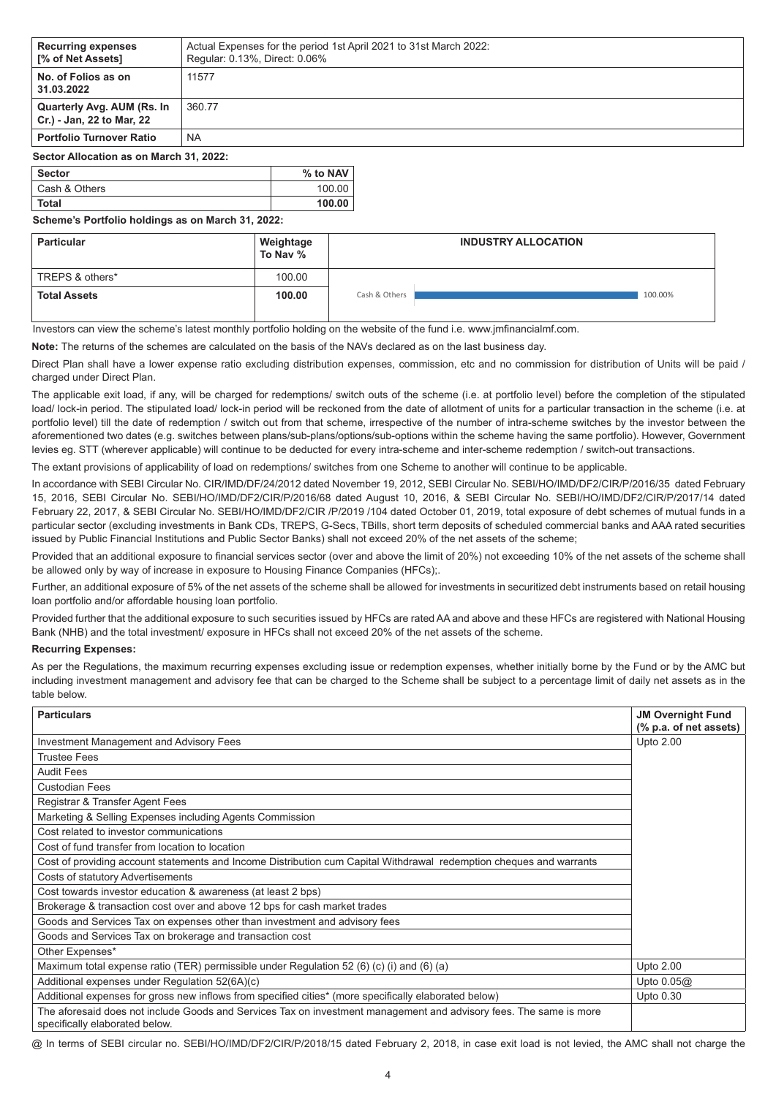| <b>Recurring expenses</b><br><b>I</b> % of Net Assets]  | Actual Expenses for the period 1st April 2021 to 31st March 2022:<br>Regular: 0.13%, Direct: 0.06% |
|---------------------------------------------------------|----------------------------------------------------------------------------------------------------|
| No. of Folios as on<br>31.03.2022                       | 11577                                                                                              |
| Quarterly Avg. AUM (Rs. In<br>Cr.) - Jan, 22 to Mar, 22 | 360.77                                                                                             |
| <b>Portfolio Turnover Ratio</b>                         | <b>NA</b>                                                                                          |
| Sector Allocation as on March 31, 2022:                 |                                                                                                    |

| ∣ Sector      | % to NAV |
|---------------|----------|
| Cash & Others | 100.00   |
| Total         | 100.00   |

# **Scheme's Portfolio holdings as on March 31, 2022:**

| <b>Particular</b>   | Weightage<br>To Nav % | <b>INDUSTRY ALLOCATION</b> |
|---------------------|-----------------------|----------------------------|
| TREPS & others*     | 100.00                |                            |
| <b>Total Assets</b> | 100.00                | Cash & Others<br>100.00%   |

Investors can view the scheme's latest monthly portfolio holding on the website of the fund i.e. www.jmfinancialmf.com.

**Note:** The returns of the schemes are calculated on the basis of the NAVs declared as on the last business day.

Direct Plan shall have a lower expense ratio excluding distribution expenses, commission, etc and no commission for distribution of Units will be paid / charged under Direct Plan.

The applicable exit load, if any, will be charged for redemptions/ switch outs of the scheme (i.e. at portfolio level) before the completion of the stipulated load/ lock-in period. The stipulated load/ lock-in period will be reckoned from the date of allotment of units for a particular transaction in the scheme (i.e. at portfolio level) till the date of redemption / switch out from that scheme, irrespective of the number of intra-scheme switches by the investor between the aforementioned two dates (e.g. switches between plans/sub-plans/options/sub-options within the scheme having the same portfolio). However, Government levies eg. STT (wherever applicable) will continue to be deducted for every intra-scheme and inter-scheme redemption / switch-out transactions.

The extant provisions of applicability of load on redemptions/ switches from one Scheme to another will continue to be applicable.

In accordance with SEBI Circular No. CIR/IMD/DF/24/2012 dated November 19, 2012, SEBI Circular No. SEBI/HO/IMD/DF2/CIR/P/2016/35 dated February 15, 2016, SEBI Circular No. SEBI/HO/IMD/DF2/CIR/P/2016/68 dated August 10, 2016, & SEBI Circular No. SEBI/HO/IMD/DF2/CIR/P/2017/14 dated February 22, 2017, & SEBI Circular No. SEBI/HO/IMD/DF2/CIR /P/2019 /104 dated October 01, 2019, total exposure of debt schemes of mutual funds in a particular sector (excluding investments in Bank CDs, TREPS, G-Secs, TBills, short term deposits of scheduled commercial banks and AAA rated securities issued by Public Financial Institutions and Public Sector Banks) shall not exceed 20% of the net assets of the scheme;

Provided that an additional exposure to financial services sector (over and above the limit of 20%) not exceeding 10% of the net assets of the scheme shall be allowed only by way of increase in exposure to Housing Finance Companies (HFCs);.

Further, an additional exposure of 5% of the net assets of the scheme shall be allowed for investments in securitized debt instruments based on retail housing loan portfolio and/or affordable housing loan portfolio.

Provided further that the additional exposure to such securities issued by HFCs are rated AA and above and these HFCs are registered with National Housing Bank (NHB) and the total investment/ exposure in HFCs shall not exceed 20% of the net assets of the scheme.

# **Recurring Expenses:**

As per the Regulations, the maximum recurring expenses excluding issue or redemption expenses, whether initially borne by the Fund or by the AMC but including investment management and advisory fee that can be charged to the Scheme shall be subject to a percentage limit of daily net assets as in the table below.

| <b>Particulars</b>                                                                                                                                   | <b>JM Overnight Fund</b> |
|------------------------------------------------------------------------------------------------------------------------------------------------------|--------------------------|
|                                                                                                                                                      | (% p.a. of net assets)   |
| <b>Investment Management and Advisory Fees</b>                                                                                                       | Upto 2.00                |
| <b>Trustee Fees</b>                                                                                                                                  |                          |
| <b>Audit Fees</b>                                                                                                                                    |                          |
| <b>Custodian Fees</b>                                                                                                                                |                          |
| Registrar & Transfer Agent Fees                                                                                                                      |                          |
| Marketing & Selling Expenses including Agents Commission                                                                                             |                          |
| Cost related to investor communications                                                                                                              |                          |
| Cost of fund transfer from location to location                                                                                                      |                          |
| Cost of providing account statements and Income Distribution cum Capital Withdrawal redemption cheques and warrants                                  |                          |
| Costs of statutory Advertisements                                                                                                                    |                          |
| Cost towards investor education & awareness (at least 2 bps)                                                                                         |                          |
| Brokerage & transaction cost over and above 12 bps for cash market trades                                                                            |                          |
| Goods and Services Tax on expenses other than investment and advisory fees                                                                           |                          |
| Goods and Services Tax on brokerage and transaction cost                                                                                             |                          |
| Other Expenses*                                                                                                                                      |                          |
| Maximum total expense ratio (TER) permissible under Regulation 52 (6) (c) (i) and (6) (a)                                                            | Upto 2.00                |
| Additional expenses under Regulation 52(6A)(c)                                                                                                       | Upto $0.05@$             |
| Additional expenses for gross new inflows from specified cities* (more specifically elaborated below)                                                | Upto 0.30                |
| The aforesaid does not include Goods and Services Tax on investment management and advisory fees. The same is more<br>specifically elaborated below. |                          |

@ In terms of SEBI circular no. SEBI/HO/IMD/DF2/CIR/P/2018/15 dated February 2, 2018, in case exit load is not levied, the AMC shall not charge the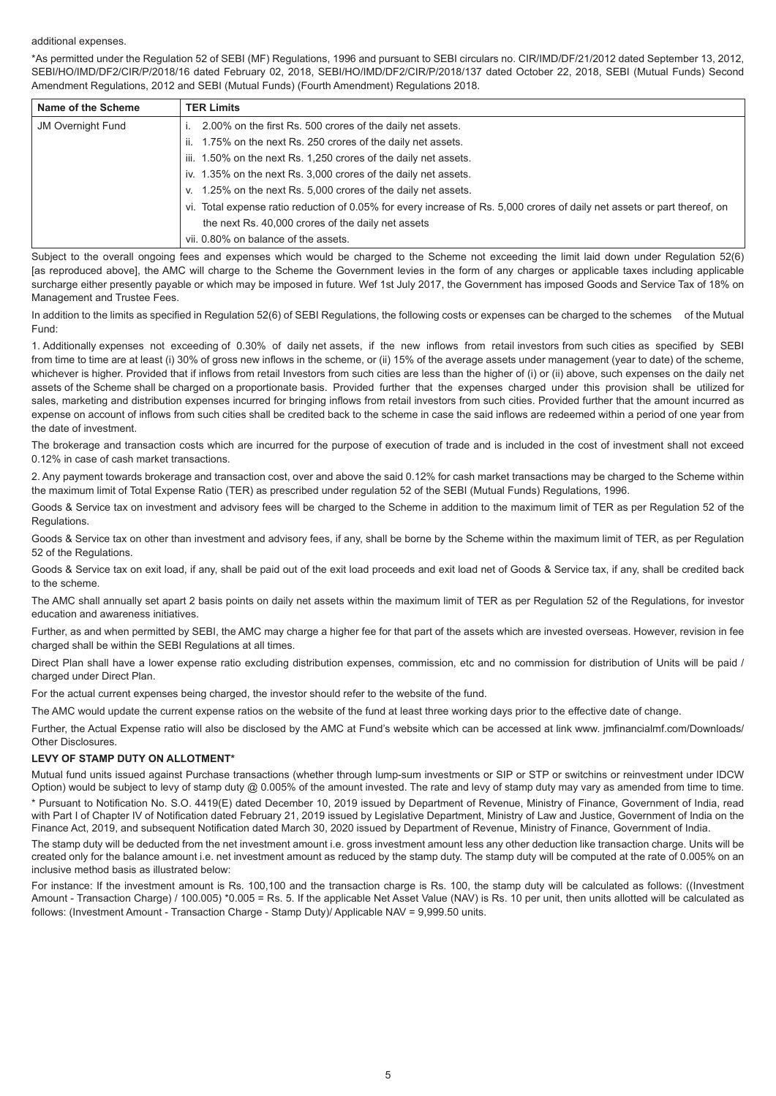#### additional expenses.

\*As permitted under the Regulation 52 of SEBI (MF) Regulations, 1996 and pursuant to SEBI circulars no. CIR/IMD/DF/21/2012 dated September 13, 2012, SEBI/HO/IMD/DF2/CIR/P/2018/16 dated February 02, 2018, SEBI/HO/IMD/DF2/CIR/P/2018/137 dated October 22, 2018, SEBI (Mutual Funds) Second Amendment Regulations, 2012 and SEBI (Mutual Funds) (Fourth Amendment) Regulations 2018.

| Name of the Scheme       | <b>TER Limits</b>                                                                                                         |
|--------------------------|---------------------------------------------------------------------------------------------------------------------------|
| <b>JM Overnight Fund</b> | 2.00% on the first Rs. 500 crores of the daily net assets.                                                                |
|                          | ii. 1.75% on the next Rs. 250 crores of the daily net assets.                                                             |
|                          | iii. 1.50% on the next Rs. 1,250 crores of the daily net assets.                                                          |
|                          | iv. 1.35% on the next Rs. 3,000 crores of the daily net assets.                                                           |
|                          | v. 1.25% on the next Rs. 5,000 crores of the daily net assets.                                                            |
|                          | vi. Total expense ratio reduction of 0.05% for every increase of Rs. 5,000 crores of daily net assets or part thereof, on |
|                          | the next Rs. 40,000 crores of the daily net assets                                                                        |
|                          | vii. 0.80% on balance of the assets.                                                                                      |

Subject to the overall ongoing fees and expenses which would be charged to the Scheme not exceeding the limit laid down under Regulation 52(6) [as reproduced above], the AMC will charge to the Scheme the Government levies in the form of any charges or applicable taxes including applicable surcharge either presently payable or which may be imposed in future. Wef 1st July 2017, the Government has imposed Goods and Service Tax of 18% on Management and Trustee Fees.

In addition to the limits as specified in Regulation 52(6) of SEBI Regulations, the following costs or expenses can be charged to the schemes of the Mutual Fund:

1. Additionally expenses not exceeding of 0.30% of daily net assets, if the new inflows from retail investors from such cities as specified by SEBI from time to time are at least (i) 30% of gross new inflows in the scheme, or (ii) 15% of the average assets under management (year to date) of the scheme, whichever is higher. Provided that if inflows from retail Investors from such cities are less than the higher of (i) or (ii) above, such expenses on the daily net assets of the Scheme shall be charged on a proportionate basis. Provided further that the expenses charged under this provision shall be utilized for sales, marketing and distribution expenses incurred for bringing inflows from retail investors from such cities. Provided further that the amount incurred as expense on account of inflows from such cities shall be credited back to the scheme in case the said inflows are redeemed within a period of one year from the date of investment.

The brokerage and transaction costs which are incurred for the purpose of execution of trade and is included in the cost of investment shall not exceed 0.12% in case of cash market transactions.

2. Any payment towards brokerage and transaction cost, over and above the said 0.12% for cash market transactions may be charged to the Scheme within the maximum limit of Total Expense Ratio (TER) as prescribed under regulation 52 of the SEBI (Mutual Funds) Regulations, 1996.

Goods & Service tax on investment and advisory fees will be charged to the Scheme in addition to the maximum limit of TER as per Regulation 52 of the Regulations.

Goods & Service tax on other than investment and advisory fees, if any, shall be borne by the Scheme within the maximum limit of TER, as per Regulation 52 of the Regulations.

Goods & Service tax on exit load, if any, shall be paid out of the exit load proceeds and exit load net of Goods & Service tax, if any, shall be credited back to the scheme.

The AMC shall annually set apart 2 basis points on daily net assets within the maximum limit of TER as per Regulation 52 of the Regulations, for investor education and awareness initiatives.

Further, as and when permitted by SEBI, the AMC may charge a higher fee for that part of the assets which are invested overseas. However, revision in fee charged shall be within the SEBI Regulations at all times.

Direct Plan shall have a lower expense ratio excluding distribution expenses, commission, etc and no commission for distribution of Units will be paid / charged under Direct Plan.

For the actual current expenses being charged, the investor should refer to the website of the fund.

The AMC would update the current expense ratios on the website of the fund at least three working days prior to the effective date of change.

Further, the Actual Expense ratio will also be disclosed by the AMC at Fund's website which can be accessed at link www. jmfinancialmf.com/Downloads/ Other Disclosures.

# **LEVY OF STAMP DUTY ON ALLOTMENT\***

Mutual fund units issued against Purchase transactions (whether through lump-sum investments or SIP or STP or switchins or reinvestment under IDCW Option) would be subject to levy of stamp duty @ 0.005% of the amount invested. The rate and levy of stamp duty may vary as amended from time to time.

\* Pursuant to Notification No. S.O. 4419(E) dated December 10, 2019 issued by Department of Revenue, Ministry of Finance, Government of India, read with Part I of Chapter IV of Notification dated February 21, 2019 issued by Legislative Department, Ministry of Law and Justice, Government of India on the Finance Act, 2019, and subsequent Notification dated March 30, 2020 issued by Department of Revenue, Ministry of Finance, Government of India.

The stamp duty will be deducted from the net investment amount i.e. gross investment amount less any other deduction like transaction charge. Units will be created only for the balance amount i.e. net investment amount as reduced by the stamp duty. The stamp duty will be computed at the rate of 0.005% on an inclusive method basis as illustrated below:

For instance: If the investment amount is Rs. 100,100 and the transaction charge is Rs. 100, the stamp duty will be calculated as follows: ((Investment Amount - Transaction Charge) / 100.005) \*0.005 = Rs. 5. If the applicable Net Asset Value (NAV) is Rs. 10 per unit, then units allotted will be calculated as follows: (Investment Amount - Transaction Charge - Stamp Duty)/ Applicable NAV = 9,999.50 units.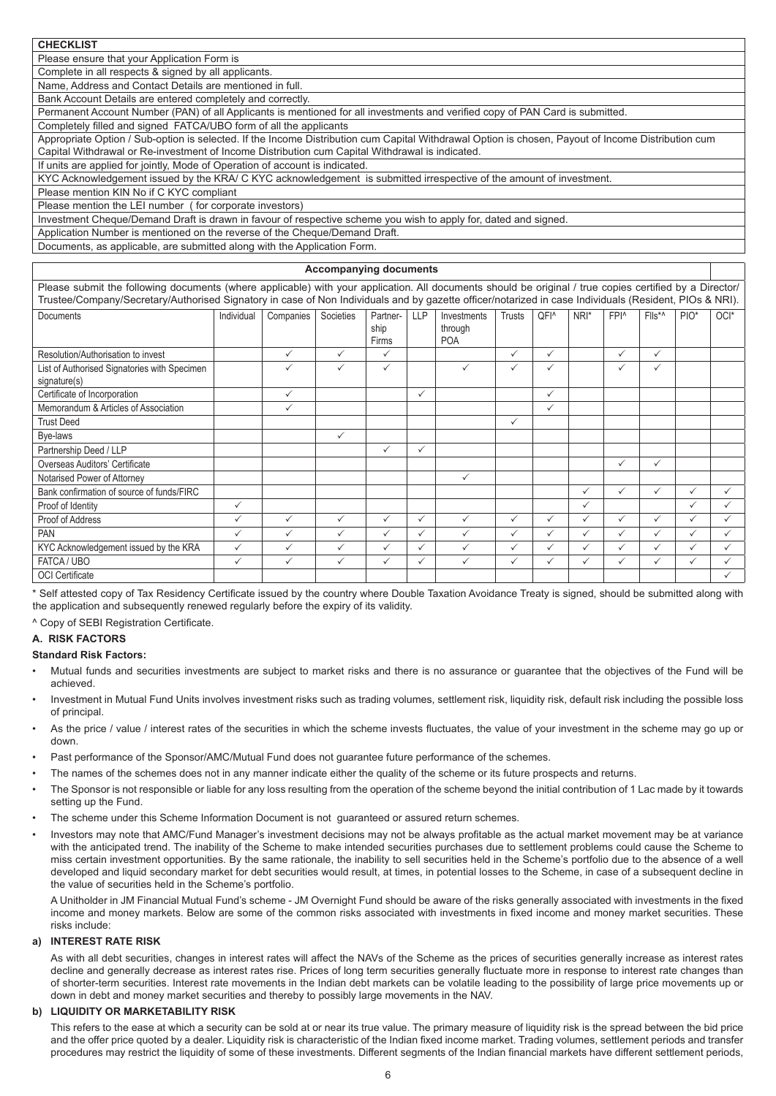**CHECKLIST** 

Please ensure that your Application Form is

Complete in all respects & signed by all applicants.

Name, Address and Contact Details are mentioned in full.

Bank Account Details are entered completely and correctly.

Permanent Account Number (PAN) of all Applicants is mentioned for all investments and verified copy of PAN Card is submitted.

Completely filled and signed FATCA/UBO form of all the applicants

Appropriate Option / Sub-option is selected. If the Income Distribution cum Capital Withdrawal Option is chosen, Payout of Income Distribution cum Capital Withdrawal or Re-investment of Income Distribution cum Capital Withdrawal is indicated.

If units are applied for jointly, Mode of Operation of account is indicated.

KYC Acknowledgement issued by the KRA/ C KYC acknowledgement is submitted irrespective of the amount of investment.

Please mention KIN No if C KYC compliant

Please mention the LEI number ( for corporate investors)

Investment Cheque/Demand Draft is drawn in favour of respective scheme you wish to apply for, dated and signed.

Application Number is mentioned on the reverse of the Cheque/Demand Draft.

Documents, as applicable, are submitted along with the Application Form.

## **Accompanying documents**

Please submit the following documents (where applicable) with your application. All documents should be original / true copies certified by a Director/ Trustee/Company/Secretary/Authorised Signatory in case of Non Individuals and by gazette officer/notarized in case Individuals (Resident, PIOs & NRI).

| Documents                                    | Individual   | Companies    | Societies    | Partner-<br>ship<br>Firms | <b>LLP</b>   | Investments<br>through<br><b>POA</b> | <b>Trusts</b> | QFI <sup>^</sup> | NRI*         | FPI <sup>^</sup> | Flls*^       | $PIO^*$      | OCI*         |
|----------------------------------------------|--------------|--------------|--------------|---------------------------|--------------|--------------------------------------|---------------|------------------|--------------|------------------|--------------|--------------|--------------|
| Resolution/Authorisation to invest           |              | $\checkmark$ | $\checkmark$ | $\checkmark$              |              |                                      | $\checkmark$  | $\checkmark$     |              | $\checkmark$     | $\checkmark$ |              |              |
| List of Authorised Signatories with Specimen |              | $\checkmark$ | $\checkmark$ | $\checkmark$              |              | $\checkmark$                         | $\checkmark$  | $\checkmark$     |              | ✓                | $\checkmark$ |              |              |
| signature(s)                                 |              |              |              |                           |              |                                      |               |                  |              |                  |              |              |              |
| Certificate of Incorporation                 |              | $\checkmark$ |              |                           | $\checkmark$ |                                      |               | $\checkmark$     |              |                  |              |              |              |
| Memorandum & Articles of Association         |              | $\checkmark$ |              |                           |              |                                      |               | $\checkmark$     |              |                  |              |              |              |
| <b>Trust Deed</b>                            |              |              |              |                           |              |                                      | $\checkmark$  |                  |              |                  |              |              |              |
| Bye-laws                                     |              |              | $\checkmark$ |                           |              |                                      |               |                  |              |                  |              |              |              |
| Partnership Deed / LLP                       |              |              |              | $\checkmark$              | $\checkmark$ |                                      |               |                  |              |                  |              |              |              |
| Overseas Auditors' Certificate               |              |              |              |                           |              |                                      |               |                  |              | $\checkmark$     | $\checkmark$ |              |              |
| Notarised Power of Attorney                  |              |              |              |                           |              | $\checkmark$                         |               |                  |              |                  |              |              |              |
| Bank confirmation of source of funds/FIRC    |              |              |              |                           |              |                                      |               |                  | ✓            | $\checkmark$     | $\checkmark$ | $\checkmark$ | $\checkmark$ |
| Proof of Identity                            | $\checkmark$ |              |              |                           |              |                                      |               |                  | $\checkmark$ |                  |              | $\checkmark$ | $\checkmark$ |
| Proof of Address                             | $\checkmark$ | $\checkmark$ | $\checkmark$ | $\checkmark$              | $\checkmark$ | $\checkmark$                         | $\checkmark$  | $\checkmark$     | $\checkmark$ | $\checkmark$     | $\checkmark$ | $\checkmark$ | $\checkmark$ |
| <b>PAN</b>                                   | $\checkmark$ | $\checkmark$ | $\checkmark$ | ✓                         | ✓            | $\checkmark$                         | $\checkmark$  | $\checkmark$     | $\checkmark$ | $\checkmark$     | $\checkmark$ | $\checkmark$ | $\checkmark$ |
| KYC Acknowledgement issued by the KRA        | $\checkmark$ | $\checkmark$ | $\checkmark$ | $\checkmark$              | $\checkmark$ | $\checkmark$                         | $\checkmark$  | ✓                | $\checkmark$ | $\checkmark$     | $\checkmark$ | $\checkmark$ | $\checkmark$ |
| FATCA / UBO                                  | $\checkmark$ | $\checkmark$ | $\checkmark$ | $\checkmark$              | $\checkmark$ | $\checkmark$                         | $\checkmark$  | $\checkmark$     | $\checkmark$ | $\checkmark$     | $\checkmark$ | $\checkmark$ | ✓            |
| <b>OCI</b> Certificate                       |              |              |              |                           |              |                                      |               |                  |              |                  |              |              |              |

\* Self attested copy of Tax Residency Certificate issued by the country where Double Taxation Avoidance Treaty is signed, should be submitted along with the application and subsequently renewed regularly before the expiry of its validity.

^ Copy of SEBI Registration Certificate.

# **A. RISK FACTORS**

# **Standard Risk Factors:**

- Mutual funds and securities investments are subject to market risks and there is no assurance or guarantee that the objectives of the Fund will be achieved.
- Investment in Mutual Fund Units involves investment risks such as trading volumes, settlement risk, liquidity risk, default risk including the possible loss of principal.
- As the price / value / interest rates of the securities in which the scheme invests fluctuates, the value of your investment in the scheme may go up or down.
- Past performance of the Sponsor/AMC/Mutual Fund does not guarantee future performance of the schemes.
- The names of the schemes does not in any manner indicate either the quality of the scheme or its future prospects and returns.
- The Sponsor is not responsible or liable for any loss resulting from the operation of the scheme beyond the initial contribution of 1 Lac made by it towards setting up the Fund.
- The scheme under this Scheme Information Document is not guaranteed or assured return schemes.
- Investors may note that AMC/Fund Manager's investment decisions may not be always profitable as the actual market movement may be at variance with the anticipated trend. The inability of the Scheme to make intended securities purchases due to settlement problems could cause the Scheme to miss certain investment opportunities. By the same rationale, the inability to sell securities held in the Scheme's portfolio due to the absence of a well developed and liquid secondary market for debt securities would result, at times, in potential losses to the Scheme, in case of a subsequent decline in the value of securities held in the Scheme's portfolio.

A Unitholder in JM Financial Mutual Fund's scheme - JM Overnight Fund should be aware of the risks generally associated with investments in the fixed income and money markets. Below are some of the common risks associated with investments in fixed income and money market securities. These risks include:

# **a) INTEREST RATE RISK**

As with all debt securities, changes in interest rates will affect the NAVs of the Scheme as the prices of securities generally increase as interest rates decline and generally decrease as interest rates rise. Prices of long term securities generally fluctuate more in response to interest rate changes than of shorter-term securities. Interest rate movements in the Indian debt markets can be volatile leading to the possibility of large price movements up or down in debt and money market securities and thereby to possibly large movements in the NAV.

# **b) LIQUIDITY OR MARKETABILITY RISK**

This refers to the ease at which a security can be sold at or near its true value. The primary measure of liquidity risk is the spread between the bid price and the offer price quoted by a dealer. Liquidity risk is characteristic of the Indian fixed income market. Trading volumes, settlement periods and transfer procedures may restrict the liquidity of some of these investments. Different segments of the Indian financial markets have different settlement periods,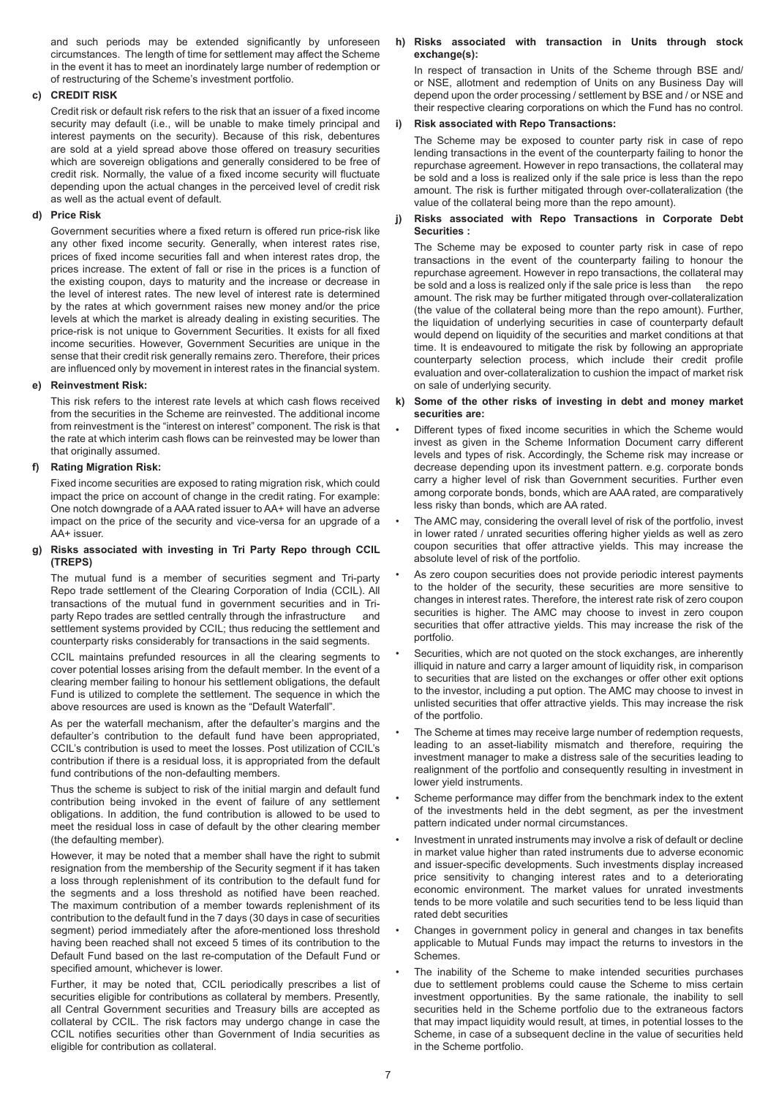and such periods may be extended significantly by unforeseen circumstances. The length of time for settlement may affect the Scheme in the event it has to meet an inordinately large number of redemption or of restructuring of the Scheme's investment portfolio.

# **c) CREDIT RISK**

Credit risk or default risk refers to the risk that an issuer of a fixed income security may default (i.e., will be unable to make timely principal and interest payments on the security). Because of this risk, debentures are sold at a yield spread above those offered on treasury securities which are sovereign obligations and generally considered to be free of credit risk. Normally, the value of a fixed income security will fluctuate depending upon the actual changes in the perceived level of credit risk as well as the actual event of default.

# **d) Price Risk**

Government securities where a fixed return is offered run price-risk like any other fixed income security. Generally, when interest rates rise, prices of fixed income securities fall and when interest rates drop, the prices increase. The extent of fall or rise in the prices is a function of the existing coupon, days to maturity and the increase or decrease in the level of interest rates. The new level of interest rate is determined by the rates at which government raises new money and/or the price levels at which the market is already dealing in existing securities. The price-risk is not unique to Government Securities. It exists for all fixed income securities. However, Government Securities are unique in the sense that their credit risk generally remains zero. Therefore, their prices are influenced only by movement in interest rates in the financial system.

# **e) Reinvestment Risk:**

This risk refers to the interest rate levels at which cash flows received from the securities in the Scheme are reinvested. The additional income from reinvestment is the "interest on interest" component. The risk is that the rate at which interim cash flows can be reinvested may be lower than that originally assumed.

# **f) Rating Migration Risk:**

Fixed income securities are exposed to rating migration risk, which could impact the price on account of change in the credit rating. For example: One notch downgrade of a AAA rated issuer to AA+ will have an adverse impact on the price of the security and vice-versa for an upgrade of a AA+ issuer.

# **g) Risks associated with investing in Tri Party Repo through CCIL (TREPS)**

The mutual fund is a member of securities segment and Tri-party Repo trade settlement of the Clearing Corporation of India (CCIL). All transactions of the mutual fund in government securities and in Triparty Repo trades are settled centrally through the infrastructure and settlement systems provided by CCIL; thus reducing the settlement and counterparty risks considerably for transactions in the said segments.

CCIL maintains prefunded resources in all the clearing segments to cover potential losses arising from the default member. In the event of a clearing member failing to honour his settlement obligations, the default Fund is utilized to complete the settlement. The sequence in which the above resources are used is known as the "Default Waterfall".

As per the waterfall mechanism, after the defaulter's margins and the defaulter's contribution to the default fund have been appropriated, CCIL's contribution is used to meet the losses. Post utilization of CCIL's contribution if there is a residual loss, it is appropriated from the default fund contributions of the non-defaulting members.

Thus the scheme is subject to risk of the initial margin and default fund contribution being invoked in the event of failure of any settlement obligations. In addition, the fund contribution is allowed to be used to meet the residual loss in case of default by the other clearing member (the defaulting member).

However, it may be noted that a member shall have the right to submit resignation from the membership of the Security segment if it has taken a loss through replenishment of its contribution to the default fund for the segments and a loss threshold as notified have been reached. The maximum contribution of a member towards replenishment of its contribution to the default fund in the 7 days (30 days in case of securities segment) period immediately after the afore-mentioned loss threshold having been reached shall not exceed 5 times of its contribution to the Default Fund based on the last re-computation of the Default Fund or specified amount, whichever is lower.

Further, it may be noted that, CCIL periodically prescribes a list of securities eligible for contributions as collateral by members. Presently, all Central Government securities and Treasury bills are accepted as collateral by CCIL. The risk factors may undergo change in case the CCIL notifies securities other than Government of India securities as eligible for contribution as collateral.

# **h) Risks associated with transaction in Units through stock exchange(s):**

In respect of transaction in Units of the Scheme through BSE and/ or NSE, allotment and redemption of Units on any Business Day will depend upon the order processing / settlement by BSE and / or NSE and their respective clearing corporations on which the Fund has no control.

# **i) Risk associated with Repo Transactions:**

The Scheme may be exposed to counter party risk in case of repo lending transactions in the event of the counterparty failing to honor the repurchase agreement. However in repo transactions, the collateral may be sold and a loss is realized only if the sale price is less than the repo amount. The risk is further mitigated through over-collateralization (the value of the collateral being more than the repo amount).

# **j) Risks associated with Repo Transactions in Corporate Debt Securities :**

The Scheme may be exposed to counter party risk in case of repo transactions in the event of the counterparty failing to honour the repurchase agreement. However in repo transactions, the collateral may be sold and a loss is realized only if the sale price is less than the repo amount. The risk may be further mitigated through over-collateralization (the value of the collateral being more than the repo amount). Further, the liquidation of underlying securities in case of counterparty default would depend on liquidity of the securities and market conditions at that time. It is endeavoured to mitigate the risk by following an appropriate counterparty selection process, which include their credit profile evaluation and over-collateralization to cushion the impact of market risk on sale of underlying security.

# **k) Some of the other risks of investing in debt and money market securities are:**

- Different types of fixed income securities in which the Scheme would invest as given in the Scheme Information Document carry different levels and types of risk. Accordingly, the Scheme risk may increase or decrease depending upon its investment pattern. e.g. corporate bonds carry a higher level of risk than Government securities. Further even among corporate bonds, bonds, which are AAA rated, are comparatively less risky than bonds, which are AA rated.
- The AMC may, considering the overall level of risk of the portfolio, invest in lower rated / unrated securities offering higher yields as well as zero coupon securities that offer attractive yields. This may increase the absolute level of risk of the portfolio.
- As zero coupon securities does not provide periodic interest payments to the holder of the security, these securities are more sensitive to changes in interest rates. Therefore, the interest rate risk of zero coupon securities is higher. The AMC may choose to invest in zero coupon securities that offer attractive yields. This may increase the risk of the portfolio.
- Securities, which are not quoted on the stock exchanges, are inherently illiquid in nature and carry a larger amount of liquidity risk, in comparison to securities that are listed on the exchanges or offer other exit options to the investor, including a put option. The AMC may choose to invest in unlisted securities that offer attractive yields. This may increase the risk of the portfolio.
- The Scheme at times may receive large number of redemption requests, leading to an asset-liability mismatch and therefore, requiring the investment manager to make a distress sale of the securities leading to realignment of the portfolio and consequently resulting in investment in lower yield instruments.
- Scheme performance may differ from the benchmark index to the extent of the investments held in the debt segment, as per the investment pattern indicated under normal circumstances.
- Investment in unrated instruments may involve a risk of default or decline in market value higher than rated instruments due to adverse economic and issuer-specific developments. Such investments display increased price sensitivity to changing interest rates and to a deteriorating economic environment. The market values for unrated investments tends to be more volatile and such securities tend to be less liquid than rated debt securities
- Changes in government policy in general and changes in tax benefits applicable to Mutual Funds may impact the returns to investors in the **Schemes**
- The inability of the Scheme to make intended securities purchases due to settlement problems could cause the Scheme to miss certain investment opportunities. By the same rationale, the inability to sell securities held in the Scheme portfolio due to the extraneous factors that may impact liquidity would result, at times, in potential losses to the Scheme, in case of a subsequent decline in the value of securities held in the Scheme portfolio.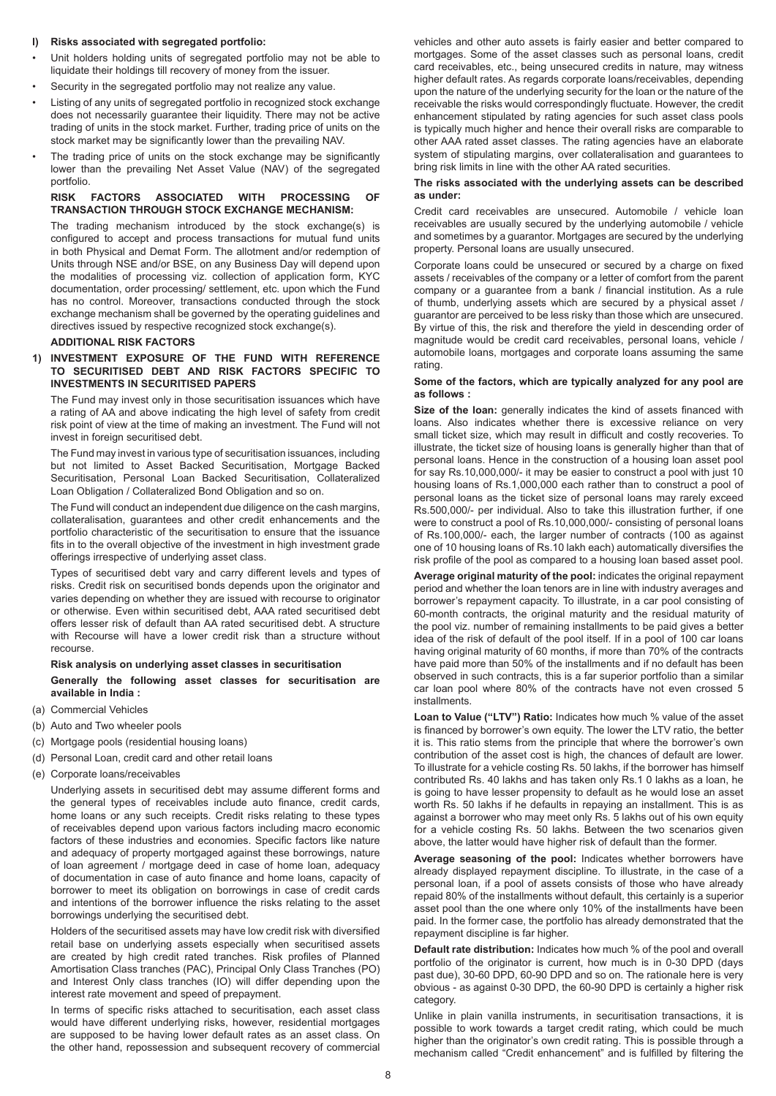# **l) Risks associated with segregated portfolio:**

- Unit holders holding units of segregated portfolio may not be able to liquidate their holdings till recovery of money from the issuer.
- Security in the segregated portfolio may not realize any value.
- Listing of any units of segregated portfolio in recognized stock exchange does not necessarily guarantee their liquidity. There may not be active trading of units in the stock market. Further, trading price of units on the stock market may be significantly lower than the prevailing NAV.
- The trading price of units on the stock exchange may be significantly lower than the prevailing Net Asset Value (NAV) of the segregated portfolio.

# **RISK FACTORS ASSOCIATED WITH PROCESSING TRANSACTION THROUGH STOCK EXCHANGE MECHANISM:**

The trading mechanism introduced by the stock exchange(s) is configured to accept and process transactions for mutual fund units in both Physical and Demat Form. The allotment and/or redemption of Units through NSE and/or BSE, on any Business Day will depend upon the modalities of processing viz. collection of application form, KYC documentation, order processing/ settlement, etc. upon which the Fund has no control. Moreover, transactions conducted through the stock exchange mechanism shall be governed by the operating guidelines and directives issued by respective recognized stock exchange(s).

#### **ADDITIONAL RISK FACTORS**

## **1) INVESTMENT EXPOSURE OF THE FUND WITH REFERENCE TO SECURITISED DEBT AND RISK FACTORS SPECIFIC TO INVESTMENTS IN SECURITISED PAPERS**

The Fund may invest only in those securitisation issuances which have a rating of AA and above indicating the high level of safety from credit risk point of view at the time of making an investment. The Fund will not invest in foreign securitised debt.

The Fund may invest in various type of securitisation issuances, including but not limited to Asset Backed Securitisation, Mortgage Backed Securitisation, Personal Loan Backed Securitisation, Collateralized Loan Obligation / Collateralized Bond Obligation and so on.

The Fund will conduct an independent due diligence on the cash margins, collateralisation, guarantees and other credit enhancements and the portfolio characteristic of the securitisation to ensure that the issuance fits in to the overall objective of the investment in high investment grade offerings irrespective of underlying asset class.

Types of securitised debt vary and carry different levels and types of risks. Credit risk on securitised bonds depends upon the originator and varies depending on whether they are issued with recourse to originator or otherwise. Even within securitised debt, AAA rated securitised debt offers lesser risk of default than AA rated securitised debt. A structure with Recourse will have a lower credit risk than a structure without recourse.

# **Risk analysis on underlying asset classes in securitisation Generally the following asset classes for securitisation are available in India :**

- (a) Commercial Vehicles
- (b) Auto and Two wheeler pools
- (c) Mortgage pools (residential housing loans)
- (d) Personal Loan, credit card and other retail loans
- (e) Corporate loans/receivables

Underlying assets in securitised debt may assume different forms and the general types of receivables include auto finance, credit cards, home loans or any such receipts. Credit risks relating to these types of receivables depend upon various factors including macro economic factors of these industries and economies. Specific factors like nature and adequacy of property mortgaged against these borrowings, nature of loan agreement / mortgage deed in case of home loan, adequacy of documentation in case of auto finance and home loans, capacity of borrower to meet its obligation on borrowings in case of credit cards and intentions of the borrower influence the risks relating to the asset borrowings underlying the securitised debt.

Holders of the securitised assets may have low credit risk with diversified retail base on underlying assets especially when securitised assets are created by high credit rated tranches. Risk profiles of Planned Amortisation Class tranches (PAC), Principal Only Class Tranches (PO) and Interest Only class tranches (IO) will differ depending upon the interest rate movement and speed of prepayment.

In terms of specific risks attached to securitisation, each asset class would have different underlying risks, however, residential mortgages are supposed to be having lower default rates as an asset class. On the other hand, repossession and subsequent recovery of commercial

vehicles and other auto assets is fairly easier and better compared to mortgages. Some of the asset classes such as personal loans, credit card receivables, etc., being unsecured credits in nature, may witness higher default rates. As regards corporate loans/receivables, depending upon the nature of the underlying security for the loan or the nature of the receivable the risks would correspondingly fluctuate. However, the credit enhancement stipulated by rating agencies for such asset class pools is typically much higher and hence their overall risks are comparable to other AAA rated asset classes. The rating agencies have an elaborate system of stipulating margins, over collateralisation and guarantees to bring risk limits in line with the other AA rated securities.

# **The risks associated with the underlying assets can be described as under:**

Credit card receivables are unsecured. Automobile / vehicle loan receivables are usually secured by the underlying automobile / vehicle and sometimes by a guarantor. Mortgages are secured by the underlying property. Personal loans are usually unsecured.

Corporate loans could be unsecured or secured by a charge on fixed assets / receivables of the company or a letter of comfort from the parent company or a guarantee from a bank / financial institution. As a rule of thumb, underlying assets which are secured by a physical asset / guarantor are perceived to be less risky than those which are unsecured. By virtue of this, the risk and therefore the yield in descending order of magnitude would be credit card receivables, personal loans, vehicle / automobile loans, mortgages and corporate loans assuming the same rating.

#### **Some of the factors, which are typically analyzed for any pool are as follows :**

**Size of the loan:** generally indicates the kind of assets financed with loans. Also indicates whether there is excessive reliance on very small ticket size, which may result in difficult and costly recoveries. To illustrate, the ticket size of housing loans is generally higher than that of personal loans. Hence in the construction of a housing loan asset pool for say Rs.10,000,000/- it may be easier to construct a pool with just 10 housing loans of Rs.1,000,000 each rather than to construct a pool of personal loans as the ticket size of personal loans may rarely exceed Rs.500,000/- per individual. Also to take this illustration further, if one were to construct a pool of Rs.10,000,000/- consisting of personal loans of Rs.100,000/- each, the larger number of contracts (100 as against one of 10 housing loans of Rs.10 lakh each) automatically diversifies the risk profile of the pool as compared to a housing loan based asset pool.

**Average original maturity of the pool:** indicates the original repayment period and whether the loan tenors are in line with industry averages and borrower's repayment capacity. To illustrate, in a car pool consisting of 60-month contracts, the original maturity and the residual maturity of the pool viz. number of remaining installments to be paid gives a better idea of the risk of default of the pool itself. If in a pool of 100 car loans having original maturity of 60 months, if more than 70% of the contracts have paid more than 50% of the installments and if no default has been observed in such contracts, this is a far superior portfolio than a similar car loan pool where 80% of the contracts have not even crossed 5 installments.

**Loan to Value ("LTV") Ratio:** Indicates how much % value of the asset is financed by borrower's own equity. The lower the LTV ratio, the better it is. This ratio stems from the principle that where the borrower's own contribution of the asset cost is high, the chances of default are lower. To illustrate for a vehicle costing Rs. 50 lakhs, if the borrower has himself contributed Rs. 40 lakhs and has taken only Rs.1 0 lakhs as a loan, he is going to have lesser propensity to default as he would lose an asset worth Rs. 50 lakhs if he defaults in repaying an installment. This is as against a borrower who may meet only Rs. 5 lakhs out of his own equity for a vehicle costing Rs. 50 lakhs. Between the two scenarios given above, the latter would have higher risk of default than the former.

**Average seasoning of the pool:** Indicates whether borrowers have already displayed repayment discipline. To illustrate, in the case of a personal loan, if a pool of assets consists of those who have already repaid 80% of the installments without default, this certainly is a superior asset pool than the one where only 10% of the installments have been paid. In the former case, the portfolio has already demonstrated that the repayment discipline is far higher.

**Default rate distribution:** Indicates how much % of the pool and overall portfolio of the originator is current, how much is in 0-30 DPD (days past due), 30-60 DPD, 60-90 DPD and so on. The rationale here is very obvious - as against 0-30 DPD, the 60-90 DPD is certainly a higher risk category.

Unlike in plain vanilla instruments, in securitisation transactions, it is possible to work towards a target credit rating, which could be much higher than the originator's own credit rating. This is possible through a mechanism called "Credit enhancement" and is fulfilled by filtering the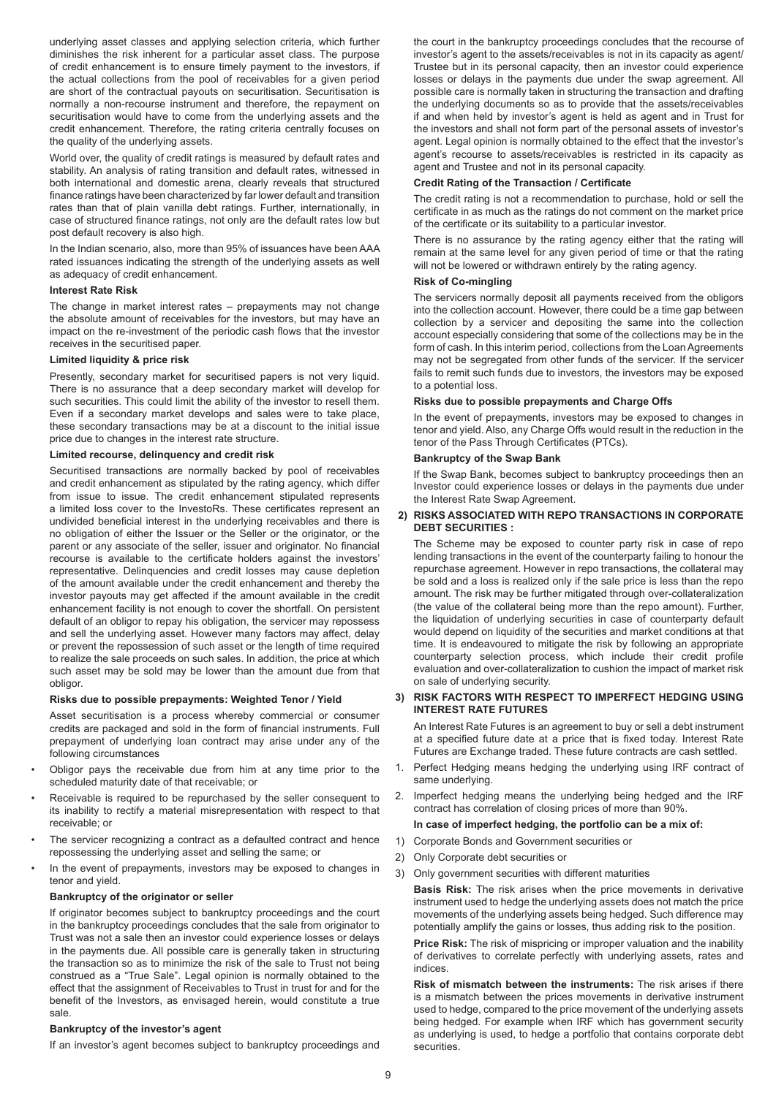underlying asset classes and applying selection criteria, which further diminishes the risk inherent for a particular asset class. The purpose of credit enhancement is to ensure timely payment to the investors, if the actual collections from the pool of receivables for a given period are short of the contractual payouts on securitisation. Securitisation is normally a non-recourse instrument and therefore, the repayment on securitisation would have to come from the underlying assets and the credit enhancement. Therefore, the rating criteria centrally focuses on the quality of the underlying assets.

World over, the quality of credit ratings is measured by default rates and stability. An analysis of rating transition and default rates, witnessed in both international and domestic arena, clearly reveals that structured finance ratings have been characterized by far lower default and transition rates than that of plain vanilla debt ratings. Further, internationally, in case of structured finance ratings, not only are the default rates low but post default recovery is also high.

In the Indian scenario, also, more than 95% of issuances have been AAA rated issuances indicating the strength of the underlying assets as well as adequacy of credit enhancement.

# **Interest Rate Risk**

The change in market interest rates – prepayments may not change the absolute amount of receivables for the investors, but may have an impact on the re-investment of the periodic cash flows that the investor receives in the securitised paper.

### **Limited liquidity & price risk**

Presently, secondary market for securitised papers is not very liquid. There is no assurance that a deep secondary market will develop for such securities. This could limit the ability of the investor to resell them. Even if a secondary market develops and sales were to take place, these secondary transactions may be at a discount to the initial issue price due to changes in the interest rate structure.

#### **Limited recourse, delinquency and credit risk**

Securitised transactions are normally backed by pool of receivables and credit enhancement as stipulated by the rating agency, which differ from issue to issue. The credit enhancement stipulated represents a limited loss cover to the InvestoRs. These certificates represent an undivided beneficial interest in the underlying receivables and there is no obligation of either the Issuer or the Seller or the originator, or the parent or any associate of the seller, issuer and originator. No financial recourse is available to the certificate holders against the investors' representative. Delinquencies and credit losses may cause depletion of the amount available under the credit enhancement and thereby the investor payouts may get affected if the amount available in the credit enhancement facility is not enough to cover the shortfall. On persistent default of an obligor to repay his obligation, the servicer may repossess and sell the underlying asset. However many factors may affect, delay or prevent the repossession of such asset or the length of time required to realize the sale proceeds on such sales. In addition, the price at which such asset may be sold may be lower than the amount due from that obligor.

# **Risks due to possible prepayments: Weighted Tenor / Yield**

Asset securitisation is a process whereby commercial or consumer credits are packaged and sold in the form of financial instruments. Full prepayment of underlying loan contract may arise under any of the following circumstances

- Obligor pays the receivable due from him at any time prior to the scheduled maturity date of that receivable; or
- Receivable is required to be repurchased by the seller consequent to its inability to rectify a material misrepresentation with respect to that receivable; or
- The servicer recognizing a contract as a defaulted contract and hence repossessing the underlying asset and selling the same; or
- In the event of prepayments, investors may be exposed to changes in tenor and yield.

#### **Bankruptcy of the originator or seller**

If originator becomes subject to bankruptcy proceedings and the court in the bankruptcy proceedings concludes that the sale from originator to Trust was not a sale then an investor could experience losses or delays in the payments due. All possible care is generally taken in structuring the transaction so as to minimize the risk of the sale to Trust not being construed as a "True Sale". Legal opinion is normally obtained to the effect that the assignment of Receivables to Trust in trust for and for the benefit of the Investors, as envisaged herein, would constitute a true sale.

#### **Bankruptcy of the investor's agent**

If an investor's agent becomes subject to bankruptcy proceedings and

the court in the bankruptcy proceedings concludes that the recourse of investor's agent to the assets/receivables is not in its capacity as agent/ Trustee but in its personal capacity, then an investor could experience losses or delays in the payments due under the swap agreement. All possible care is normally taken in structuring the transaction and drafting the underlying documents so as to provide that the assets/receivables if and when held by investor's agent is held as agent and in Trust for the investors and shall not form part of the personal assets of investor's agent. Legal opinion is normally obtained to the effect that the investor's agent's recourse to assets/receivables is restricted in its capacity as agent and Trustee and not in its personal capacity.

#### **Credit Rating of the Transaction / Certificate**

The credit rating is not a recommendation to purchase, hold or sell the certificate in as much as the ratings do not comment on the market price of the certificate or its suitability to a particular investor.

There is no assurance by the rating agency either that the rating will remain at the same level for any given period of time or that the rating will not be lowered or withdrawn entirely by the rating agency.

# **Risk of Co-mingling**

The servicers normally deposit all payments received from the obligors into the collection account. However, there could be a time gap between collection by a servicer and depositing the same into the collection account especially considering that some of the collections may be in the form of cash. In this interim period, collections from the Loan Agreements may not be segregated from other funds of the servicer. If the servicer fails to remit such funds due to investors, the investors may be exposed to a potential loss.

#### **Risks due to possible prepayments and Charge Offs**

In the event of prepayments, investors may be exposed to changes in tenor and yield. Also, any Charge Offs would result in the reduction in the tenor of the Pass Through Certificates (PTCs).

#### **Bankruptcy of the Swap Bank**

If the Swap Bank, becomes subject to bankruptcy proceedings then an Investor could experience losses or delays in the payments due under the Interest Rate Swap Agreement.

# **2) RISKS ASSOCIATED WITH REPO TRANSACTIONS IN CORPORATE DEBT SECURITIES :**

The Scheme may be exposed to counter party risk in case of repo lending transactions in the event of the counterparty failing to honour the repurchase agreement. However in repo transactions, the collateral may be sold and a loss is realized only if the sale price is less than the repo amount. The risk may be further mitigated through over-collateralization (the value of the collateral being more than the repo amount). Further, the liquidation of underlying securities in case of counterparty default would depend on liquidity of the securities and market conditions at that time. It is endeavoured to mitigate the risk by following an appropriate counterparty selection process, which include their credit profile evaluation and over-collateralization to cushion the impact of market risk on sale of underlying security.

# **3) RISK FACTORS WITH RESPECT TO IMPERFECT HEDGING USING INTEREST RATE FUTURES**

An Interest Rate Futures is an agreement to buy or sell a debt instrument at a specified future date at a price that is fixed today. Interest Rate Futures are Exchange traded. These future contracts are cash settled.

- 1. Perfect Hedging means hedging the underlying using IRF contract of same underlying.
- 2. Imperfect hedging means the underlying being hedged and the IRF contract has correlation of closing prices of more than 90%.

#### **In case of imperfect hedging, the portfolio can be a mix of:**

- 1) Corporate Bonds and Government securities or
- 2) Only Corporate debt securities or
- 3) Only government securities with different maturities

**Basis Risk:** The risk arises when the price movements in derivative instrument used to hedge the underlying assets does not match the price movements of the underlying assets being hedged. Such difference may potentially amplify the gains or losses, thus adding risk to the position.

**Price Risk:** The risk of mispricing or improper valuation and the inability of derivatives to correlate perfectly with underlying assets, rates and indices.

**Risk of mismatch between the instruments:** The risk arises if there is a mismatch between the prices movements in derivative instrument used to hedge, compared to the price movement of the underlying assets being hedged. For example when IRF which has government security as underlying is used, to hedge a portfolio that contains corporate debt securities.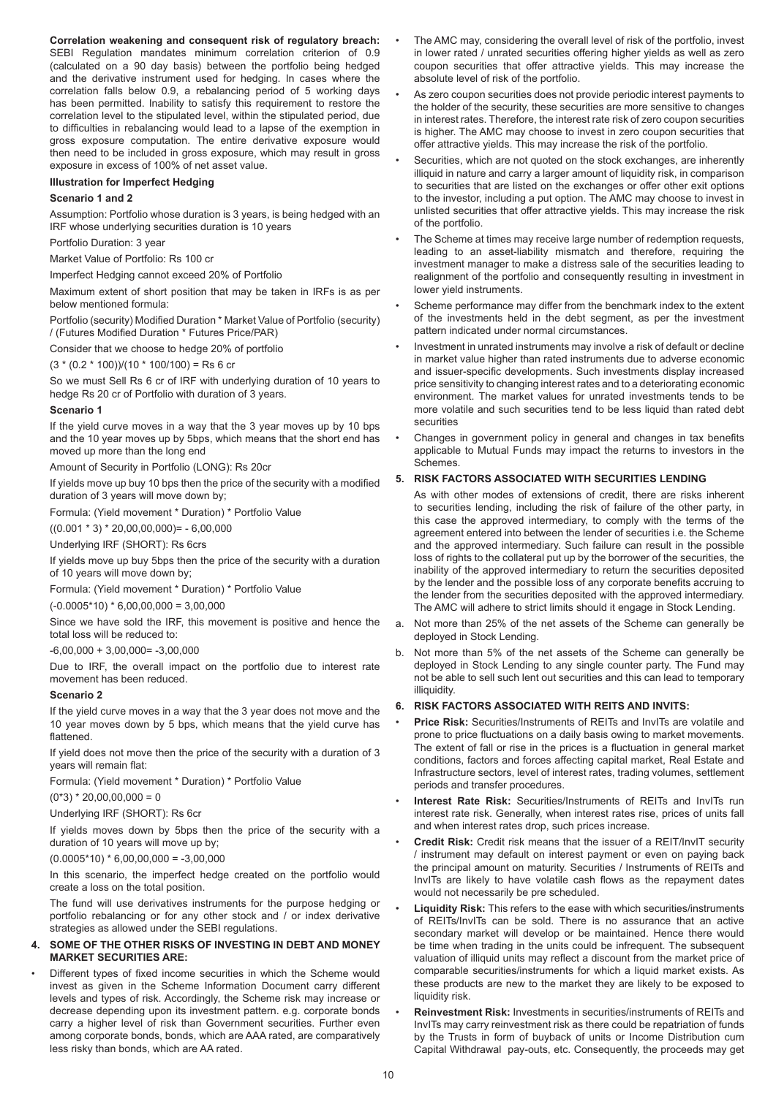**Correlation weakening and consequent risk of regulatory breach:** SEBI Regulation mandates minimum correlation criterion of 0.9 (calculated on a 90 day basis) between the portfolio being hedged and the derivative instrument used for hedging. In cases where the correlation falls below 0.9, a rebalancing period of 5 working days has been permitted. Inability to satisfy this requirement to restore the correlation level to the stipulated level, within the stipulated period, due to difficulties in rebalancing would lead to a lapse of the exemption in gross exposure computation. The entire derivative exposure would then need to be included in gross exposure, which may result in gross exposure in excess of 100% of net asset value.

**Illustration for Imperfect Hedging**

# **Scenario 1 and 2**

Assumption: Portfolio whose duration is 3 years, is being hedged with an IRF whose underlying securities duration is 10 years

Portfolio Duration: 3 year

Market Value of Portfolio: Rs 100 cr

Imperfect Hedging cannot exceed 20% of Portfolio

Maximum extent of short position that may be taken in IRFs is as per below mentioned formula:

Portfolio (security) Modified Duration \* Market Value of Portfolio (security) / (Futures Modified Duration \* Futures Price/PAR)

Consider that we choose to hedge 20% of portfolio

 $(3 * (0.2 * 100)) / (10 * 100 / 100) =$ Rs 6 cr

So we must Sell Rs 6 cr of IRF with underlying duration of 10 years to hedge Rs 20 cr of Portfolio with duration of 3 years.

#### **Scenario 1**

If the yield curve moves in a way that the 3 year moves up by 10 bps and the 10 year moves up by 5bps, which means that the short end has moved up more than the long end

Amount of Security in Portfolio (LONG): Rs 20cr

If yields move up buy 10 bps then the price of the security with a modified duration of 3 years will move down by;

Formula: (Yield movement \* Duration) \* Portfolio Value

 $((0.001 * 3) * 20,00,00,000) = -6,00,000$ 

Underlying IRF (SHORT): Rs 6crs

If yields move up buy 5bps then the price of the security with a duration of 10 years will move down by;

Formula: (Yield movement \* Duration) \* Portfolio Value

 $(-0.0005*10)*6,00,00,000 = 3,00,000$ 

Since we have sold the IRF, this movement is positive and hence the total loss will be reduced to:

 $-6.00.000 + 3.00.000 = -3.00.000$ 

Due to IRF, the overall impact on the portfolio due to interest rate movement has been reduced.

# **Scenario 2**

If the yield curve moves in a way that the 3 year does not move and the 10 year moves down by 5 bps, which means that the yield curve has flattened

If yield does not move then the price of the security with a duration of 3 years will remain flat:

Formula: (Yield movement \* Duration) \* Portfolio Value

 $(0*3) * 20,00,00,000 = 0$ 

Underlying IRF (SHORT): Rs 6cr

If yields moves down by 5bps then the price of the security with a duration of 10 years will move up by;

 $(0.0005*10)*6,00,00,000 = -3,00,000$ 

In this scenario, the imperfect hedge created on the portfolio would create a loss on the total position.

The fund will use derivatives instruments for the purpose hedging or portfolio rebalancing or for any other stock and / or index derivative strategies as allowed under the SEBI regulations.

# **4. SOME OF THE OTHER RISKS OF INVESTING IN DEBT AND MONEY MARKET SECURITIES ARE:**

Different types of fixed income securities in which the Scheme would invest as given in the Scheme Information Document carry different levels and types of risk. Accordingly, the Scheme risk may increase or decrease depending upon its investment pattern. e.g. corporate bonds carry a higher level of risk than Government securities. Further even among corporate bonds, bonds, which are AAA rated, are comparatively less risky than bonds, which are AA rated.

- The AMC may, considering the overall level of risk of the portfolio, invest in lower rated / unrated securities offering higher yields as well as zero coupon securities that offer attractive yields. This may increase the absolute level of risk of the portfolio.
- As zero coupon securities does not provide periodic interest payments to the holder of the security, these securities are more sensitive to changes in interest rates. Therefore, the interest rate risk of zero coupon securities is higher. The AMC may choose to invest in zero coupon securities that offer attractive yields. This may increase the risk of the portfolio.
- Securities, which are not quoted on the stock exchanges, are inherently illiquid in nature and carry a larger amount of liquidity risk, in comparison to securities that are listed on the exchanges or offer other exit options to the investor, including a put option. The AMC may choose to invest in unlisted securities that offer attractive yields. This may increase the risk of the portfolio.
- The Scheme at times may receive large number of redemption requests, leading to an asset-liability mismatch and therefore, requiring the investment manager to make a distress sale of the securities leading to realignment of the portfolio and consequently resulting in investment in lower yield instruments.
- Scheme performance may differ from the benchmark index to the extent of the investments held in the debt segment, as per the investment pattern indicated under normal circumstances.
- Investment in unrated instruments may involve a risk of default or decline in market value higher than rated instruments due to adverse economic and issuer-specific developments. Such investments display increased price sensitivity to changing interest rates and to a deteriorating economic environment. The market values for unrated investments tends to be more volatile and such securities tend to be less liquid than rated debt securities
- Changes in government policy in general and changes in tax benefits applicable to Mutual Funds may impact the returns to investors in the Schemes.

# **5. RISK FACTORS ASSOCIATED WITH SECURITIES LENDING**

As with other modes of extensions of credit, there are risks inherent to securities lending, including the risk of failure of the other party, in this case the approved intermediary, to comply with the terms of the agreement entered into between the lender of securities i.e. the Scheme and the approved intermediary. Such failure can result in the possible loss of rights to the collateral put up by the borrower of the securities, the inability of the approved intermediary to return the securities deposited by the lender and the possible loss of any corporate benefits accruing to the lender from the securities deposited with the approved intermediary. The AMC will adhere to strict limits should it engage in Stock Lending.

- a. Not more than 25% of the net assets of the Scheme can generally be deployed in Stock Lending.
- b. Not more than 5% of the net assets of the Scheme can generally be deployed in Stock Lending to any single counter party. The Fund may not be able to sell such lent out securities and this can lead to temporary **illiquidity**

# **6. RISK FACTORS ASSOCIATED WITH REITS AND INVITS:**

- **Price Risk:** Securities/Instruments of REITs and InvITs are volatile and prone to price fluctuations on a daily basis owing to market movements. The extent of fall or rise in the prices is a fluctuation in general market conditions, factors and forces affecting capital market, Real Estate and Infrastructure sectors, level of interest rates, trading volumes, settlement periods and transfer procedures.
- **Interest Rate Risk:** Securities/Instruments of REITs and InvITs run interest rate risk. Generally, when interest rates rise, prices of units fall and when interest rates drop, such prices increase.
- **Credit Risk:** Credit risk means that the issuer of a REIT/InvIT security / instrument may default on interest payment or even on paying back the principal amount on maturity. Securities / Instruments of REITs and InvITs are likely to have volatile cash flows as the repayment dates would not necessarily be pre scheduled.
- **Liquidity Risk:** This refers to the ease with which securities/instruments of REITs/InvITs can be sold. There is no assurance that an active secondary market will develop or be maintained. Hence there would be time when trading in the units could be infrequent. The subsequent valuation of illiquid units may reflect a discount from the market price of comparable securities/instruments for which a liquid market exists. As these products are new to the market they are likely to be exposed to liquidity risk.
- **Reinvestment Risk:** Investments in securities/instruments of REITs and InvITs may carry reinvestment risk as there could be repatriation of funds by the Trusts in form of buyback of units or Income Distribution cum Capital Withdrawal pay-outs, etc. Consequently, the proceeds may get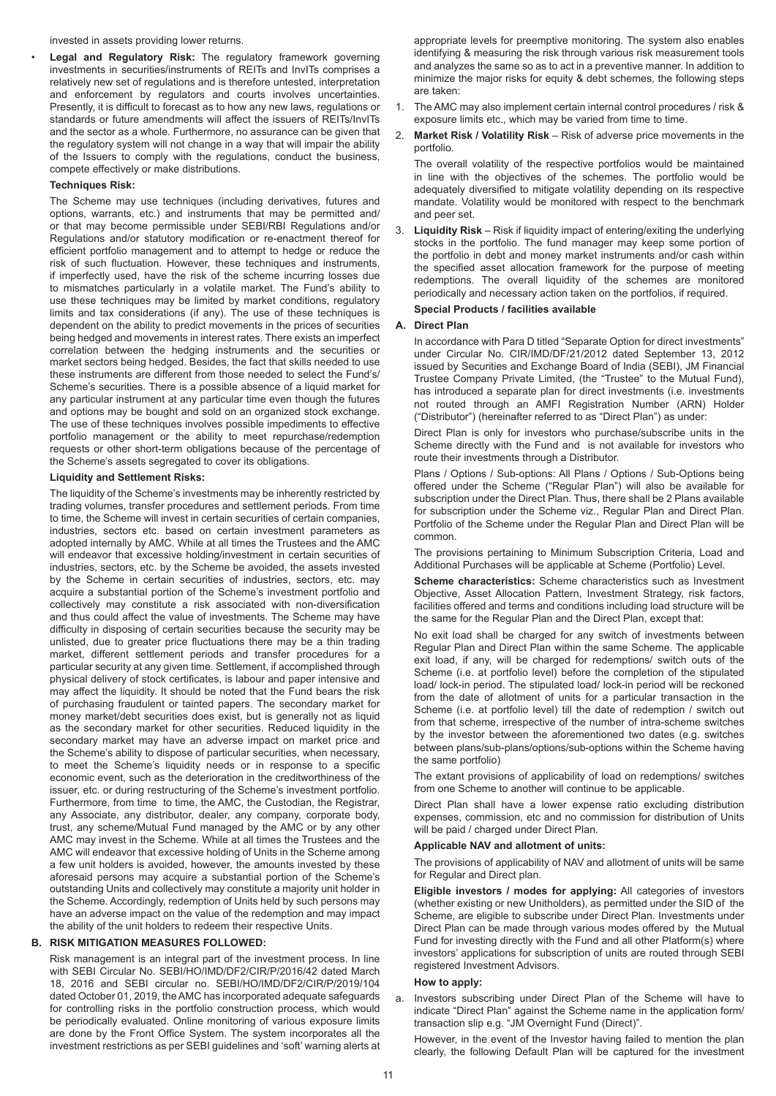invested in assets providing lower returns.

• **Legal and Regulatory Risk:** The regulatory framework governing investments in securities/instruments of REITs and InvITs comprises a relatively new set of regulations and is therefore untested, interpretation and enforcement by regulators and courts involves uncertainties. Presently, it is difficult to forecast as to how any new laws, regulations or standards or future amendments will affect the issuers of REITs/InvITs and the sector as a whole. Furthermore, no assurance can be given that the regulatory system will not change in a way that will impair the ability of the Issuers to comply with the regulations, conduct the business, compete effectively or make distributions.

# **Techniques Risk:**

The Scheme may use techniques (including derivatives, futures and options, warrants, etc.) and instruments that may be permitted and/ or that may become permissible under SEBI/RBI Regulations and/or Regulations and/or statutory modification or re-enactment thereof for efficient portfolio management and to attempt to hedge or reduce the risk of such fluctuation. However, these techniques and instruments, if imperfectly used, have the risk of the scheme incurring losses due to mismatches particularly in a volatile market. The Fund's ability to use these techniques may be limited by market conditions, regulatory limits and tax considerations (if any). The use of these techniques is dependent on the ability to predict movements in the prices of securities being hedged and movements in interest rates. There exists an imperfect correlation between the hedging instruments and the securities or market sectors being hedged. Besides, the fact that skills needed to use these instruments are different from those needed to select the Fund's/ Scheme's securities. There is a possible absence of a liquid market for any particular instrument at any particular time even though the futures and options may be bought and sold on an organized stock exchange. The use of these techniques involves possible impediments to effective portfolio management or the ability to meet repurchase/redemption requests or other short-term obligations because of the percentage of the Scheme's assets segregated to cover its obligations.

# **Liquidity and Settlement Risks:**

The liquidity of the Scheme's investments may be inherently restricted by trading volumes, transfer procedures and settlement periods. From time to time, the Scheme will invest in certain securities of certain companies, industries, sectors etc. based on certain investment parameters as adopted internally by AMC. While at all times the Trustees and the AMC will endeavor that excessive holding/investment in certain securities of industries, sectors, etc. by the Scheme be avoided, the assets invested by the Scheme in certain securities of industries, sectors, etc. may acquire a substantial portion of the Scheme's investment portfolio and collectively may constitute a risk associated with non-diversification and thus could affect the value of investments. The Scheme may have difficulty in disposing of certain securities because the security may be unlisted, due to greater price fluctuations there may be a thin trading market, different settlement periods and transfer procedures for a particular security at any given time. Settlement, if accomplished through physical delivery of stock certificates, is labour and paper intensive and may affect the liquidity. It should be noted that the Fund bears the risk of purchasing fraudulent or tainted papers. The secondary market for money market/debt securities does exist, but is generally not as liquid as the secondary market for other securities. Reduced liquidity in the secondary market may have an adverse impact on market price and the Scheme's ability to dispose of particular securities, when necessary, to meet the Scheme's liquidity needs or in response to a specific economic event, such as the deterioration in the creditworthiness of the issuer, etc. or during restructuring of the Scheme's investment portfolio. Furthermore, from time to time, the AMC, the Custodian, the Registrar, any Associate, any distributor, dealer, any company, corporate body, trust, any scheme/Mutual Fund managed by the AMC or by any other AMC may invest in the Scheme. While at all times the Trustees and the AMC will endeavor that excessive holding of Units in the Scheme among a few unit holders is avoided, however, the amounts invested by these aforesaid persons may acquire a substantial portion of the Scheme's outstanding Units and collectively may constitute a majority unit holder in the Scheme. Accordingly, redemption of Units held by such persons may have an adverse impact on the value of the redemption and may impact the ability of the unit holders to redeem their respective Units.

# **B. RISK MITIGATION MEASURES FOLLOWED:**

Risk management is an integral part of the investment process. In line with SEBI Circular No. SEBI/HO/IMD/DF2/CIR/P/2016/42 dated March 18, 2016 and SEBI circular no. SEBI/HO/IMD/DF2/CIR/P/2019/104 dated October 01, 2019, the AMC has incorporated adequate safeguards for controlling risks in the portfolio construction process, which would be periodically evaluated. Online monitoring of various exposure limits are done by the Front Office System. The system incorporates all the investment restrictions as per SEBI guidelines and 'soft' warning alerts at appropriate levels for preemptive monitoring. The system also enables identifying & measuring the risk through various risk measurement tools and analyzes the same so as to act in a preventive manner. In addition to minimize the major risks for equity & debt schemes, the following steps are taken:

- 1. The AMC may also implement certain internal control procedures / risk & exposure limits etc., which may be varied from time to time.
- 2. **Market Risk / Volatility Risk** Risk of adverse price movements in the portfolio.

The overall volatility of the respective portfolios would be maintained in line with the objectives of the schemes. The portfolio would be adequately diversified to mitigate volatility depending on its respective mandate. Volatility would be monitored with respect to the benchmark and peer set.

3. **Liquidity Risk** – Risk if liquidity impact of entering/exiting the underlying stocks in the portfolio. The fund manager may keep some portion of the portfolio in debt and money market instruments and/or cash within the specified asset allocation framework for the purpose of meeting redemptions. The overall liquidity of the schemes are monitored periodically and necessary action taken on the portfolios, if required.

# **Special Products / facilities available**

# **A. Direct Plan**

In accordance with Para D titled "Separate Option for direct investments" under Circular No. CIR/IMD/DF/21/2012 dated September 13, 2012 issued by Securities and Exchange Board of India (SEBI), JM Financial Trustee Company Private Limited, (the "Trustee" to the Mutual Fund), has introduced a separate plan for direct investments (i.e. investments not routed through an AMFI Registration Number (ARN) Holder ("Distributor") (hereinafter referred to as "Direct Plan") as under:

Direct Plan is only for investors who purchase/subscribe units in the Scheme directly with the Fund and is not available for investors who route their investments through a Distributor.

Plans / Options / Sub-options: All Plans / Options / Sub-Options being offered under the Scheme ("Regular Plan") will also be available for subscription under the Direct Plan. Thus, there shall be 2 Plans available for subscription under the Scheme viz., Regular Plan and Direct Plan. Portfolio of the Scheme under the Regular Plan and Direct Plan will be common.

The provisions pertaining to Minimum Subscription Criteria, Load and Additional Purchases will be applicable at Scheme (Portfolio) Level.

**Scheme characteristics:** Scheme characteristics such as Investment Objective, Asset Allocation Pattern, Investment Strategy, risk factors, facilities offered and terms and conditions including load structure will be the same for the Regular Plan and the Direct Plan, except that:

No exit load shall be charged for any switch of investments between Regular Plan and Direct Plan within the same Scheme. The applicable exit load, if any, will be charged for redemptions/ switch outs of the Scheme (i.e. at portfolio level) before the completion of the stipulated load/ lock-in period. The stipulated load/ lock-in period will be reckoned from the date of allotment of units for a particular transaction in the Scheme (i.e. at portfolio level) till the date of redemption / switch out from that scheme, irrespective of the number of intra-scheme switches by the investor between the aforementioned two dates (e.g. switches between plans/sub-plans/options/sub-options within the Scheme having the same portfolio)

The extant provisions of applicability of load on redemptions/ switches from one Scheme to another will continue to be applicable.

Direct Plan shall have a lower expense ratio excluding distribution expenses, commission, etc and no commission for distribution of Units will be paid / charged under Direct Plan.

# **Applicable NAV and allotment of units:**

The provisions of applicability of NAV and allotment of units will be same for Regular and Direct plan.

**Eligible investors / modes for applying:** All categories of investors (whether existing or new Unitholders), as permitted under the SID of the Scheme, are eligible to subscribe under Direct Plan. Investments under Direct Plan can be made through various modes offered by the Mutual Fund for investing directly with the Fund and all other Platform(s) where investors' applications for subscription of units are routed through SEBI registered Investment Advisors.

# **How to apply:**

a. Investors subscribing under Direct Plan of the Scheme will have to indicate "Direct Plan" against the Scheme name in the application form/ transaction slip e.g. "JM Overnight Fund (Direct)".

However, in the event of the Investor having failed to mention the plan clearly, the following Default Plan will be captured for the investment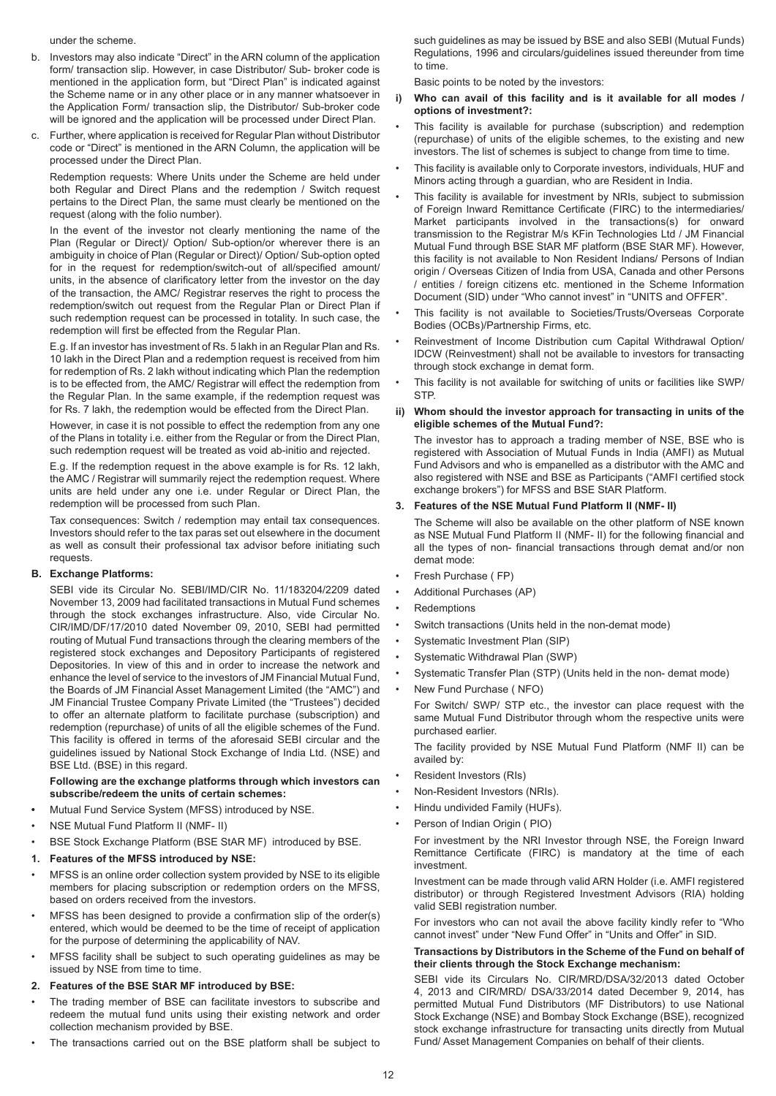under the scheme.

- b. Investors may also indicate "Direct" in the ARN column of the application form/ transaction slip. However, in case Distributor/ Sub- broker code is mentioned in the application form, but "Direct Plan" is indicated against the Scheme name or in any other place or in any manner whatsoever in the Application Form/ transaction slip, the Distributor/ Sub-broker code will be ignored and the application will be processed under Direct Plan.
- c. Further, where application is received for Regular Plan without Distributor code or "Direct" is mentioned in the ARN Column, the application will be processed under the Direct Plan.

Redemption requests: Where Units under the Scheme are held under both Regular and Direct Plans and the redemption / Switch request pertains to the Direct Plan, the same must clearly be mentioned on the request (along with the folio number).

In the event of the investor not clearly mentioning the name of the Plan (Regular or Direct)/ Option/ Sub-option/or wherever there is an ambiguity in choice of Plan (Regular or Direct)/ Option/ Sub-option opted for in the request for redemption/switch-out of all/specified amount/ units, in the absence of clarificatory letter from the investor on the day of the transaction, the AMC/ Registrar reserves the right to process the redemption/switch out request from the Regular Plan or Direct Plan if such redemption request can be processed in totality. In such case, the redemption will first be effected from the Regular Plan.

E.g. If an investor has investment of Rs. 5 lakh in an Regular Plan and Rs. 10 lakh in the Direct Plan and a redemption request is received from him for redemption of Rs. 2 lakh without indicating which Plan the redemption is to be effected from, the AMC/ Registrar will effect the redemption from the Regular Plan. In the same example, if the redemption request was for Rs. 7 lakh, the redemption would be effected from the Direct Plan.

However, in case it is not possible to effect the redemption from any one of the Plans in totality i.e. either from the Regular or from the Direct Plan, such redemption request will be treated as void ab-initio and rejected.

E.g. If the redemption request in the above example is for Rs. 12 lakh, the AMC / Registrar will summarily reject the redemption request. Where units are held under any one i.e. under Regular or Direct Plan, the redemption will be processed from such Plan.

Tax consequences: Switch / redemption may entail tax consequences. Investors should refer to the tax paras set out elsewhere in the document as well as consult their professional tax advisor before initiating such requests.

# **B. Exchange Platforms:**

SEBI vide its Circular No. SEBI/IMD/CIR No. 11/183204/2209 dated November 13, 2009 had facilitated transactions in Mutual Fund schemes through the stock exchanges infrastructure. Also, vide Circular No. CIR/IMD/DF/17/2010 dated November 09, 2010, SEBI had permitted routing of Mutual Fund transactions through the clearing members of the registered stock exchanges and Depository Participants of registered Depositories. In view of this and in order to increase the network and enhance the level of service to the investors of JM Financial Mutual Fund, the Boards of JM Financial Asset Management Limited (the "AMC") and JM Financial Trustee Company Private Limited (the "Trustees") decided to offer an alternate platform to facilitate purchase (subscription) and redemption (repurchase) of units of all the eligible schemes of the Fund. This facility is offered in terms of the aforesaid SEBI circular and the guidelines issued by National Stock Exchange of India Ltd. (NSE) and BSE Ltd. (BSE) in this regard.

# **Following are the exchange platforms through which investors can subscribe/redeem the units of certain schemes:**

- **•** Mutual Fund Service System (MFSS) introduced by NSE.
- NSE Mutual Fund Platform II (NMF- II)
- BSE Stock Exchange Platform (BSE StAR MF) introduced by BSE.
- **1. Features of the MFSS introduced by NSE:**
- MFSS is an online order collection system provided by NSE to its eligible members for placing subscription or redemption orders on the MFSS, based on orders received from the investors.
- MFSS has been designed to provide a confirmation slip of the order(s) entered, which would be deemed to be the time of receipt of application for the purpose of determining the applicability of NAV.
- MFSS facility shall be subject to such operating guidelines as may be issued by NSE from time to time.
- **2. Features of the BSE StAR MF introduced by BSE:**
- The trading member of BSE can facilitate investors to subscribe and redeem the mutual fund units using their existing network and order collection mechanism provided by BSE.
- The transactions carried out on the BSE platform shall be subject to

such guidelines as may be issued by BSE and also SEBI (Mutual Funds) Regulations, 1996 and circulars/guidelines issued thereunder from time to time.

Basic points to be noted by the investors:

- **i) Who can avail of this facility and is it available for all modes / options of investment?:**
- This facility is available for purchase (subscription) and redemption (repurchase) of units of the eligible schemes, to the existing and new investors. The list of schemes is subject to change from time to time.
- This facility is available only to Corporate investors, individuals, HUF and Minors acting through a guardian, who are Resident in India.
- This facility is available for investment by NRIs, subject to submission of Foreign Inward Remittance Certificate (FIRC) to the intermediaries/ Market participants involved in the transactions(s) for onward transmission to the Registrar M/s KFin Technologies Ltd / JM Financial Mutual Fund through BSE StAR MF platform (BSE StAR MF). However, this facility is not available to Non Resident Indians/ Persons of Indian origin / Overseas Citizen of India from USA, Canada and other Persons / entities / foreign citizens etc. mentioned in the Scheme Information Document (SID) under "Who cannot invest" in "UNITS and OFFER".
- This facility is not available to Societies/Trusts/Overseas Corporate Bodies (OCBs)/Partnership Firms, etc.
- Reinvestment of Income Distribution cum Capital Withdrawal Option/ IDCW (Reinvestment) shall not be available to investors for transacting through stock exchange in demat form.
- This facility is not available for switching of units or facilities like SWP/ **STP.**
- **ii) Whom should the investor approach for transacting in units of the eligible schemes of the Mutual Fund?:**

The investor has to approach a trading member of NSE, BSE who is registered with Association of Mutual Funds in India (AMFI) as Mutual Fund Advisors and who is empanelled as a distributor with the AMC and also registered with NSE and BSE as Participants ("AMFI certified stock exchange brokers") for MFSS and BSE StAR Platform.

#### **3. Features of the NSE Mutual Fund Platform II (NMF- II)**

The Scheme will also be available on the other platform of NSE known as NSE Mutual Fund Platform II (NMF- II) for the following financial and all the types of non- financial transactions through demat and/or non demat mode:

- Fresh Purchase ( FP)
- Additional Purchases (AP)
- Redemptions
- Switch transactions (Units held in the non-demat mode)
- Systematic Investment Plan (SIP)
- Systematic Withdrawal Plan (SWP)
- Systematic Transfer Plan (STP) (Units held in the non- demat mode)
- New Fund Purchase ( NFO)

For Switch/ SWP/ STP etc., the investor can place request with the same Mutual Fund Distributor through whom the respective units were purchased earlier.

The facility provided by NSE Mutual Fund Platform (NMF II) can be availed by:

- Resident Investors (RIs)
- Non-Resident Investors (NRIs).
- Hindu undivided Family (HUFs).
- Person of Indian Origin ( PIO)

For investment by the NRI Investor through NSE, the Foreign Inward Remittance Certificate (FIRC) is mandatory at the time of each investment.

Investment can be made through valid ARN Holder (i.e. AMFI registered distributor) or through Registered Investment Advisors (RIA) holding valid SEBI registration number.

For investors who can not avail the above facility kindly refer to "Who cannot invest" under "New Fund Offer" in "Units and Offer" in SID.

#### **Transactions by Distributors in the Scheme of the Fund on behalf of their clients through the Stock Exchange mechanism:**

SEBI vide its Circulars No. CIR/MRD/DSA/32/2013 dated October 4, 2013 and CIR/MRD/ DSA/33/2014 dated December 9, 2014, has permitted Mutual Fund Distributors (MF Distributors) to use National Stock Exchange (NSE) and Bombay Stock Exchange (BSE), recognized stock exchange infrastructure for transacting units directly from Mutual Fund/ Asset Management Companies on behalf of their clients.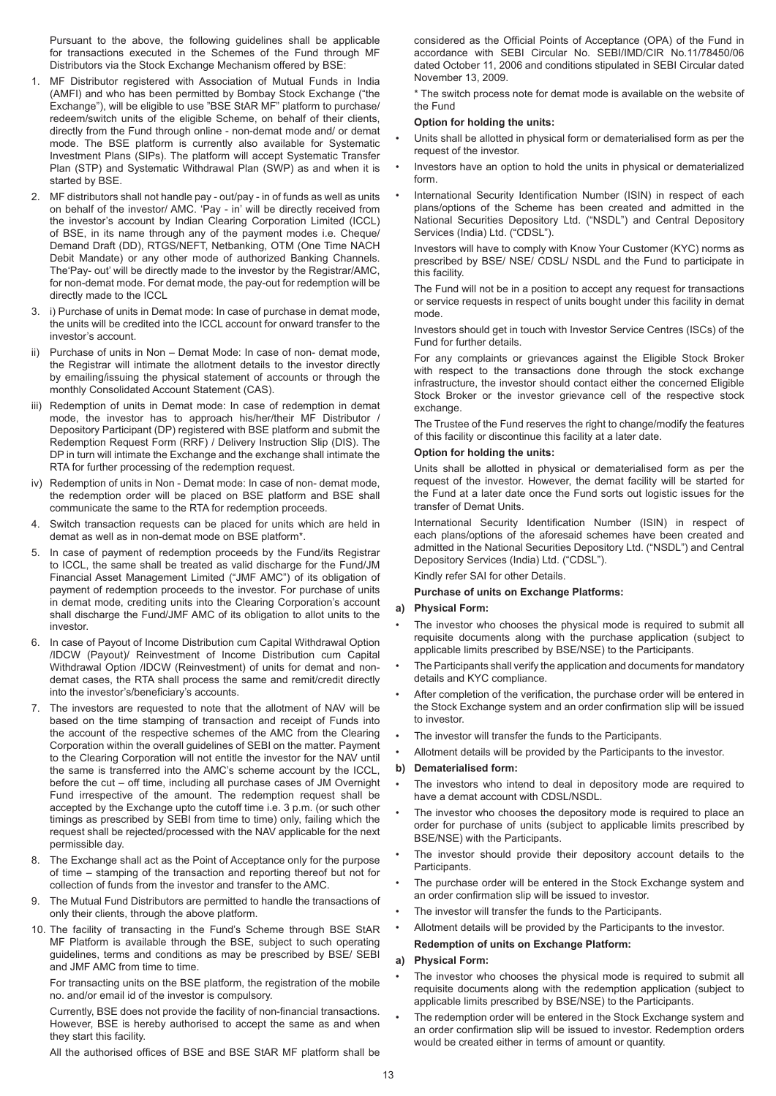Pursuant to the above, the following guidelines shall be applicable for transactions executed in the Schemes of the Fund through MF Distributors via the Stock Exchange Mechanism offered by BSE:

- 1. MF Distributor registered with Association of Mutual Funds in India (AMFI) and who has been permitted by Bombay Stock Exchange ("the Exchange"), will be eligible to use "BSE StAR MF" platform to purchase/ redeem/switch units of the eligible Scheme, on behalf of their clients, directly from the Fund through online - non-demat mode and/ or demat mode. The BSE platform is currently also available for Systematic Investment Plans (SIPs). The platform will accept Systematic Transfer Plan (STP) and Systematic Withdrawal Plan (SWP) as and when it is started by BSE.
- 2. MF distributors shall not handle pay out/pay in of funds as well as units on behalf of the investor/ AMC. 'Pay - in' will be directly received from the investor's account by Indian Clearing Corporation Limited (ICCL) of BSE, in its name through any of the payment modes i.e. Cheque/ Demand Draft (DD), RTGS/NEFT, Netbanking, OTM (One Time NACH Debit Mandate) or any other mode of authorized Banking Channels. The'Pay- out' will be directly made to the investor by the Registrar/AMC, for non-demat mode. For demat mode, the pay-out for redemption will be directly made to the ICCL
- 3. i) Purchase of units in Demat mode: In case of purchase in demat mode, the units will be credited into the ICCL account for onward transfer to the investor's account.
- ii) Purchase of units in Non Demat Mode: In case of non- demat mode, the Registrar will intimate the allotment details to the investor directly by emailing/issuing the physical statement of accounts or through the monthly Consolidated Account Statement (CAS).
- iii) Redemption of units in Demat mode: In case of redemption in demat mode, the investor has to approach his/her/their MF Distributor / Depository Participant (DP) registered with BSE platform and submit the Redemption Request Form (RRF) / Delivery Instruction Slip (DIS). The DP in turn will intimate the Exchange and the exchange shall intimate the RTA for further processing of the redemption request.
- iv) Redemption of units in Non Demat mode: In case of non- demat mode, the redemption order will be placed on BSE platform and BSE shall communicate the same to the RTA for redemption proceeds.
- 4. Switch transaction requests can be placed for units which are held in demat as well as in non-demat mode on BSE platform\*.
- 5. In case of payment of redemption proceeds by the Fund/its Registrar to ICCL, the same shall be treated as valid discharge for the Fund/JM Financial Asset Management Limited ("JMF AMC") of its obligation of payment of redemption proceeds to the investor. For purchase of units in demat mode, crediting units into the Clearing Corporation's account shall discharge the Fund/JMF AMC of its obligation to allot units to the investor.
- 6. In case of Payout of Income Distribution cum Capital Withdrawal Option /IDCW (Payout)/ Reinvestment of Income Distribution cum Capital Withdrawal Option /IDCW (Reinvestment) of units for demat and nondemat cases, the RTA shall process the same and remit/credit directly into the investor's/beneficiary's accounts.
- 7. The investors are requested to note that the allotment of NAV will be based on the time stamping of transaction and receipt of Funds into the account of the respective schemes of the AMC from the Clearing Corporation within the overall guidelines of SEBI on the matter. Payment to the Clearing Corporation will not entitle the investor for the NAV until the same is transferred into the AMC's scheme account by the ICCL, before the cut – off time, including all purchase cases of JM Overnight Fund irrespective of the amount. The redemption request shall be accepted by the Exchange upto the cutoff time i.e. 3 p.m. (or such other timings as prescribed by SEBI from time to time) only, failing which the request shall be rejected/processed with the NAV applicable for the next permissible day.
- 8. The Exchange shall act as the Point of Acceptance only for the purpose of time – stamping of the transaction and reporting thereof but not for collection of funds from the investor and transfer to the AMC.
- 9. The Mutual Fund Distributors are permitted to handle the transactions of only their clients, through the above platform.
- 10. The facility of transacting in the Fund's Scheme through BSE StAR MF Platform is available through the BSE, subject to such operating guidelines, terms and conditions as may be prescribed by BSE/ SEBI and JMF AMC from time to time.

For transacting units on the BSE platform, the registration of the mobile no. and/or email id of the investor is compulsory.

Currently, BSE does not provide the facility of non-financial transactions. However, BSE is hereby authorised to accept the same as and when they start this facility.

All the authorised offices of BSE and BSE StAR MF platform shall be

considered as the Official Points of Acceptance (OPA) of the Fund in accordance with SEBI Circular No. SEBI/IMD/CIR No.11/78450/06 dated October 11, 2006 and conditions stipulated in SEBI Circular dated November 13, 2009.

\* The switch process note for demat mode is available on the website of the Fund

# **Option for holding the units:**

- Units shall be allotted in physical form or dematerialised form as per the request of the investor.
- Investors have an option to hold the units in physical or dematerialized form.
- International Security Identification Number (ISIN) in respect of each plans/options of the Scheme has been created and admitted in the National Securities Depository Ltd. ("NSDL") and Central Depository Services (India) Ltd. ("CDSL").

Investors will have to comply with Know Your Customer (KYC) norms as prescribed by BSE/ NSE/ CDSL/ NSDL and the Fund to participate in this facility.

The Fund will not be in a position to accept any request for transactions or service requests in respect of units bought under this facility in demat mode.

Investors should get in touch with Investor Service Centres (ISCs) of the Fund for further details.

For any complaints or grievances against the Eligible Stock Broker with respect to the transactions done through the stock exchange infrastructure, the investor should contact either the concerned Eligible Stock Broker or the investor grievance cell of the respective stock exchange.

The Trustee of the Fund reserves the right to change/modify the features of this facility or discontinue this facility at a later date.

# **Option for holding the units:**

Units shall be allotted in physical or dematerialised form as per the request of the investor. However, the demat facility will be started for the Fund at a later date once the Fund sorts out logistic issues for the transfer of Demat Units.

International Security Identification Number (ISIN) in respect of each plans/options of the aforesaid schemes have been created and admitted in the National Securities Depository Ltd. ("NSDL") and Central Depository Services (India) Ltd. ("CDSL").

Kindly refer SAI for other Details.

# **Purchase of units on Exchange Platforms:**

# **a) Physical Form:**

- The investor who chooses the physical mode is required to submit all requisite documents along with the purchase application (subject to applicable limits prescribed by BSE/NSE) to the Participants.
- The Participants shall verify the application and documents for mandatory details and KYC compliance.
- After completion of the verification, the purchase order will be entered in the Stock Exchange system and an order confirmation slip will be issued to investor.
- The investor will transfer the funds to the Participants.
- Allotment details will be provided by the Participants to the investor.

# **b) Dematerialised form:**

- The investors who intend to deal in depository mode are required to have a demat account with CDSL/NSDL.
- The investor who chooses the depository mode is required to place an order for purchase of units (subject to applicable limits prescribed by BSE/NSE) with the Participants.
- The investor should provide their depository account details to the Participants.
- The purchase order will be entered in the Stock Exchange system and an order confirmation slip will be issued to investor.
- The investor will transfer the funds to the Participants.
- Allotment details will be provided by the Participants to the investor.

# **Redemption of units on Exchange Platform:**

# **a) Physical Form:**

- The investor who chooses the physical mode is required to submit all requisite documents along with the redemption application (subject to applicable limits prescribed by BSE/NSE) to the Participants.
- The redemption order will be entered in the Stock Exchange system and an order confirmation slip will be issued to investor. Redemption orders would be created either in terms of amount or quantity.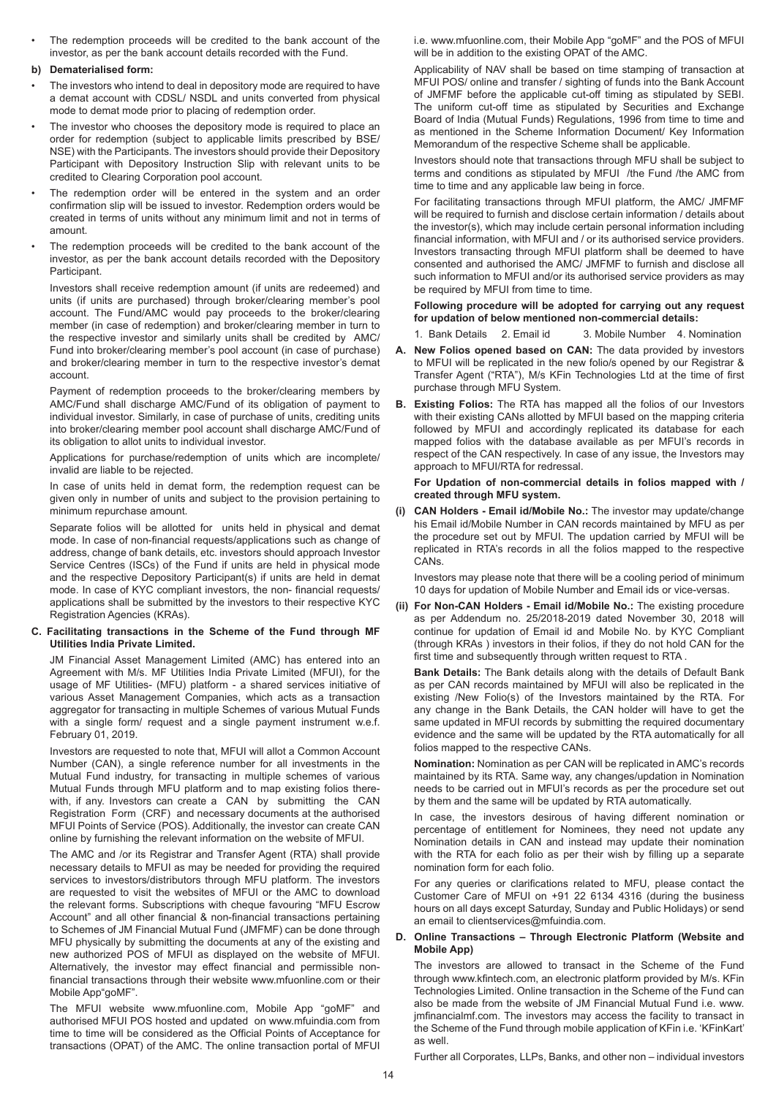• The redemption proceeds will be credited to the bank account of the investor, as per the bank account details recorded with the Fund.

# **b) Dematerialised form:**

- The investors who intend to deal in depository mode are required to have a demat account with CDSL/ NSDL and units converted from physical mode to demat mode prior to placing of redemption order.
- The investor who chooses the depository mode is required to place an order for redemption (subject to applicable limits prescribed by BSE/ NSE) with the Participants. The investors should provide their Depository Participant with Depository Instruction Slip with relevant units to be credited to Clearing Corporation pool account.
- The redemption order will be entered in the system and an order confirmation slip will be issued to investor. Redemption orders would be created in terms of units without any minimum limit and not in terms of amount.
- The redemption proceeds will be credited to the bank account of the investor, as per the bank account details recorded with the Depository Participant.

Investors shall receive redemption amount (if units are redeemed) and units (if units are purchased) through broker/clearing member's pool account. The Fund/AMC would pay proceeds to the broker/clearing member (in case of redemption) and broker/clearing member in turn to the respective investor and similarly units shall be credited by AMC/ Fund into broker/clearing member's pool account (in case of purchase) and broker/clearing member in turn to the respective investor's demat account.

Payment of redemption proceeds to the broker/clearing members by AMC/Fund shall discharge AMC/Fund of its obligation of payment to individual investor. Similarly, in case of purchase of units, crediting units into broker/clearing member pool account shall discharge AMC/Fund of its obligation to allot units to individual investor.

Applications for purchase/redemption of units which are incomplete/ invalid are liable to be rejected.

In case of units held in demat form, the redemption request can be given only in number of units and subject to the provision pertaining to minimum repurchase amount.

Separate folios will be allotted for units held in physical and demat mode. In case of non-financial requests/applications such as change of address, change of bank details, etc. investors should approach Investor Service Centres (ISCs) of the Fund if units are held in physical mode and the respective Depository Participant(s) if units are held in demat mode. In case of KYC compliant investors, the non- financial requests/ applications shall be submitted by the investors to their respective KYC Registration Agencies (KRAs).

# **C. Facilitating transactions in the Scheme of the Fund through MF Utilities India Private Limited.**

JM Financial Asset Management Limited (AMC) has entered into an Agreement with M/s. MF Utilities India Private Limited (MFUI), for the usage of MF Utilities- (MFU) platform - a shared services initiative of various Asset Management Companies, which acts as a transaction aggregator for transacting in multiple Schemes of various Mutual Funds with a single form/ request and a single payment instrument w.e.f. February 01, 2019.

Investors are requested to note that, MFUI will allot a Common Account Number (CAN), a single reference number for all investments in the Mutual Fund industry, for transacting in multiple schemes of various Mutual Funds through MFU platform and to map existing folios therewith, if any. Investors can create a CAN by submitting the CAN Registration Form (CRF) and necessary documents at the authorised MFUI Points of Service (POS). Additionally, the investor can create CAN online by furnishing the relevant information on the website of MFUI.

The AMC and /or its Registrar and Transfer Agent (RTA) shall provide necessary details to MFUI as may be needed for providing the required services to investors/distributors through MFU platform. The investors are requested to visit the websites of MFUI or the AMC to download the relevant forms. Subscriptions with cheque favouring "MFU Escrow Account" and all other financial & non-financial transactions pertaining to Schemes of JM Financial Mutual Fund (JMFMF) can be done through MFU physically by submitting the documents at any of the existing and new authorized POS of MFUI as displayed on the website of MFUI. Alternatively, the investor may effect financial and permissible nonfinancial transactions through their website www.mfuonline.com or their Mobile App"goMF".

The MFUI website www.mfuonline.com, Mobile App "goMF" and authorised MFUI POS hosted and updated on www.mfuindia.com from time to time will be considered as the Official Points of Acceptance for transactions (OPAT) of the AMC. The online transaction portal of MFUI i.e. www.mfuonline.com, their Mobile App "goMF" and the POS of MFUI will be in addition to the existing OPAT of the AMC.

Applicability of NAV shall be based on time stamping of transaction at MFUI POS/ online and transfer / sighting of funds into the Bank Account of JMFMF before the applicable cut-off timing as stipulated by SEBI. The uniform cut-off time as stipulated by Securities and Exchange Board of India (Mutual Funds) Regulations, 1996 from time to time and as mentioned in the Scheme Information Document/ Key Information Memorandum of the respective Scheme shall be applicable.

Investors should note that transactions through MFU shall be subject to terms and conditions as stipulated by MFUI /the Fund /the AMC from time to time and any applicable law being in force.

For facilitating transactions through MFUI platform, the AMC/ JMFMF will be required to furnish and disclose certain information / details about the investor(s), which may include certain personal information including financial information, with MFUI and / or its authorised service providers. Investors transacting through MFUI platform shall be deemed to have consented and authorised the AMC/ JMFMF to furnish and disclose all such information to MFUI and/or its authorised service providers as may be required by MFUI from time to time.

# **Following procedure will be adopted for carrying out any request for updation of below mentioned non-commercial details:**

- 1. Bank Details 2. Email id 3. Mobile Number 4. Nomination
- **A. New Folios opened based on CAN:** The data provided by investors to MFUI will be replicated in the new folio/s opened by our Registrar & Transfer Agent ("RTA"), M/s KFin Technologies Ltd at the time of first purchase through MFU System.
- **B. Existing Folios:** The RTA has mapped all the folios of our Investors with their existing CANs allotted by MFUI based on the mapping criteria followed by MFUI and accordingly replicated its database for each mapped folios with the database available as per MFUI's records in respect of the CAN respectively. In case of any issue, the Investors may approach to MFUI/RTA for redressal.

#### **For Updation of non-commercial details in folios mapped with / created through MFU system.**

**(i) CAN Holders - Email id/Mobile No.:** The investor may update/change his Email id/Mobile Number in CAN records maintained by MFU as per the procedure set out by MFUI. The updation carried by MFUI will be replicated in RTA's records in all the folios mapped to the respective CANs.

Investors may please note that there will be a cooling period of minimum 10 days for updation of Mobile Number and Email ids or vice-versas.

**(ii) For Non-CAN Holders - Email id/Mobile No.:** The existing procedure as per Addendum no. 25/2018-2019 dated November 30, 2018 will continue for updation of Email id and Mobile No. by KYC Compliant (through KRAs ) investors in their folios, if they do not hold CAN for the first time and subsequently through written request to RTA .

**Bank Details:** The Bank details along with the details of Default Bank as per CAN records maintained by MFUI will also be replicated in the existing /New Folio(s) of the Investors maintained by the RTA. For any change in the Bank Details, the CAN holder will have to get the same updated in MFUI records by submitting the required documentary evidence and the same will be updated by the RTA automatically for all folios mapped to the respective CANs.

**Nomination:** Nomination as per CAN will be replicated in AMC's records maintained by its RTA. Same way, any changes/updation in Nomination needs to be carried out in MFUI's records as per the procedure set out by them and the same will be updated by RTA automatically.

In case, the investors desirous of having different nomination or percentage of entitlement for Nominees, they need not update any Nomination details in CAN and instead may update their nomination with the RTA for each folio as per their wish by filling up a separate nomination form for each folio.

For any queries or clarifications related to MFU, please contact the Customer Care of MFUI on +91 22 6134 4316 (during the business hours on all days except Saturday, Sunday and Public Holidays) or send an email to clientservices@mfuindia.com.

# **D. Online Transactions – Through Electronic Platform (Website and Mobile App)**

The investors are allowed to transact in the Scheme of the Fund through www.kfintech.com, an electronic platform provided by M/s. KFin Technologies Limited. Online transaction in the Scheme of the Fund can also be made from the website of JM Financial Mutual Fund i.e. www. jmfinancialmf.com. The investors may access the facility to transact in the Scheme of the Fund through mobile application of KFin i.e. 'KFinKart' as well.

Further all Corporates, LLPs, Banks, and other non – individual investors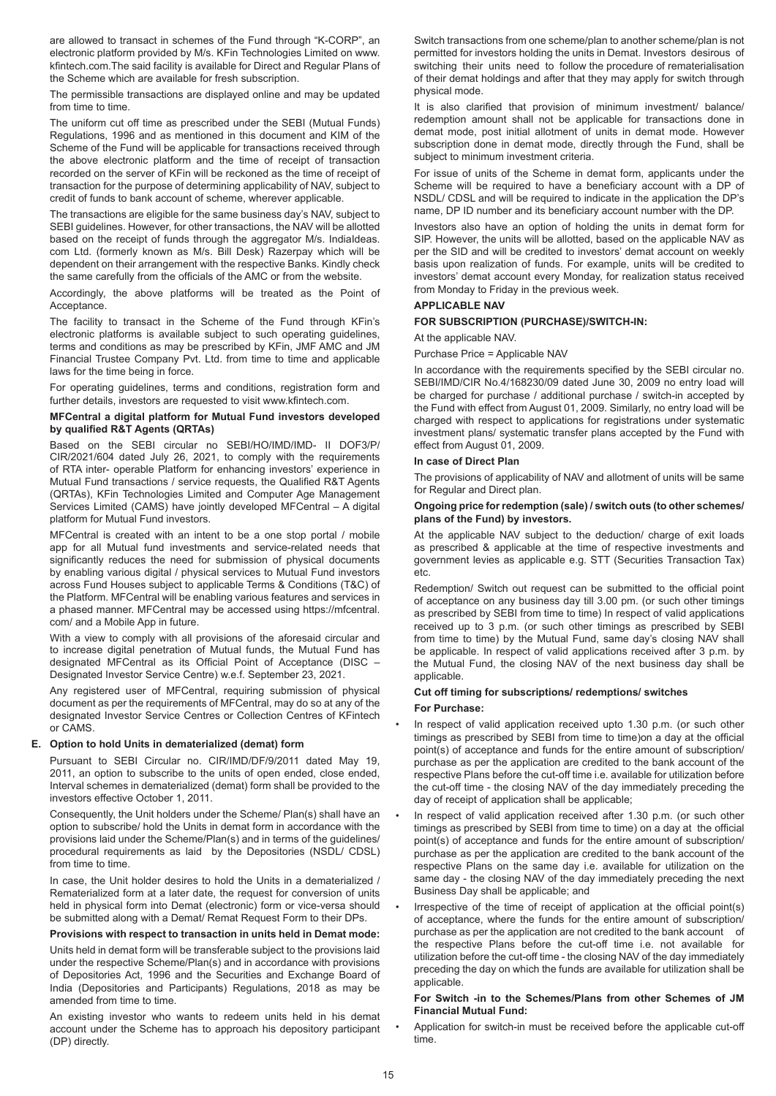are allowed to transact in schemes of the Fund through "K-CORP", an electronic platform provided by M/s. KFin Technologies Limited on www. kfintech.com.The said facility is available for Direct and Regular Plans of the Scheme which are available for fresh subscription.

The permissible transactions are displayed online and may be updated from time to time.

The uniform cut off time as prescribed under the SEBI (Mutual Funds) Regulations, 1996 and as mentioned in this document and KIM of the Scheme of the Fund will be applicable for transactions received through the above electronic platform and the time of receipt of transaction recorded on the server of KFin will be reckoned as the time of receipt of transaction for the purpose of determining applicability of NAV, subject to credit of funds to bank account of scheme, wherever applicable.

The transactions are eligible for the same business day's NAV, subject to SEBI guidelines. However, for other transactions, the NAV will be allotted based on the receipt of funds through the aggregator M/s. IndiaIdeas. com Ltd. (formerly known as M/s. Bill Desk) Razerpay which will be dependent on their arrangement with the respective Banks. Kindly check the same carefully from the officials of the AMC or from the website.

Accordingly, the above platforms will be treated as the Point of Acceptance.

The facility to transact in the Scheme of the Fund through KFin's electronic platforms is available subject to such operating guidelines, terms and conditions as may be prescribed by KFin, JMF AMC and JM Financial Trustee Company Pvt. Ltd. from time to time and applicable laws for the time being in force.

For operating guidelines, terms and conditions, registration form and further details, investors are requested to visit www.kfintech.com.

### **MFCentral a digital platform for Mutual Fund investors developed by qualified R&T Agents (QRTAs)**

Based on the SEBI circular no SEBI/HO/IMD/IMD- II DOF3/P/ CIR/2021/604 dated July 26, 2021, to comply with the requirements of RTA inter- operable Platform for enhancing investors' experience in Mutual Fund transactions / service requests, the Qualified R&T Agents (QRTAs), KFin Technologies Limited and Computer Age Management Services Limited (CAMS) have jointly developed MFCentral – A digital platform for Mutual Fund investors.

MFCentral is created with an intent to be a one stop portal / mobile app for all Mutual fund investments and service-related needs that significantly reduces the need for submission of physical documents by enabling various digital / physical services to Mutual Fund investors across Fund Houses subject to applicable Terms & Conditions (T&C) of the Platform. MFCentral will be enabling various features and services in a phased manner. MFCentral may be accessed using https://mfcentral. com/ and a Mobile App in future.

With a view to comply with all provisions of the aforesaid circular and to increase digital penetration of Mutual funds, the Mutual Fund has designated MFCentral as its Official Point of Acceptance (DISC – Designated Investor Service Centre) w.e.f. September 23, 2021.

Any registered user of MFCentral, requiring submission of physical document as per the requirements of MFCentral, may do so at any of the designated Investor Service Centres or Collection Centres of KFintech or CAMS.

# **E. Option to hold Units in dematerialized (demat) form**

Pursuant to SEBI Circular no. CIR/IMD/DF/9/2011 dated May 19, 2011, an option to subscribe to the units of open ended, close ended, Interval schemes in dematerialized (demat) form shall be provided to the investors effective October 1, 2011.

Consequently, the Unit holders under the Scheme/ Plan(s) shall have an option to subscribe/ hold the Units in demat form in accordance with the provisions laid under the Scheme/Plan(s) and in terms of the guidelines/ procedural requirements as laid by the Depositories (NSDL/ CDSL) from time to time.

In case, the Unit holder desires to hold the Units in a dematerialized / Rematerialized form at a later date, the request for conversion of units held in physical form into Demat (electronic) form or vice-versa should be submitted along with a Demat/ Remat Request Form to their DPs.

# **Provisions with respect to transaction in units held in Demat mode:**

Units held in demat form will be transferable subject to the provisions laid under the respective Scheme/Plan(s) and in accordance with provisions of Depositories Act, 1996 and the Securities and Exchange Board of India (Depositories and Participants) Regulations, 2018 as may be amended from time to time.

An existing investor who wants to redeem units held in his demat account under the Scheme has to approach his depository participant (DP) directly.

Switch transactions from one scheme/plan to another scheme/plan is not permitted for investors holding the units in Demat. Investors desirous of switching their units need to follow the procedure of rematerialisation of their demat holdings and after that they may apply for switch through physical mode.

It is also clarified that provision of minimum investment/ balance/ redemption amount shall not be applicable for transactions done in demat mode, post initial allotment of units in demat mode. However subscription done in demat mode, directly through the Fund, shall be subject to minimum investment criteria.

For issue of units of the Scheme in demat form, applicants under the Scheme will be required to have a beneficiary account with a DP of NSDL/ CDSL and will be required to indicate in the application the DP's name, DP ID number and its beneficiary account number with the DP.

Investors also have an option of holding the units in demat form for SIP. However, the units will be allotted, based on the applicable NAV as per the SID and will be credited to investors' demat account on weekly basis upon realization of funds. For example, units will be credited to investors' demat account every Monday, for realization status received from Monday to Friday in the previous week.

# **APPLICABLE NAV**

# **FOR SUBSCRIPTION (PURCHASE)/SWITCH-IN:**

At the applicable NAV.

#### Purchase Price = Applicable NAV

In accordance with the requirements specified by the SEBI circular no. SEBI/IMD/CIR No.4/168230/09 dated June 30, 2009 no entry load will be charged for purchase / additional purchase / switch-in accepted by the Fund with effect from August 01, 2009. Similarly, no entry load will be charged with respect to applications for registrations under systematic investment plans/ systematic transfer plans accepted by the Fund with effect from August 01, 2009.

#### **In case of Direct Plan**

The provisions of applicability of NAV and allotment of units will be same for Regular and Direct plan.

### **Ongoing price for redemption (sale) / switch outs (to other schemes/ plans of the Fund) by investors.**

At the applicable NAV subject to the deduction/ charge of exit loads as prescribed & applicable at the time of respective investments and government levies as applicable e.g. STT (Securities Transaction Tax) etc.

Redemption/ Switch out request can be submitted to the official point of acceptance on any business day till 3.00 pm. (or such other timings as prescribed by SEBI from time to time) In respect of valid applications received up to 3 p.m. (or such other timings as prescribed by SEBI from time to time) by the Mutual Fund, same day's closing NAV shall be applicable. In respect of valid applications received after 3 p.m. by the Mutual Fund, the closing NAV of the next business day shall be applicable.

# **Cut off timing for subscriptions/ redemptions/ switches For Purchase:**

- In respect of valid application received upto 1.30 p.m. (or such other timings as prescribed by SEBI from time to time)on a day at the official point(s) of acceptance and funds for the entire amount of subscription/ purchase as per the application are credited to the bank account of the respective Plans before the cut-off time i.e. available for utilization before the cut-off time - the closing NAV of the day immediately preceding the day of receipt of application shall be applicable;
- In respect of valid application received after 1.30 p.m. (or such other timings as prescribed by SEBI from time to time) on a day at the official point(s) of acceptance and funds for the entire amount of subscription/ purchase as per the application are credited to the bank account of the respective Plans on the same day i.e. available for utilization on the same day - the closing NAV of the day immediately preceding the next Business Day shall be applicable; and
- Irrespective of the time of receipt of application at the official point(s) of acceptance, where the funds for the entire amount of subscription/ purchase as per the application are not credited to the bank account of the respective Plans before the cut-off time i.e. not available for utilization before the cut-off time - the closing NAV of the day immediately preceding the day on which the funds are available for utilization shall be applicable.

# **For Switch -in to the Schemes/Plans from other Schemes of JM Financial Mutual Fund:**

• Application for switch-in must be received before the applicable cut-off time.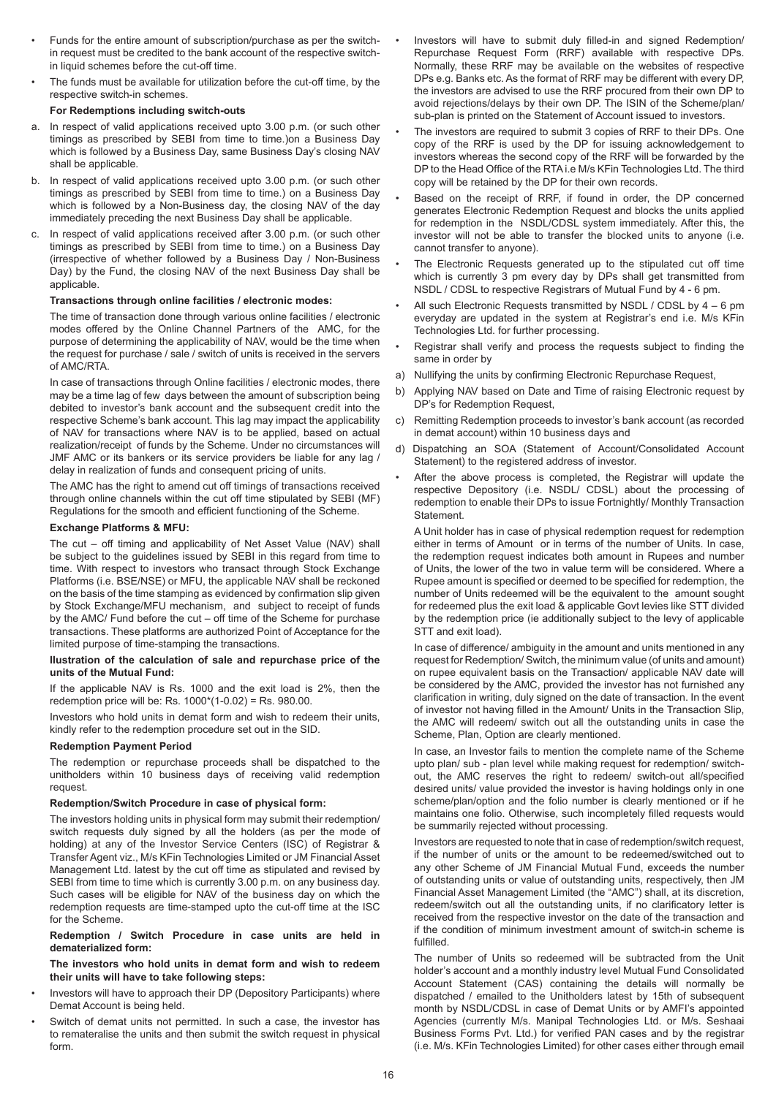- Funds for the entire amount of subscription/purchase as per the switchin request must be credited to the bank account of the respective switchin liquid schemes before the cut-off time.
- The funds must be available for utilization before the cut-off time, by the respective switch-in schemes.

# **For Redemptions including switch-outs**

- a. In respect of valid applications received upto 3.00 p.m. (or such other timings as prescribed by SEBI from time to time.)on a Business Day which is followed by a Business Day, same Business Day's closing NAV shall be applicable.
- b. In respect of valid applications received upto 3.00 p.m. (or such other timings as prescribed by SEBI from time to time.) on a Business Day which is followed by a Non-Business day, the closing NAV of the day immediately preceding the next Business Day shall be applicable.
- c. In respect of valid applications received after 3.00 p.m. (or such other timings as prescribed by SEBI from time to time.) on a Business Day (irrespective of whether followed by a Business Day / Non-Business Day) by the Fund, the closing NAV of the next Business Day shall be applicable.

# **Transactions through online facilities / electronic modes:**

The time of transaction done through various online facilities / electronic modes offered by the Online Channel Partners of the AMC, for the purpose of determining the applicability of NAV, would be the time when the request for purchase / sale / switch of units is received in the servers of AMC/RTA.

In case of transactions through Online facilities / electronic modes, there may be a time lag of few days between the amount of subscription being debited to investor's bank account and the subsequent credit into the respective Scheme's bank account. This lag may impact the applicability of NAV for transactions where NAV is to be applied, based on actual realization/receipt of funds by the Scheme. Under no circumstances will JMF AMC or its bankers or its service providers be liable for any lag / delay in realization of funds and consequent pricing of units.

The AMC has the right to amend cut off timings of transactions received through online channels within the cut off time stipulated by SEBI (MF) Regulations for the smooth and efficient functioning of the Scheme.

# **Exchange Platforms & MFU:**

The cut – off timing and applicability of Net Asset Value (NAV) shall be subject to the guidelines issued by SEBI in this regard from time to time. With respect to investors who transact through Stock Exchange Platforms (i.e. BSE/NSE) or MFU, the applicable NAV shall be reckoned on the basis of the time stamping as evidenced by confirmation slip given by Stock Exchange/MFU mechanism, and subject to receipt of funds by the AMC/ Fund before the cut – off time of the Scheme for purchase transactions. These platforms are authorized Point of Acceptance for the limited purpose of time-stamping the transactions.

#### **llustration of the calculation of sale and repurchase price of the units of the Mutual Fund:**

If the applicable NAV is Rs. 1000 and the exit load is 2%, then the redemption price will be: Rs. 1000\*(1-0.02) = Rs. 980.00.

Investors who hold units in demat form and wish to redeem their units, kindly refer to the redemption procedure set out in the SID.

# **Redemption Payment Period**

The redemption or repurchase proceeds shall be dispatched to the unitholders within 10 business days of receiving valid redemption request.

# **Redemption/Switch Procedure in case of physical form:**

The investors holding units in physical form may submit their redemption/ switch requests duly signed by all the holders (as per the mode of holding) at any of the Investor Service Centers (ISC) of Registrar & Transfer Agent viz., M/s KFin Technologies Limited or JM Financial Asset Management Ltd. latest by the cut off time as stipulated and revised by SEBI from time to time which is currently 3.00 p.m. on any business day. Such cases will be eligible for NAV of the business day on which the redemption requests are time-stamped upto the cut-off time at the ISC for the Scheme.

**Redemption / Switch Procedure in case units are held in dematerialized form:**

**The investors who hold units in demat form and wish to redeem their units will have to take following steps:**

- Investors will have to approach their DP (Depository Participants) where Demat Account is being held.
- Switch of demat units not permitted. In such a case, the investor has to remateralise the units and then submit the switch request in physical form.
- Investors will have to submit duly filled-in and signed Redemption/ Repurchase Request Form (RRF) available with respective DPs. Normally, these RRF may be available on the websites of respective DPs e.g. Banks etc. As the format of RRF may be different with every DP, the investors are advised to use the RRF procured from their own DP to avoid rejections/delays by their own DP. The ISIN of the Scheme/plan/ sub-plan is printed on the Statement of Account issued to investors.
- The investors are required to submit 3 copies of RRF to their DPs. One copy of the RRF is used by the DP for issuing acknowledgement to investors whereas the second copy of the RRF will be forwarded by the DP to the Head Office of the RTA i.e M/s KFin Technologies Ltd. The third copy will be retained by the DP for their own records.
- Based on the receipt of RRF, if found in order, the DP concerned generates Electronic Redemption Request and blocks the units applied for redemption in the NSDL/CDSL system immediately. After this, the investor will not be able to transfer the blocked units to anyone (i.e. cannot transfer to anyone).
- The Electronic Requests generated up to the stipulated cut off time which is currently 3 pm every day by DPs shall get transmitted from NSDL / CDSL to respective Registrars of Mutual Fund by 4 - 6 pm.
- All such Electronic Requests transmitted by NSDL / CDSL by  $4 6$  pm everyday are updated in the system at Registrar's end i.e. M/s KFin Technologies Ltd. for further processing.
- Registrar shall verify and process the requests subject to finding the same in order by
- a) Nullifying the units by confirming Electronic Repurchase Request,
- b) Applying NAV based on Date and Time of raising Electronic request by DP's for Redemption Request,
- c) Remitting Redemption proceeds to investor's bank account (as recorded in demat account) within 10 business days and
- d) Dispatching an SOA (Statement of Account/Consolidated Account Statement) to the registered address of investor.
- After the above process is completed, the Registrar will update the respective Depository (i.e. NSDL/ CDSL) about the processing of redemption to enable their DPs to issue Fortnightly/ Monthly Transaction **Statement**

A Unit holder has in case of physical redemption request for redemption either in terms of Amount or in terms of the number of Units. In case, the redemption request indicates both amount in Rupees and number of Units, the lower of the two in value term will be considered. Where a Rupee amount is specified or deemed to be specified for redemption, the number of Units redeemed will be the equivalent to the amount sought for redeemed plus the exit load & applicable Govt levies like STT divided by the redemption price (ie additionally subject to the levy of applicable STT and exit load).

In case of difference/ ambiguity in the amount and units mentioned in any request for Redemption/ Switch, the minimum value (of units and amount) on rupee equivalent basis on the Transaction/ applicable NAV date will be considered by the AMC, provided the investor has not furnished any clarification in writing, duly signed on the date of transaction. In the event of investor not having filled in the Amount/ Units in the Transaction Slip, the AMC will redeem/ switch out all the outstanding units in case the Scheme, Plan, Option are clearly mentioned.

In case, an Investor fails to mention the complete name of the Scheme upto plan/ sub - plan level while making request for redemption/ switchout, the AMC reserves the right to redeem/ switch-out all/specified desired units/ value provided the investor is having holdings only in one scheme/plan/option and the folio number is clearly mentioned or if he maintains one folio. Otherwise, such incompletely filled requests would be summarily rejected without processing.

Investors are requested to note that in case of redemption/switch request, if the number of units or the amount to be redeemed/switched out to any other Scheme of JM Financial Mutual Fund, exceeds the number of outstanding units or value of outstanding units, respectively, then JM Financial Asset Management Limited (the "AMC") shall, at its discretion, redeem/switch out all the outstanding units, if no clarificatory letter is received from the respective investor on the date of the transaction and if the condition of minimum investment amount of switch-in scheme is fulfilled.

The number of Units so redeemed will be subtracted from the Unit holder's account and a monthly industry level Mutual Fund Consolidated Account Statement (CAS) containing the details will normally be dispatched / emailed to the Unitholders latest by 15th of subsequent month by NSDL/CDSL in case of Demat Units or by AMFI's appointed Agencies (currently M/s. Manipal Technologies Ltd. or M/s. Seshaai Business Forms Pvt. Ltd.) for verified PAN cases and by the registrar (i.e. M/s. KFin Technologies Limited) for other cases either through email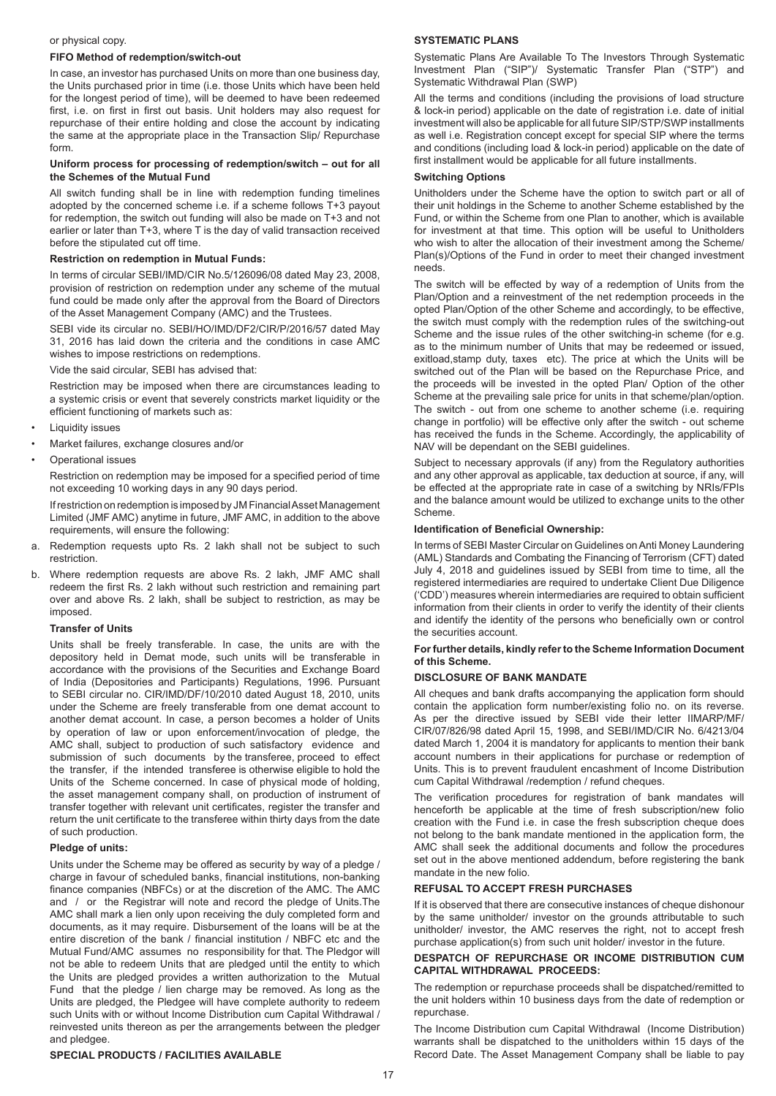#### or physical copy.

#### **FIFO Method of redemption/switch-out**

In case, an investor has purchased Units on more than one business day, the Units purchased prior in time (i.e. those Units which have been held for the longest period of time), will be deemed to have been redeemed first, i.e. on first in first out basis. Unit holders may also request for repurchase of their entire holding and close the account by indicating the same at the appropriate place in the Transaction Slip/ Repurchase form.

#### **Uniform process for processing of redemption/switch – out for all the Schemes of the Mutual Fund**

All switch funding shall be in line with redemption funding timelines adopted by the concerned scheme i.e. if a scheme follows T+3 payout for redemption, the switch out funding will also be made on T+3 and not earlier or later than T+3, where T is the day of valid transaction received before the stipulated cut off time.

# **Restriction on redemption in Mutual Funds:**

In terms of circular SEBI/IMD/CIR No.5/126096/08 dated May 23, 2008, provision of restriction on redemption under any scheme of the mutual fund could be made only after the approval from the Board of Directors of the Asset Management Company (AMC) and the Trustees.

SEBI vide its circular no. SEBI/HO/IMD/DF2/CIR/P/2016/57 dated May 31, 2016 has laid down the criteria and the conditions in case AMC wishes to impose restrictions on redemptions.

Vide the said circular, SEBI has advised that:

Restriction may be imposed when there are circumstances leading to a systemic crisis or event that severely constricts market liquidity or the efficient functioning of markets such as:

- **Liquidity issues**
- Market failures, exchange closures and/or
- Operational issues

Restriction on redemption may be imposed for a specified period of time not exceeding 10 working days in any 90 days period.

If restriction on redemption is imposed by JM Financial Asset Management Limited (JMF AMC) anytime in future, JMF AMC, in addition to the above requirements, will ensure the following:

- a. Redemption requests upto Rs. 2 lakh shall not be subject to such restriction.
- b. Where redemption requests are above Rs. 2 lakh, JMF AMC shall redeem the first Rs. 2 lakh without such restriction and remaining part over and above Rs. 2 lakh, shall be subject to restriction, as may be imposed.

#### **Transfer of Units**

Units shall be freely transferable. In case, the units are with the depository held in Demat mode, such units will be transferable in accordance with the provisions of the Securities and Exchange Board of India (Depositories and Participants) Regulations, 1996. Pursuant to SEBI circular no. CIR/IMD/DF/10/2010 dated August 18, 2010, units under the Scheme are freely transferable from one demat account to another demat account. In case, a person becomes a holder of Units by operation of law or upon enforcement/invocation of pledge, the AMC shall, subject to production of such satisfactory evidence and submission of such documents by the transferee, proceed to effect the transfer, if the intended transferee is otherwise eligible to hold the Units of the Scheme concerned. In case of physical mode of holding, the asset management company shall, on production of instrument of transfer together with relevant unit certificates, register the transfer and return the unit certificate to the transferee within thirty days from the date of such production.

# **Pledge of units:**

Units under the Scheme may be offered as security by way of a pledge / charge in favour of scheduled banks, financial institutions, non-banking finance companies (NBFCs) or at the discretion of the AMC. The AMC and / or the Registrar will note and record the pledge of Units.The AMC shall mark a lien only upon receiving the duly completed form and documents, as it may require. Disbursement of the loans will be at the entire discretion of the bank / financial institution / NBFC etc and the Mutual Fund/AMC assumes no responsibility for that. The Pledgor will not be able to redeem Units that are pledged until the entity to which the Units are pledged provides a written authorization to the Mutual Fund that the pledge / lien charge may be removed. As long as the Units are pledged, the Pledgee will have complete authority to redeem such Units with or without Income Distribution cum Capital Withdrawal / reinvested units thereon as per the arrangements between the pledger and pledgee.

#### **SPECIAL PRODUCTS / FACILITIES AVAILABLE**

#### **SYSTEMATIC PLANS**

Systematic Plans Are Available To The Investors Through Systematic Investment Plan ("SIP")/ Systematic Transfer Plan ("STP") and Systematic Withdrawal Plan (SWP)

All the terms and conditions (including the provisions of load structure & lock-in period) applicable on the date of registration i.e. date of initial investment will also be applicable for all future SIP/STP/SWP installments as well i.e. Registration concept except for special SIP where the terms and conditions (including load & lock-in period) applicable on the date of first installment would be applicable for all future installments.

#### **Switching Options**

Unitholders under the Scheme have the option to switch part or all of their unit holdings in the Scheme to another Scheme established by the Fund, or within the Scheme from one Plan to another, which is available for investment at that time. This option will be useful to Unitholders who wish to alter the allocation of their investment among the Scheme/ Plan(s)/Options of the Fund in order to meet their changed investment needs.

The switch will be effected by way of a redemption of Units from the Plan/Option and a reinvestment of the net redemption proceeds in the opted Plan/Option of the other Scheme and accordingly, to be effective, the switch must comply with the redemption rules of the switching-out Scheme and the issue rules of the other switching-in scheme (for e.g. as to the minimum number of Units that may be redeemed or issued, exitload,stamp duty, taxes etc). The price at which the Units will be switched out of the Plan will be based on the Repurchase Price, and the proceeds will be invested in the opted Plan/ Option of the other Scheme at the prevailing sale price for units in that scheme/plan/option. The switch - out from one scheme to another scheme (i.e. requiring change in portfolio) will be effective only after the switch - out scheme has received the funds in the Scheme. Accordingly, the applicability of NAV will be dependant on the SEBI guidelines.

Subject to necessary approvals (if any) from the Regulatory authorities and any other approval as applicable, tax deduction at source, if any, will be effected at the appropriate rate in case of a switching by NRIs/FPIs and the balance amount would be utilized to exchange units to the other Scheme.

### **Identification of Beneficial Ownership:**

In terms of SEBI Master Circular on Guidelines on Anti Money Laundering (AML) Standards and Combating the Financing of Terrorism (CFT) dated July 4, 2018 and guidelines issued by SEBI from time to time, all the registered intermediaries are required to undertake Client Due Diligence ('CDD') measures wherein intermediaries are required to obtain sufficient information from their clients in order to verify the identity of their clients and identify the identity of the persons who beneficially own or control the securities account.

#### **For further details, kindly refer to the Scheme Information Document of this Scheme.**

#### **DISCLOSURE OF BANK MANDATE**

All cheques and bank drafts accompanying the application form should contain the application form number/existing folio no. on its reverse. As per the directive issued by SEBI vide their letter IIMARP/MF/ CIR/07/826/98 dated April 15, 1998, and SEBI/IMD/CIR No. 6/4213/04 dated March 1, 2004 it is mandatory for applicants to mention their bank account numbers in their applications for purchase or redemption of Units. This is to prevent fraudulent encashment of Income Distribution cum Capital Withdrawal /redemption / refund cheques.

The verification procedures for registration of bank mandates will henceforth be applicable at the time of fresh subscription/new folio creation with the Fund i.e. in case the fresh subscription cheque does not belong to the bank mandate mentioned in the application form, the AMC shall seek the additional documents and follow the procedures set out in the above mentioned addendum, before registering the bank mandate in the new folio.

# **REFUSAL TO ACCEPT FRESH PURCHASES**

If it is observed that there are consecutive instances of cheque dishonour by the same unitholder/ investor on the grounds attributable to such unitholder/ investor, the AMC reserves the right, not to accept fresh purchase application(s) from such unit holder/ investor in the future.

#### **DESPATCH OF REPURCHASE OR INCOME DISTRIBUTION CUM CAPITAL WITHDRAWAL PROCEEDS:**

The redemption or repurchase proceeds shall be dispatched/remitted to the unit holders within 10 business days from the date of redemption or repurchase.

The Income Distribution cum Capital Withdrawal (Income Distribution) warrants shall be dispatched to the unitholders within 15 days of the Record Date. The Asset Management Company shall be liable to pay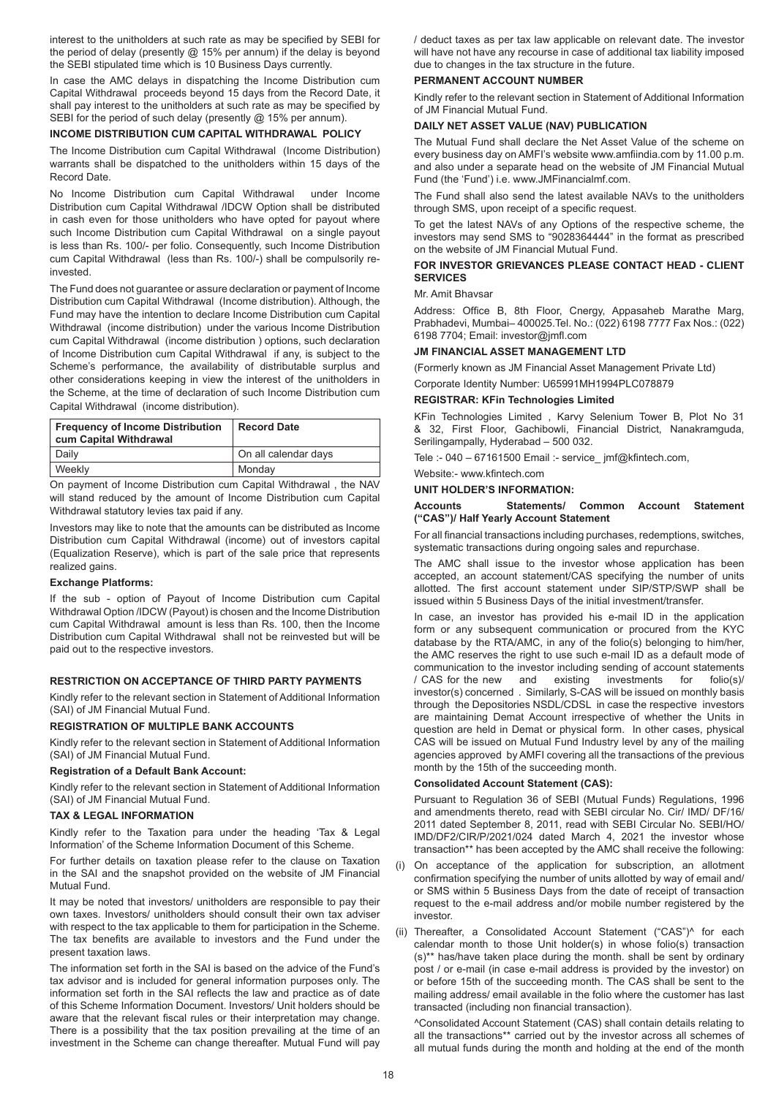interest to the unitholders at such rate as may be specified by SEBI for the period of delay (presently @ 15% per annum) if the delay is beyond the SEBI stipulated time which is 10 Business Days currently.

In case the AMC delays in dispatching the Income Distribution cum Capital Withdrawal proceeds beyond 15 days from the Record Date, it shall pay interest to the unitholders at such rate as may be specified by SEBI for the period of such delay (presently @ 15% per annum).

#### **INCOME DISTRIBUTION CUM CAPITAL WITHDRAWAL POLICY**

The Income Distribution cum Capital Withdrawal (Income Distribution) warrants shall be dispatched to the unitholders within 15 days of the Record Date.

No Income Distribution cum Capital Withdrawal under Income Distribution cum Capital Withdrawal /IDCW Option shall be distributed in cash even for those unitholders who have opted for payout where such Income Distribution cum Capital Withdrawal on a single payout is less than Rs. 100/- per folio. Consequently, such Income Distribution cum Capital Withdrawal (less than Rs. 100/-) shall be compulsorily reinvested.

The Fund does not guarantee or assure declaration or payment of Income Distribution cum Capital Withdrawal (Income distribution). Although, the Fund may have the intention to declare Income Distribution cum Capital Withdrawal (income distribution) under the various Income Distribution cum Capital Withdrawal (income distribution ) options, such declaration of Income Distribution cum Capital Withdrawal if any, is subject to the Scheme's performance, the availability of distributable surplus and other considerations keeping in view the interest of the unitholders in the Scheme, at the time of declaration of such Income Distribution cum Capital Withdrawal (income distribution).

| Frequency of Income Distribution<br>cum Capital Withdrawal | <b>Record Date</b>   |
|------------------------------------------------------------|----------------------|
| Daily                                                      | On all calendar days |
| Weekly                                                     | Mondav               |

On payment of Income Distribution cum Capital Withdrawal , the NAV will stand reduced by the amount of Income Distribution cum Capital Withdrawal statutory levies tax paid if any.

Investors may like to note that the amounts can be distributed as Income Distribution cum Capital Withdrawal (income) out of investors capital (Equalization Reserve), which is part of the sale price that represents realized gains.

# **Exchange Platforms:**

If the sub - option of Payout of Income Distribution cum Capital Withdrawal Option /IDCW (Payout) is chosen and the Income Distribution cum Capital Withdrawal amount is less than Rs. 100, then the Income Distribution cum Capital Withdrawal shall not be reinvested but will be paid out to the respective investors.

# **RESTRICTION ON ACCEPTANCE OF THIRD PARTY PAYMENTS**

Kindly refer to the relevant section in Statement of Additional Information (SAI) of JM Financial Mutual Fund.

# **REGISTRATION OF MULTIPLE BANK ACCOUNTS**

Kindly refer to the relevant section in Statement of Additional Information (SAI) of JM Financial Mutual Fund.

# **Registration of a Default Bank Account:**

Kindly refer to the relevant section in Statement of Additional Information (SAI) of JM Financial Mutual Fund.

# **TAX & LEGAL INFORMATION**

Kindly refer to the Taxation para under the heading 'Tax & Legal Information' of the Scheme Information Document of this Scheme.

For further details on taxation please refer to the clause on Taxation in the SAI and the snapshot provided on the website of JM Financial Mutual Fund.

It may be noted that investors/ unitholders are responsible to pay their own taxes. Investors/ unitholders should consult their own tax adviser with respect to the tax applicable to them for participation in the Scheme. The tax benefits are available to investors and the Fund under the present taxation laws.

The information set forth in the SAI is based on the advice of the Fund's tax advisor and is included for general information purposes only. The information set forth in the SAI reflects the law and practice as of date of this Scheme Information Document. Investors/ Unit holders should be aware that the relevant fiscal rules or their interpretation may change. There is a possibility that the tax position prevailing at the time of an investment in the Scheme can change thereafter. Mutual Fund will pay

/ deduct taxes as per tax law applicable on relevant date. The investor will have not have any recourse in case of additional tax liability imposed due to changes in the tax structure in the future.

# **PERMANENT ACCOUNT NUMBER**

Kindly refer to the relevant section in Statement of Additional Information of JM Financial Mutual Fund.

# **DAILY NET ASSET VALUE (NAV) PUBLICATION**

The Mutual Fund shall declare the Net Asset Value of the scheme on every business day on AMFI's website www.amfiindia.com by 11.00 p.m. and also under a separate head on the website of JM Financial Mutual Fund (the 'Fund') i.e. www.JMFinancialmf.com.

The Fund shall also send the latest available NAVs to the unitholders through SMS, upon receipt of a specific request.

To get the latest NAVs of any Options of the respective scheme, the investors may send SMS to "9028364444" in the format as prescribed on the website of JM Financial Mutual Fund.

# **FOR INVESTOR GRIEVANCES PLEASE CONTACT HEAD - CLIENT SERVICES**

# Mr. Amit Bhavsar

Address: Office B, 8th Floor, Cnergy, Appasaheb Marathe Marg, Prabhadevi, Mumbai– 400025.Tel. No.: (022) 6198 7777 Fax Nos.: (022) 6198 7704; Email: investor@jmfl.com

# **JM FINANCIAL ASSET MANAGEMENT LTD**

(Formerly known as JM Financial Asset Management Private Ltd) Corporate Identity Number: U65991MH1994PLC078879

#### **REGISTRAR: KFin Technologies Limited**

KFin Technologies Limited , Karvy Selenium Tower B, Plot No 31 & 32, First Floor, Gachibowli, Financial District, Nanakramguda, Serilingampally, Hyderabad – 500 032.

Tele :- 040 – 67161500 Email :- service\_ jmf@kfintech.com,

#### Website:- www.kfintech.com

**UNIT HOLDER'S INFORMATION:**

# **Accounts Statements/ Common Account Statement ("CAS")/ Half Yearly Account Statement**

For all financial transactions including purchases, redemptions, switches, systematic transactions during ongoing sales and repurchase.

The AMC shall issue to the investor whose application has been accepted, an account statement/CAS specifying the number of units allotted. The first account statement under SIP/STP/SWP shall be issued within 5 Business Days of the initial investment/transfer.

In case, an investor has provided his e-mail ID in the application form or any subsequent communication or procured from the KYC database by the RTA/AMC, in any of the folio(s) belonging to him/her, the AMC reserves the right to use such e-mail ID as a default mode of communication to the investor including sending of account statements  $\ell$  CAS for the new and existing investments for folio(s)/  $/$  CAS for the new investor(s) concerned . Similarly, S-CAS will be issued on monthly basis through the Depositories NSDL/CDSL in case the respective investors are maintaining Demat Account irrespective of whether the Units in question are held in Demat or physical form. In other cases, physical CAS will be issued on Mutual Fund Industry level by any of the mailing agencies approved by AMFI covering all the transactions of the previous month by the 15th of the succeeding month.

# **Consolidated Account Statement (CAS):**

Pursuant to Regulation 36 of SEBI (Mutual Funds) Regulations, 1996 and amendments thereto, read with SEBI circular No. Cir/ IMD/ DF/16/ 2011 dated September 8, 2011, read with SEBI Circular No. SEBI/HO/ IMD/DF2/CIR/P/2021/024 dated March 4, 2021 the investor whose transaction\*\* has been accepted by the AMC shall receive the following:

- (i) On acceptance of the application for subscription, an allotment confirmation specifying the number of units allotted by way of email and/ or SMS within 5 Business Days from the date of receipt of transaction request to the e-mail address and/or mobile number registered by the investor.
- (ii) Thereafter, a Consolidated Account Statement ("CAS")^ for each calendar month to those Unit holder(s) in whose folio(s) transaction (s)\*\* has/have taken place during the month. shall be sent by ordinary post / or e-mail (in case e-mail address is provided by the investor) on or before 15th of the succeeding month. The CAS shall be sent to the mailing address/ email available in the folio where the customer has last transacted (including non financial transaction).

^Consolidated Account Statement (CAS) shall contain details relating to all the transactions\*\* carried out by the investor across all schemes of all mutual funds during the month and holding at the end of the month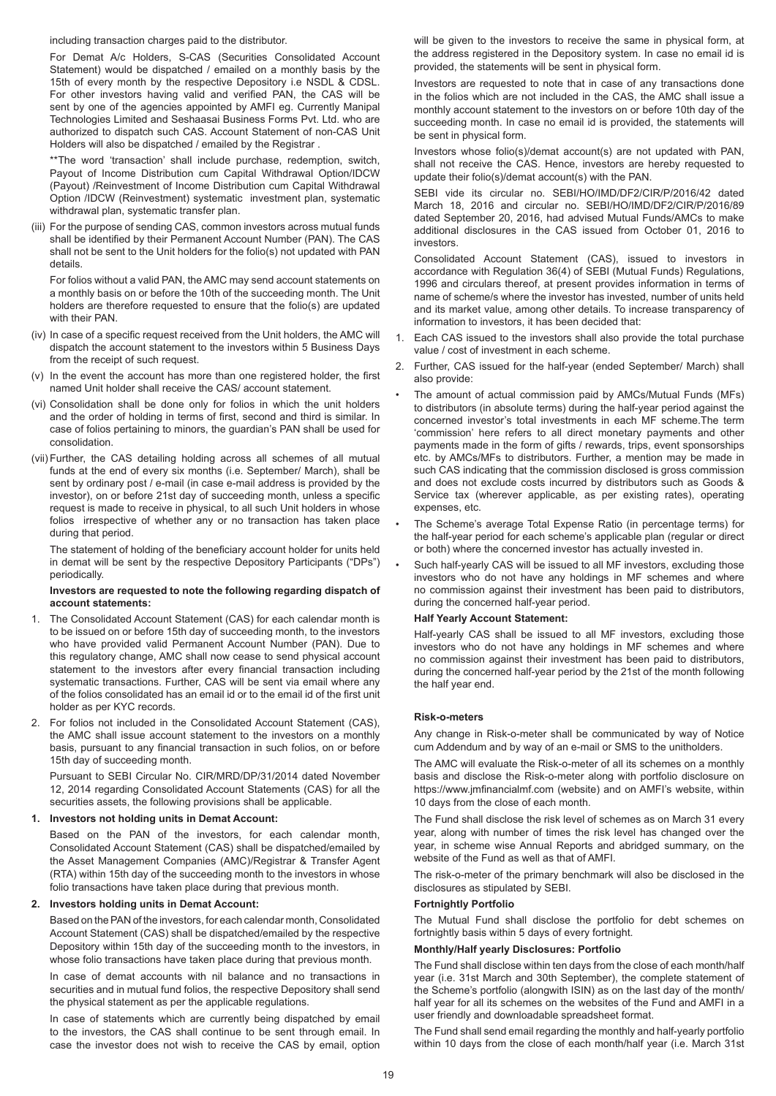including transaction charges paid to the distributor.

For Demat A/c Holders, S-CAS (Securities Consolidated Account Statement) would be dispatched / emailed on a monthly basis by the 15th of every month by the respective Depository i.e NSDL & CDSL. For other investors having valid and verified PAN, the CAS will be sent by one of the agencies appointed by AMFI eg. Currently Manipal Technologies Limited and Seshaasai Business Forms Pvt. Ltd. who are authorized to dispatch such CAS. Account Statement of non-CAS Unit Holders will also be dispatched / emailed by the Registrar .

\*\*The word 'transaction' shall include purchase, redemption, switch, Payout of Income Distribution cum Capital Withdrawal Option/IDCW (Payout) /Reinvestment of Income Distribution cum Capital Withdrawal Option /IDCW (Reinvestment) systematic investment plan, systematic withdrawal plan, systematic transfer plan.

(iii) For the purpose of sending CAS, common investors across mutual funds shall be identified by their Permanent Account Number (PAN). The CAS shall not be sent to the Unit holders for the folio(s) not updated with PAN details.

For folios without a valid PAN, the AMC may send account statements on a monthly basis on or before the 10th of the succeeding month. The Unit holders are therefore requested to ensure that the folio(s) are updated with their PAN.

- (iv) In case of a specific request received from the Unit holders, the AMC will dispatch the account statement to the investors within 5 Business Days from the receipt of such request.
- (v) In the event the account has more than one registered holder, the first named Unit holder shall receive the CAS/ account statement.
- (vi) Consolidation shall be done only for folios in which the unit holders and the order of holding in terms of first, second and third is similar. In case of folios pertaining to minors, the guardian's PAN shall be used for consolidation.
- (vii) Further, the CAS detailing holding across all schemes of all mutual funds at the end of every six months (i.e. September/ March), shall be sent by ordinary post / e-mail (in case e-mail address is provided by the investor), on or before 21st day of succeeding month, unless a specific request is made to receive in physical, to all such Unit holders in whose folios irrespective of whether any or no transaction has taken place during that period.

The statement of holding of the beneficiary account holder for units held in demat will be sent by the respective Depository Participants ("DPs") periodically.

#### **Investors are requested to note the following regarding dispatch of account statements:**

- 1. The Consolidated Account Statement (CAS) for each calendar month is to be issued on or before 15th day of succeeding month, to the investors who have provided valid Permanent Account Number (PAN). Due to this regulatory change, AMC shall now cease to send physical account statement to the investors after every financial transaction including systematic transactions. Further, CAS will be sent via email where any of the folios consolidated has an email id or to the email id of the first unit holder as per KYC records.
- 2. For folios not included in the Consolidated Account Statement (CAS), the AMC shall issue account statement to the investors on a monthly basis, pursuant to any financial transaction in such folios, on or before 15th day of succeeding month.

Pursuant to SEBI Circular No. CIR/MRD/DP/31/2014 dated November 12, 2014 regarding Consolidated Account Statements (CAS) for all the securities assets, the following provisions shall be applicable.

# **1. Investors not holding units in Demat Account:**

Based on the PAN of the investors, for each calendar month, Consolidated Account Statement (CAS) shall be dispatched/emailed by the Asset Management Companies (AMC)/Registrar & Transfer Agent (RTA) within 15th day of the succeeding month to the investors in whose folio transactions have taken place during that previous month.

# **2. Investors holding units in Demat Account:**

Based on the PAN of the investors, for each calendar month, Consolidated Account Statement (CAS) shall be dispatched/emailed by the respective Depository within 15th day of the succeeding month to the investors, in whose folio transactions have taken place during that previous month.

In case of demat accounts with nil balance and no transactions in securities and in mutual fund folios, the respective Depository shall send the physical statement as per the applicable regulations.

In case of statements which are currently being dispatched by email to the investors, the CAS shall continue to be sent through email. In case the investor does not wish to receive the CAS by email, option will be given to the investors to receive the same in physical form, at the address registered in the Depository system. In case no email id is provided, the statements will be sent in physical form.

Investors are requested to note that in case of any transactions done in the folios which are not included in the CAS, the AMC shall issue a monthly account statement to the investors on or before 10th day of the succeeding month. In case no email id is provided, the statements will be sent in physical form.

Investors whose folio(s)/demat account(s) are not updated with PAN, shall not receive the CAS. Hence, investors are hereby requested to update their folio(s)/demat account(s) with the PAN.

SEBI vide its circular no. SEBI/HO/IMD/DF2/CIR/P/2016/42 dated March 18, 2016 and circular no. SEBI/HO/IMD/DF2/CIR/P/2016/89 dated September 20, 2016, had advised Mutual Funds/AMCs to make additional disclosures in the CAS issued from October 01, 2016 to investors.

Consolidated Account Statement (CAS), issued to investors in accordance with Regulation 36(4) of SEBI (Mutual Funds) Regulations, 1996 and circulars thereof, at present provides information in terms of name of scheme/s where the investor has invested, number of units held and its market value, among other details. To increase transparency of information to investors, it has been decided that:

- 1. Each CAS issued to the investors shall also provide the total purchase value / cost of investment in each scheme.
- 2. Further, CAS issued for the half-year (ended September/ March) shall also provide:
- The amount of actual commission paid by AMCs/Mutual Funds (MFs) to distributors (in absolute terms) during the half-year period against the concerned investor's total investments in each MF scheme.The term 'commission' here refers to all direct monetary payments and other payments made in the form of gifts / rewards, trips, event sponsorships etc. by AMCs/MFs to distributors. Further, a mention may be made in such CAS indicating that the commission disclosed is gross commission and does not exclude costs incurred by distributors such as Goods & Service tax (wherever applicable, as per existing rates), operating expenses, etc.
- The Scheme's average Total Expense Ratio (in percentage terms) for the half-year period for each scheme's applicable plan (regular or direct or both) where the concerned investor has actually invested in.
- Such half-yearly CAS will be issued to all MF investors, excluding those investors who do not have any holdings in MF schemes and where no commission against their investment has been paid to distributors, during the concerned half-year period.

# **Half Yearly Account Statement:**

Half-yearly CAS shall be issued to all MF investors, excluding those investors who do not have any holdings in MF schemes and where no commission against their investment has been paid to distributors, during the concerned half-year period by the 21st of the month following the half year end.

#### **Risk-o-meters**

Any change in Risk-o-meter shall be communicated by way of Notice cum Addendum and by way of an e-mail or SMS to the unitholders.

The AMC will evaluate the Risk-o-meter of all its schemes on a monthly basis and disclose the Risk-o-meter along with portfolio disclosure on https://www.jmfinancialmf.com (website) and on AMFI's website, within 10 days from the close of each month.

The Fund shall disclose the risk level of schemes as on March 31 every year, along with number of times the risk level has changed over the year, in scheme wise Annual Reports and abridged summary, on the website of the Fund as well as that of AMFI.

The risk-o-meter of the primary benchmark will also be disclosed in the disclosures as stipulated by SEBI.

# **Fortnightly Portfolio**

The Mutual Fund shall disclose the portfolio for debt schemes on fortnightly basis within 5 days of every fortnight.

# **Monthly/Half yearly Disclosures: Portfolio**

The Fund shall disclose within ten days from the close of each month/half year (i.e. 31st March and 30th September), the complete statement of the Scheme's portfolio (alongwith ISIN) as on the last day of the month/ half year for all its schemes on the websites of the Fund and AMFI in a user friendly and downloadable spreadsheet format.

The Fund shall send email regarding the monthly and half-yearly portfolio within 10 days from the close of each month/half year (i.e. March 31st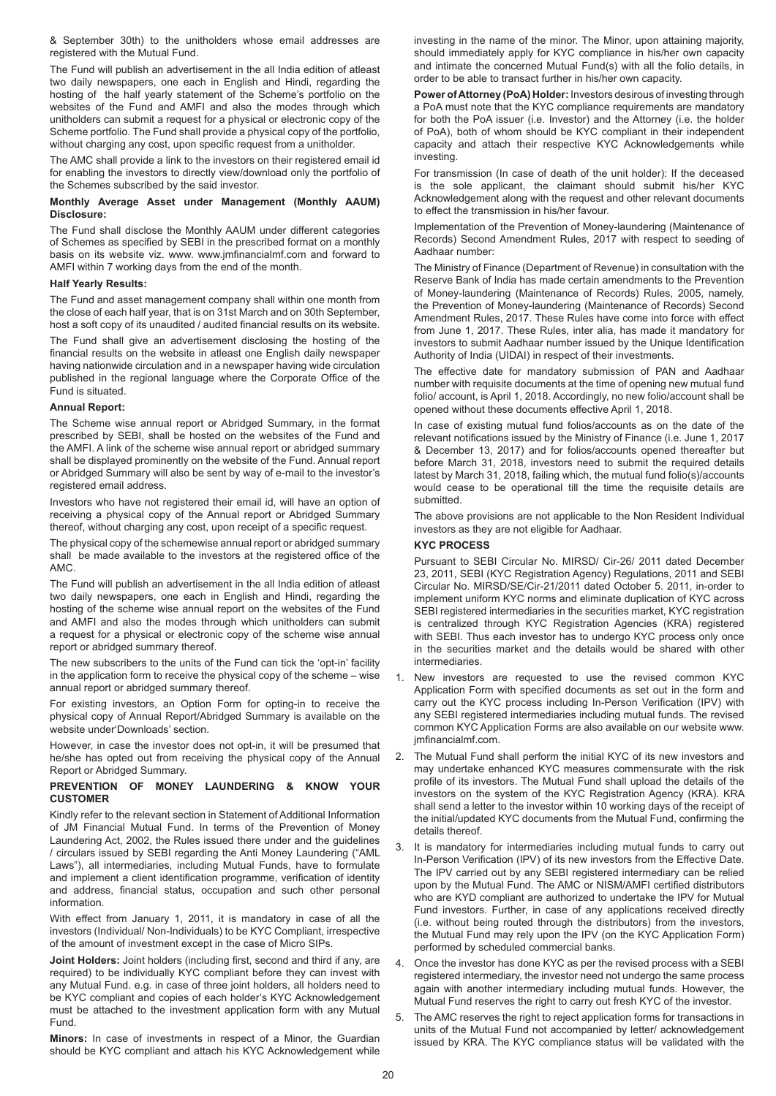& September 30th) to the unitholders whose email addresses are registered with the Mutual Fund.

The Fund will publish an advertisement in the all India edition of atleast two daily newspapers, one each in English and Hindi, regarding the hosting of the half yearly statement of the Scheme's portfolio on the websites of the Fund and AMFI and also the modes through which unitholders can submit a request for a physical or electronic copy of the Scheme portfolio. The Fund shall provide a physical copy of the portfolio, without charging any cost, upon specific request from a unitholder.

The AMC shall provide a link to the investors on their registered email id for enabling the investors to directly view/download only the portfolio of the Schemes subscribed by the said investor.

# **Monthly Average Asset under Management (Monthly AAUM) Disclosure:**

The Fund shall disclose the Monthly AAUM under different categories of Schemes as specified by SEBI in the prescribed format on a monthly basis on its website viz. www. www.jmfinancialmf.com and forward to AMFI within 7 working days from the end of the month.

#### **Half Yearly Results:**

The Fund and asset management company shall within one month from the close of each half year, that is on 31st March and on 30th September, host a soft copy of its unaudited / audited financial results on its website.

The Fund shall give an advertisement disclosing the hosting of the financial results on the website in atleast one English daily newspaper having nationwide circulation and in a newspaper having wide circulation published in the regional language where the Corporate Office of the Fund is situated.

#### **Annual Report:**

The Scheme wise annual report or Abridged Summary, in the format prescribed by SEBI, shall be hosted on the websites of the Fund and the AMFI. A link of the scheme wise annual report or abridged summary shall be displayed prominently on the website of the Fund. Annual report or Abridged Summary will also be sent by way of e-mail to the investor's registered email address.

Investors who have not registered their email id, will have an option of receiving a physical copy of the Annual report or Abridged Summary thereof, without charging any cost, upon receipt of a specific request.

The physical copy of the schemewise annual report or abridged summary shall be made available to the investors at the registered office of the AMC.

The Fund will publish an advertisement in the all India edition of atleast two daily newspapers, one each in English and Hindi, regarding the hosting of the scheme wise annual report on the websites of the Fund and AMFI and also the modes through which unitholders can submit a request for a physical or electronic copy of the scheme wise annual report or abridged summary thereof.

The new subscribers to the units of the Fund can tick the 'opt-in' facility in the application form to receive the physical copy of the scheme – wise annual report or abridged summary thereof.

For existing investors, an Option Form for opting-in to receive the physical copy of Annual Report/Abridged Summary is available on the website under'Downloads' section.

However, in case the investor does not opt-in, it will be presumed that he/she has opted out from receiving the physical copy of the Annual Report or Abridged Summary.

# **PREVENTION OF MONEY LAUNDERING & KNOW YOUR CUSTOMER**

Kindly refer to the relevant section in Statement of Additional Information of JM Financial Mutual Fund. In terms of the Prevention of Money Laundering Act, 2002, the Rules issued there under and the guidelines / circulars issued by SEBI regarding the Anti Money Laundering ("AML Laws"), all intermediaries, including Mutual Funds, have to formulate and implement a client identification programme, verification of identity and address, financial status, occupation and such other personal information.

With effect from January 1, 2011, it is mandatory in case of all the investors (Individual/ Non-Individuals) to be KYC Compliant, irrespective of the amount of investment except in the case of Micro SIPs.

**Joint Holders:** Joint holders (including first, second and third if any, are required) to be individually KYC compliant before they can invest with any Mutual Fund. e.g. in case of three joint holders, all holders need to be KYC compliant and copies of each holder's KYC Acknowledgement must be attached to the investment application form with any Mutual Fund.

**Minors:** In case of investments in respect of a Minor, the Guardian should be KYC compliant and attach his KYC Acknowledgement while

investing in the name of the minor. The Minor, upon attaining majority, should immediately apply for KYC compliance in his/her own capacity and intimate the concerned Mutual Fund(s) with all the folio details, in order to be able to transact further in his/her own capacity.

**Power of Attorney (PoA) Holder:** Investors desirous of investing through a PoA must note that the KYC compliance requirements are mandatory for both the PoA issuer (i.e. Investor) and the Attorney (i.e. the holder of PoA), both of whom should be KYC compliant in their independent capacity and attach their respective KYC Acknowledgements while investing.

For transmission (In case of death of the unit holder): If the deceased is the sole applicant, the claimant should submit his/her KYC Acknowledgement along with the request and other relevant documents to effect the transmission in his/her favour.

Implementation of the Prevention of Money-laundering (Maintenance of Records) Second Amendment Rules, 2017 with respect to seeding of Aadhaar number:

The Ministry of Finance (Department of Revenue) in consultation with the Reserve Bank of India has made certain amendments to the Prevention of Money-laundering (Maintenance of Records) Rules, 2005, namely, the Prevention of Money-laundering (Maintenance of Records) Second Amendment Rules, 2017. These Rules have come into force with effect from June 1, 2017. These Rules, inter alia, has made it mandatory for investors to submit Aadhaar number issued by the Unique Identification Authority of India (UIDAI) in respect of their investments.

The effective date for mandatory submission of PAN and Aadhaar number with requisite documents at the time of opening new mutual fund folio/ account, is April 1, 2018. Accordingly, no new folio/account shall be opened without these documents effective April 1, 2018.

In case of existing mutual fund folios/accounts as on the date of the relevant notifications issued by the Ministry of Finance (i.e. June 1, 2017 & December 13, 2017) and for folios/accounts opened thereafter but before March 31, 2018, investors need to submit the required details latest by March 31, 2018, failing which, the mutual fund folio(s)/accounts would cease to be operational till the time the requisite details are submitted.

The above provisions are not applicable to the Non Resident Individual investors as they are not eligible for Aadhaar.

#### **KYC PROCESS**

Pursuant to SEBI Circular No. MIRSD/ Cir-26/ 2011 dated December 23, 2011, SEBI (KYC Registration Agency) Regulations, 2011 and SEBI Circular No. MIRSD/SE/Cir-21/2011 dated October 5. 2011, in-order to implement uniform KYC norms and eliminate duplication of KYC across SEBI registered intermediaries in the securities market, KYC registration is centralized through KYC Registration Agencies (KRA) registered with SEBI. Thus each investor has to undergo KYC process only once in the securities market and the details would be shared with other intermediaries.

- 1. New investors are requested to use the revised common KYC Application Form with specified documents as set out in the form and carry out the KYC process including In-Person Verification (IPV) with any SEBI registered intermediaries including mutual funds. The revised common KYC Application Forms are also available on our website www. jmfinancialmf.com.
- 2. The Mutual Fund shall perform the initial KYC of its new investors and may undertake enhanced KYC measures commensurate with the risk profile of its investors. The Mutual Fund shall upload the details of the investors on the system of the KYC Registration Agency (KRA). KRA shall send a letter to the investor within 10 working days of the receipt of the initial/updated KYC documents from the Mutual Fund, confirming the details thereof.
- 3. It is mandatory for intermediaries including mutual funds to carry out In-Person Verification (IPV) of its new investors from the Effective Date. The IPV carried out by any SEBI registered intermediary can be relied upon by the Mutual Fund. The AMC or NISM/AMFI certified distributors who are KYD compliant are authorized to undertake the IPV for Mutual Fund investors. Further, in case of any applications received directly (i.e. without being routed through the distributors) from the investors, the Mutual Fund may rely upon the IPV (on the KYC Application Form) performed by scheduled commercial banks.
- Once the investor has done KYC as per the revised process with a SEBI registered intermediary, the investor need not undergo the same process again with another intermediary including mutual funds. However, the Mutual Fund reserves the right to carry out fresh KYC of the investor.
- 5. The AMC reserves the right to reject application forms for transactions in units of the Mutual Fund not accompanied by letter/ acknowledgement issued by KRA. The KYC compliance status will be validated with the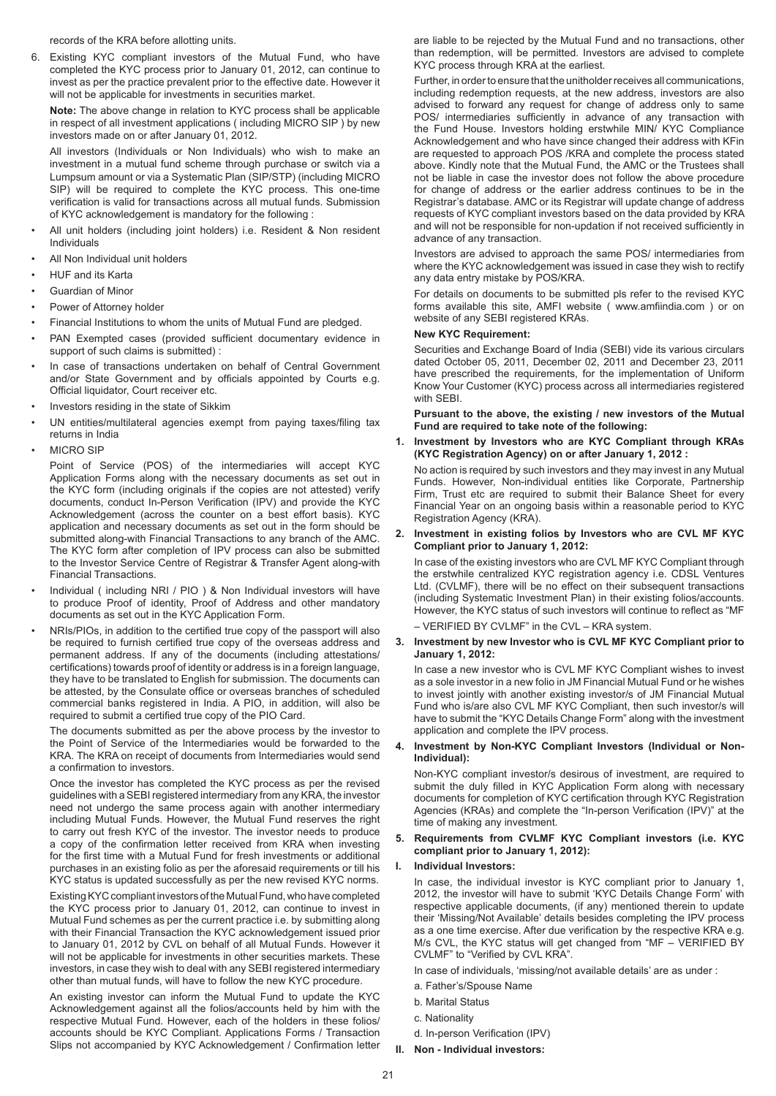records of the KRA before allotting units.

6. Existing KYC compliant investors of the Mutual Fund, who have completed the KYC process prior to January 01, 2012, can continue to invest as per the practice prevalent prior to the effective date. However it will not be applicable for investments in securities market.

**Note:** The above change in relation to KYC process shall be applicable in respect of all investment applications ( including MICRO SIP ) by new investors made on or after January 01, 2012.

All investors (Individuals or Non Individuals) who wish to make an investment in a mutual fund scheme through purchase or switch via a Lumpsum amount or via a Systematic Plan (SIP/STP) (including MICRO SIP) will be required to complete the KYC process. This one-time verification is valid for transactions across all mutual funds. Submission of KYC acknowledgement is mandatory for the following :

- All unit holders (including joint holders) i.e. Resident & Non resident Individuals
- All Non Individual unit holders
- HUF and its Karta
- Guardian of Minor
- Power of Attorney holder
- Financial Institutions to whom the units of Mutual Fund are pledged.
- PAN Exempted cases (provided sufficient documentary evidence in support of such claims is submitted) :
- In case of transactions undertaken on behalf of Central Government and/or State Government and by officials appointed by Courts e.g. Official liquidator, Court receiver etc.
- Investors residing in the state of Sikkim
- UN entities/multilateral agencies exempt from paying taxes/filing tax returns in India
- **MICRO SIP**

Point of Service (POS) of the intermediaries will accept KYC Application Forms along with the necessary documents as set out in the KYC form (including originals if the copies are not attested) verify documents, conduct In-Person Verification (IPV) and provide the KYC Acknowledgement (across the counter on a best effort basis). KYC application and necessary documents as set out in the form should be submitted along-with Financial Transactions to any branch of the AMC. The KYC form after completion of IPV process can also be submitted to the Investor Service Centre of Registrar & Transfer Agent along-with Financial Transactions.

- Individual ( including NRI / PIO ) & Non Individual investors will have to produce Proof of identity, Proof of Address and other mandatory documents as set out in the KYC Application Form.
- NRIs/PIOs, in addition to the certified true copy of the passport will also be required to furnish certified true copy of the overseas address and permanent address. If any of the documents (including attestations/ certifications) towards proof of identity or address is in a foreign language, they have to be translated to English for submission. The documents can be attested, by the Consulate office or overseas branches of scheduled commercial banks registered in India. A PIO, in addition, will also be required to submit a certified true copy of the PIO Card.

The documents submitted as per the above process by the investor to the Point of Service of the Intermediaries would be forwarded to the KRA. The KRA on receipt of documents from Intermediaries would send a confirmation to investors.

Once the investor has completed the KYC process as per the revised guidelines with a SEBI registered intermediary from any KRA, the investor need not undergo the same process again with another intermediary including Mutual Funds. However, the Mutual Fund reserves the right to carry out fresh KYC of the investor. The investor needs to produce a copy of the confirmation letter received from KRA when investing for the first time with a Mutual Fund for fresh investments or additional purchases in an existing folio as per the aforesaid requirements or till his KYC status is updated successfully as per the new revised KYC norms.

Existing KYC compliant investors of the Mutual Fund, who have completed the KYC process prior to January 01, 2012, can continue to invest in Mutual Fund schemes as per the current practice i.e. by submitting along with their Financial Transaction the KYC acknowledgement issued prior to January 01, 2012 by CVL on behalf of all Mutual Funds. However it will not be applicable for investments in other securities markets. These investors, in case they wish to deal with any SEBI registered intermediary other than mutual funds, will have to follow the new KYC procedure.

An existing investor can inform the Mutual Fund to update the KYC Acknowledgement against all the folios/accounts held by him with the respective Mutual Fund. However, each of the holders in these folios/ accounts should be KYC Compliant. Applications Forms / Transaction Slips not accompanied by KYC Acknowledgement / Confirmation letter are liable to be rejected by the Mutual Fund and no transactions, other than redemption, will be permitted. Investors are advised to complete KYC process through KRA at the earliest.

Further, in order to ensure that the unitholder receives all communications, including redemption requests, at the new address, investors are also advised to forward any request for change of address only to same POS/ intermediaries sufficiently in advance of any transaction with the Fund House. Investors holding erstwhile MIN/ KYC Compliance Acknowledgement and who have since changed their address with KFin are requested to approach POS /KRA and complete the process stated above. Kindly note that the Mutual Fund, the AMC or the Trustees shall not be liable in case the investor does not follow the above procedure for change of address or the earlier address continues to be in the Registrar's database. AMC or its Registrar will update change of address requests of KYC compliant investors based on the data provided by KRA and will not be responsible for non-updation if not received sufficiently in advance of any transaction.

Investors are advised to approach the same POS/ intermediaries from where the KYC acknowledgement was issued in case they wish to rectify any data entry mistake by POS/KRA.

For details on documents to be submitted pls refer to the revised KYC forms available this site, AMFI website ( www.amfiindia.com ) or on website of any SEBI registered KRAs.

# **New KYC Requirement:**

Securities and Exchange Board of India (SEBI) vide its various circulars dated October 05, 2011, December 02, 2011 and December 23, 2011 have prescribed the requirements, for the implementation of Uniform Know Your Customer (KYC) process across all intermediaries registered with SFBI.

**Pursuant to the above, the existing / new investors of the Mutual Fund are required to take note of the following:**

**1. Investment by Investors who are KYC Compliant through KRAs (KYC Registration Agency) on or after January 1, 2012 :**

No action is required by such investors and they may invest in any Mutual Funds. However, Non-individual entities like Corporate, Partnership Firm, Trust etc are required to submit their Balance Sheet for every Financial Year on an ongoing basis within a reasonable period to KYC Registration Agency (KRA).

# **2. Investment in existing folios by Investors who are CVL MF KYC Compliant prior to January 1, 2012:**

In case of the existing investors who are CVL MF KYC Compliant through the erstwhile centralized KYC registration agency i.e. CDSL Ventures Ltd. (CVLMF), there will be no effect on their subsequent transactions (including Systematic Investment Plan) in their existing folios/accounts. However, the KYC status of such investors will continue to reflect as "MF

– VERIFIED BY CVLMF" in the CVL – KRA system.

#### **3. Investment by new Investor who is CVL MF KYC Compliant prior to January 1, 2012:**

In case a new investor who is CVL MF KYC Compliant wishes to invest as a sole investor in a new folio in JM Financial Mutual Fund or he wishes to invest jointly with another existing investor/s of JM Financial Mutual Fund who is/are also CVL MF KYC Compliant, then such investor/s will have to submit the "KYC Details Change Form" along with the investment application and complete the IPV process.

# **4. Investment by Non-KYC Compliant Investors (Individual or Non-Individual):**

Non-KYC compliant investor/s desirous of investment, are required to submit the duly filled in KYC Application Form along with necessary documents for completion of KYC certification through KYC Registration Agencies (KRAs) and complete the "In-person Verification (IPV)" at the time of making any investment.

# **5. Requirements from CVLMF KYC Compliant investors (i.e. KYC compliant prior to January 1, 2012):**

**I. Individual Investors:**

In case, the individual investor is KYC compliant prior to January 1, 2012, the investor will have to submit 'KYC Details Change Form' with respective applicable documents, (if any) mentioned therein to update their 'Missing/Not Available' details besides completing the IPV process as a one time exercise. After due verification by the respective KRA e.g. M/s CVL, the KYC status will get changed from "MF – VERIFIED BY CVLMF" to "Verified by CVL KRA".

In case of individuals, 'missing/not available details' are as under :

- a. Father's/Spouse Name
- b. Marital Status
- c. Nationality
- d. In-person Verification (IPV)
- **II. Non Individual investors:**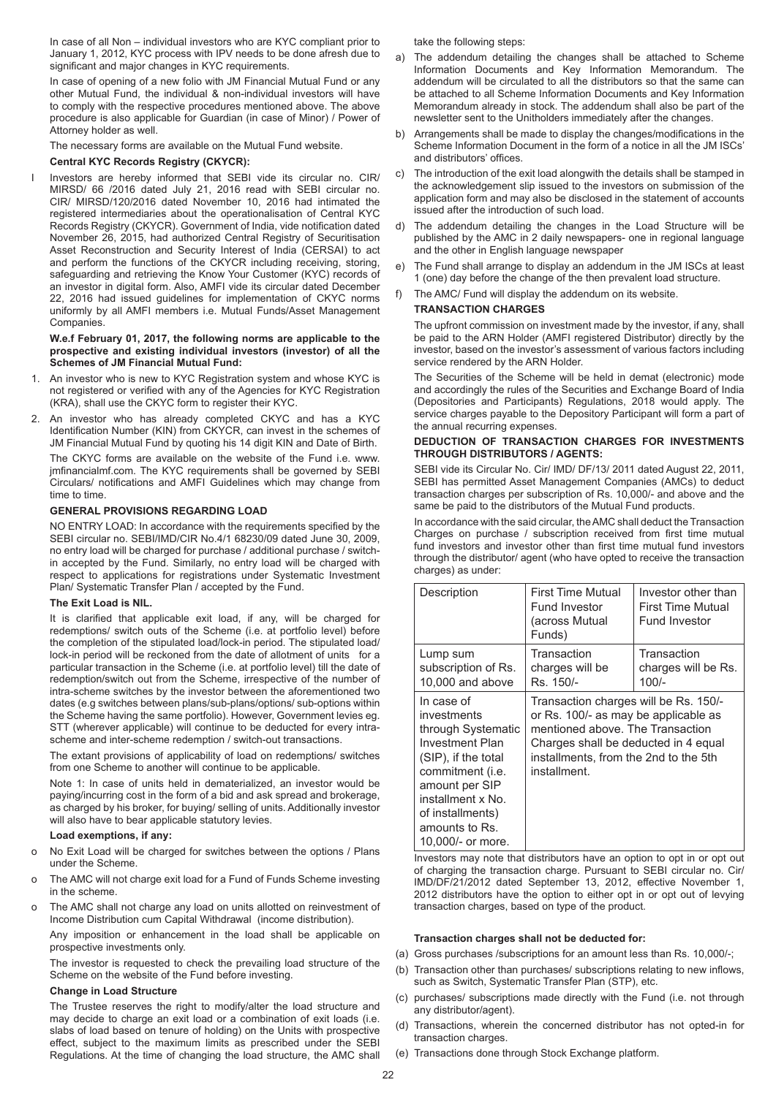In case of all Non – individual investors who are KYC compliant prior to January 1, 2012, KYC process with IPV needs to be done afresh due to significant and major changes in KYC requirements.

In case of opening of a new folio with JM Financial Mutual Fund or any other Mutual Fund, the individual & non-individual investors will have to comply with the respective procedures mentioned above. The above procedure is also applicable for Guardian (in case of Minor) / Power of Attorney holder as well.

The necessary forms are available on the Mutual Fund website.

# **Central KYC Records Registry (CKYCR):**

I Investors are hereby informed that SEBI vide its circular no. CIR/ MIRSD/ 66 /2016 dated July 21, 2016 read with SEBI circular no. CIR/ MIRSD/120/2016 dated November 10, 2016 had intimated the registered intermediaries about the operationalisation of Central KYC Records Registry (CKYCR). Government of India, vide notification dated November 26, 2015, had authorized Central Registry of Securitisation Asset Reconstruction and Security Interest of India (CERSAI) to act and perform the functions of the CKYCR including receiving, storing, safeguarding and retrieving the Know Your Customer (KYC) records of an investor in digital form. Also, AMFI vide its circular dated December 22, 2016 had issued guidelines for implementation of CKYC norms uniformly by all AMFI members i.e. Mutual Funds/Asset Management Companies.

#### **W.e.f February 01, 2017, the following norms are applicable to the prospective and existing individual investors (investor) of all the Schemes of JM Financial Mutual Fund:**

- 1. An investor who is new to KYC Registration system and whose KYC is not registered or verified with any of the Agencies for KYC Registration (KRA), shall use the CKYC form to register their KYC.
- 2. An investor who has already completed CKYC and has a KYC Identification Number (KIN) from CKYCR, can invest in the schemes of JM Financial Mutual Fund by quoting his 14 digit KIN and Date of Birth.

The CKYC forms are available on the website of the Fund i.e. www. jmfinancialmf.com. The KYC requirements shall be governed by SEBI Circulars/ notifications and AMFI Guidelines which may change from time to time.

# **GENERAL PROVISIONS REGARDING LOAD**

NO ENTRY LOAD: In accordance with the requirements specified by the SEBI circular no. SEBI/IMD/CIR No.4/1 68230/09 dated June 30, 2009, no entry load will be charged for purchase / additional purchase / switchin accepted by the Fund. Similarly, no entry load will be charged with respect to applications for registrations under Systematic Investment Plan/ Systematic Transfer Plan / accepted by the Fund.

#### **The Exit Load is NIL.**

It is clarified that applicable exit load, if any, will be charged for redemptions/ switch outs of the Scheme (i.e. at portfolio level) before the completion of the stipulated load/lock-in period. The stipulated load/ lock-in period will be reckoned from the date of allotment of units for a particular transaction in the Scheme (i.e. at portfolio level) till the date of redemption/switch out from the Scheme, irrespective of the number of intra-scheme switches by the investor between the aforementioned two dates (e.g switches between plans/sub-plans/options/ sub-options within the Scheme having the same portfolio). However, Government levies eg. STT (wherever applicable) will continue to be deducted for every intrascheme and inter-scheme redemption / switch-out transactions.

The extant provisions of applicability of load on redemptions/ switches from one Scheme to another will continue to be applicable.

Note 1: In case of units held in dematerialized, an investor would be paying/incurring cost in the form of a bid and ask spread and brokerage, as charged by his broker, for buying/ selling of units. Additionally investor will also have to bear applicable statutory levies.

#### **Load exemptions, if any:**

- o No Exit Load will be charged for switches between the options / Plans under the Scheme.
- The AMC will not charge exit load for a Fund of Funds Scheme investing in the scheme.
- o The AMC shall not charge any load on units allotted on reinvestment of Income Distribution cum Capital Withdrawal (income distribution).

Any imposition or enhancement in the load shall be applicable on prospective investments only.

The investor is requested to check the prevailing load structure of the Scheme on the website of the Fund before investing.

# **Change in Load Structure**

The Trustee reserves the right to modify/alter the load structure and may decide to charge an exit load or a combination of exit loads (i.e. slabs of load based on tenure of holding) on the Units with prospective effect, subject to the maximum limits as prescribed under the SEBI Regulations. At the time of changing the load structure, the AMC shall

take the following steps:

- a) The addendum detailing the changes shall be attached to Scheme Information Documents and Key Information Memorandum. The addendum will be circulated to all the distributors so that the same can be attached to all Scheme Information Documents and Key Information Memorandum already in stock. The addendum shall also be part of the newsletter sent to the Unitholders immediately after the changes.
- b) Arrangements shall be made to display the changes/modifications in the Scheme Information Document in the form of a notice in all the JM ISCs' and distributors' offices.
- c) The introduction of the exit load alongwith the details shall be stamped in the acknowledgement slip issued to the investors on submission of the application form and may also be disclosed in the statement of accounts issued after the introduction of such load.
- d) The addendum detailing the changes in the Load Structure will be published by the AMC in 2 daily newspapers- one in regional language and the other in English language newspaper
- The Fund shall arrange to display an addendum in the JM ISCs at least 1 (one) day before the change of the then prevalent load structure.
- f) The AMC/ Fund will display the addendum on its website.

# **TRANSACTION CHARGES**

The upfront commission on investment made by the investor, if any, shall be paid to the ARN Holder (AMFI registered Distributor) directly by the investor, based on the investor's assessment of various factors including service rendered by the ARN Holder.

The Securities of the Scheme will be held in demat (electronic) mode and accordingly the rules of the Securities and Exchange Board of India (Depositories and Participants) Regulations, 2018 would apply. The service charges payable to the Depository Participant will form a part of the annual recurring expenses.

# **DEDUCTION OF TRANSACTION CHARGES FOR INVESTMENTS THROUGH DISTRIBUTORS / AGENTS:**

SEBI vide its Circular No. Cir/ IMD/ DF/13/ 2011 dated August 22, 2011, SEBI has permitted Asset Management Companies (AMCs) to deduct transaction charges per subscription of Rs. 10,000/- and above and the same be paid to the distributors of the Mutual Fund products.

In accordance with the said circular, the AMC shall deduct the Transaction Charges on purchase / subscription received from first time mutual fund investors and investor other than first time mutual fund investors through the distributor/ agent (who have opted to receive the transaction charges) as under:

| Description                                                                                                                                                                                                            | First Time Mutual<br><b>Fund Investor</b><br>(across Mutual<br>Funds)                                                                                                                                              | Investor other than<br><b>First Time Mutual</b><br>Fund Investor |  |  |
|------------------------------------------------------------------------------------------------------------------------------------------------------------------------------------------------------------------------|--------------------------------------------------------------------------------------------------------------------------------------------------------------------------------------------------------------------|------------------------------------------------------------------|--|--|
| Lump sum<br>subscription of Rs.<br>10,000 and above                                                                                                                                                                    | Transaction<br>charges will be<br>Rs. 150/-                                                                                                                                                                        | Transaction<br>charges will be Rs.<br>$100/-$                    |  |  |
| In case of<br>investments<br>through Systematic<br><b>Investment Plan</b><br>(SIP), if the total<br>commitment (i.e.<br>amount per SIP<br>installment x No.<br>of installments)<br>amounts to Rs.<br>10,000/- or more. | Transaction charges will be Rs. 150/-<br>or Rs. 100/- as may be applicable as<br>mentioned above. The Transaction<br>Charges shall be deducted in 4 equal<br>installments, from the 2nd to the 5th<br>installment. |                                                                  |  |  |

Investors may note that distributors have an option to opt in or opt out of charging the transaction charge. Pursuant to SEBI circular no. Cir/ IMD/DF/21/2012 dated September 13, 2012, effective November 1, 2012 distributors have the option to either opt in or opt out of levying transaction charges, based on type of the product.

#### **Transaction charges shall not be deducted for:**

- (a) Gross purchases /subscriptions for an amount less than Rs. 10,000/-;
- (b) Transaction other than purchases/ subscriptions relating to new inflows, such as Switch, Systematic Transfer Plan (STP), etc.
- (c) purchases/ subscriptions made directly with the Fund (i.e. not through any distributor/agent).
- (d) Transactions, wherein the concerned distributor has not opted-in for transaction charges.
- (e) Transactions done through Stock Exchange platform.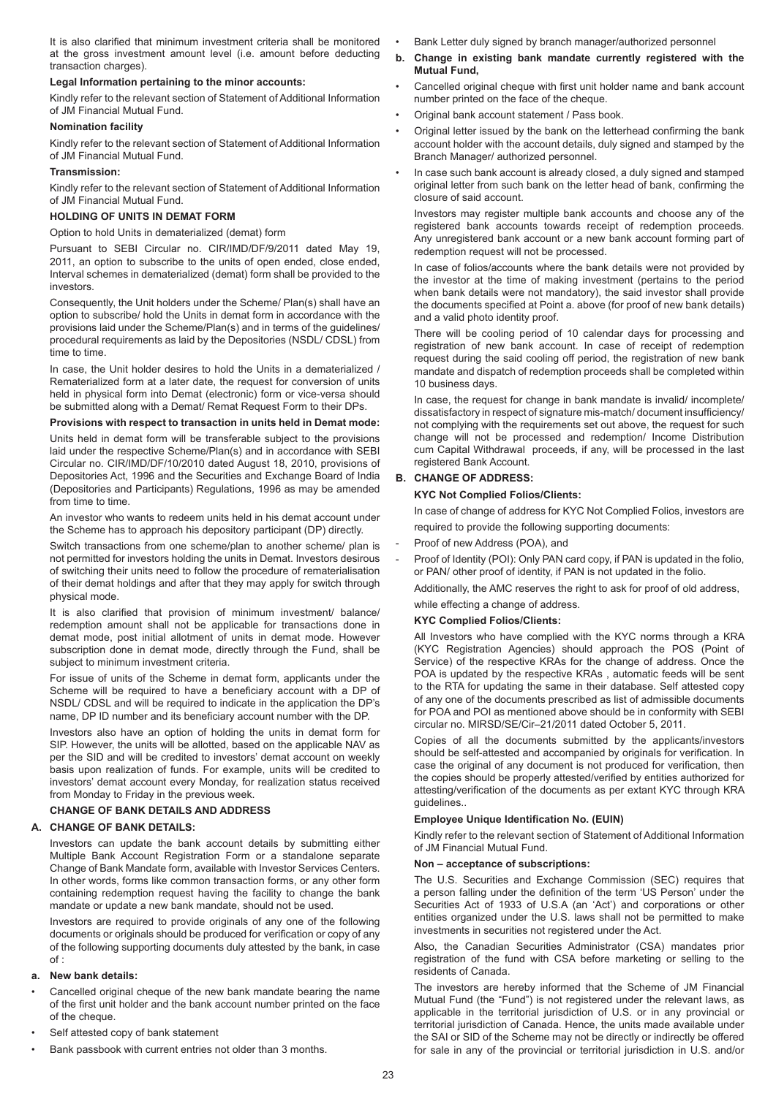It is also clarified that minimum investment criteria shall be monitored at the gross investment amount level (i.e. amount before deducting transaction charges).

# **Legal Information pertaining to the minor accounts:**

Kindly refer to the relevant section of Statement of Additional Information of JM Financial Mutual Fund.

# **Nomination facility**

Kindly refer to the relevant section of Statement of Additional Information of JM Financial Mutual Fund.

# **Transmission:**

Kindly refer to the relevant section of Statement of Additional Information of JM Financial Mutual Fund.

# **HOLDING OF UNITS IN DEMAT FORM**

Option to hold Units in dematerialized (demat) form

Pursuant to SEBI Circular no. CIR/IMD/DF/9/2011 dated May 19, 2011, an option to subscribe to the units of open ended, close ended, Interval schemes in dematerialized (demat) form shall be provided to the investors.

Consequently, the Unit holders under the Scheme/ Plan(s) shall have an option to subscribe/ hold the Units in demat form in accordance with the provisions laid under the Scheme/Plan(s) and in terms of the guidelines/ procedural requirements as laid by the Depositories (NSDL/ CDSL) from time to time.

In case, the Unit holder desires to hold the Units in a dematerialized / Rematerialized form at a later date, the request for conversion of units held in physical form into Demat (electronic) form or vice-versa should be submitted along with a Demat/ Remat Request Form to their DPs.

# **Provisions with respect to transaction in units held in Demat mode:**

Units held in demat form will be transferable subject to the provisions laid under the respective Scheme/Plan(s) and in accordance with SEBI Circular no. CIR/IMD/DF/10/2010 dated August 18, 2010, provisions of Depositories Act, 1996 and the Securities and Exchange Board of India (Depositories and Participants) Regulations, 1996 as may be amended from time to time.

An investor who wants to redeem units held in his demat account under the Scheme has to approach his depository participant (DP) directly.

Switch transactions from one scheme/plan to another scheme/ plan is not permitted for investors holding the units in Demat. Investors desirous of switching their units need to follow the procedure of rematerialisation of their demat holdings and after that they may apply for switch through physical mode.

It is also clarified that provision of minimum investment/ balance/ redemption amount shall not be applicable for transactions done in demat mode, post initial allotment of units in demat mode. However subscription done in demat mode, directly through the Fund, shall be subject to minimum investment criteria.

For issue of units of the Scheme in demat form, applicants under the Scheme will be required to have a beneficiary account with a DP of NSDL/ CDSL and will be required to indicate in the application the DP's name, DP ID number and its beneficiary account number with the DP.

Investors also have an option of holding the units in demat form for SIP. However, the units will be allotted, based on the applicable NAV as per the SID and will be credited to investors' demat account on weekly basis upon realization of funds. For example, units will be credited to investors' demat account every Monday, for realization status received from Monday to Friday in the previous week.

# **CHANGE OF BANK DETAILS AND ADDRESS**

# **A. CHANGE OF BANK DETAILS:**

Investors can update the bank account details by submitting either Multiple Bank Account Registration Form or a standalone separate Change of Bank Mandate form, available with Investor Services Centers. In other words, forms like common transaction forms, or any other form containing redemption request having the facility to change the bank mandate or update a new bank mandate, should not be used.

Investors are required to provide originals of any one of the following documents or originals should be produced for verification or copy of any of the following supporting documents duly attested by the bank, in case of :

# **a. New bank details:**

- Cancelled original cheque of the new bank mandate bearing the name of the first unit holder and the bank account number printed on the face of the cheque.
- Self attested copy of bank statement
- Bank passbook with current entries not older than 3 months.
- Bank Letter duly signed by branch manager/authorized personnel
- **b. Change in existing bank mandate currently registered with the Mutual Fund,**
- Cancelled original cheque with first unit holder name and bank account number printed on the face of the cheque.
- Original bank account statement / Pass book.
- Original letter issued by the bank on the letterhead confirming the bank account holder with the account details, duly signed and stamped by the Branch Manager/ authorized personnel.
- In case such bank account is already closed, a duly signed and stamped original letter from such bank on the letter head of bank, confirming the closure of said account.

Investors may register multiple bank accounts and choose any of the registered bank accounts towards receipt of redemption proceeds. Any unregistered bank account or a new bank account forming part of redemption request will not be processed.

In case of folios/accounts where the bank details were not provided by the investor at the time of making investment (pertains to the period when bank details were not mandatory), the said investor shall provide the documents specified at Point a. above (for proof of new bank details) and a valid photo identity proof.

There will be cooling period of 10 calendar days for processing and registration of new bank account. In case of receipt of redemption request during the said cooling off period, the registration of new bank mandate and dispatch of redemption proceeds shall be completed within 10 business days.

In case, the request for change in bank mandate is invalid/ incomplete/ dissatisfactory in respect of signature mis-match/ document insufficiency/ not complying with the requirements set out above, the request for such change will not be processed and redemption/ Income Distribution cum Capital Withdrawal proceeds, if any, will be processed in the last registered Bank Account.

# **B. CHANGE OF ADDRESS:**

# **KYC Not Complied Folios/Clients:**

In case of change of address for KYC Not Complied Folios, investors are required to provide the following supporting documents:

- Proof of new Address (POA), and
- Proof of Identity (POI): Only PAN card copy, if PAN is updated in the folio, or PAN/ other proof of identity, if PAN is not updated in the folio.

Additionally, the AMC reserves the right to ask for proof of old address, while effecting a change of address.

# **KYC Complied Folios/Clients:**

All Investors who have complied with the KYC norms through a KRA (KYC Registration Agencies) should approach the POS (Point of Service) of the respective KRAs for the change of address. Once the POA is updated by the respective KRAs , automatic feeds will be sent to the RTA for updating the same in their database. Self attested copy of any one of the documents prescribed as list of admissible documents for POA and POI as mentioned above should be in conformity with SEBI circular no. MIRSD/SE/Cir–21/2011 dated October 5, 2011.

Copies of all the documents submitted by the applicants/investors should be self-attested and accompanied by originals for verification. In case the original of any document is not produced for verification, then the copies should be properly attested/verified by entities authorized for attesting/verification of the documents as per extant KYC through KRA guidelines..

# **Employee Unique Identification No. (EUIN)**

Kindly refer to the relevant section of Statement of Additional Information of JM Financial Mutual Fund.

# **Non – acceptance of subscriptions:**

The U.S. Securities and Exchange Commission (SEC) requires that a person falling under the definition of the term 'US Person' under the Securities Act of 1933 of U.S.A (an 'Act') and corporations or other entities organized under the U.S. laws shall not be permitted to make investments in securities not registered under the Act.

Also, the Canadian Securities Administrator (CSA) mandates prior registration of the fund with CSA before marketing or selling to the residents of Canada.

The investors are hereby informed that the Scheme of JM Financial Mutual Fund (the "Fund") is not registered under the relevant laws, as applicable in the territorial jurisdiction of U.S. or in any provincial or territorial jurisdiction of Canada. Hence, the units made available under the SAI or SID of the Scheme may not be directly or indirectly be offered for sale in any of the provincial or territorial jurisdiction in U.S. and/or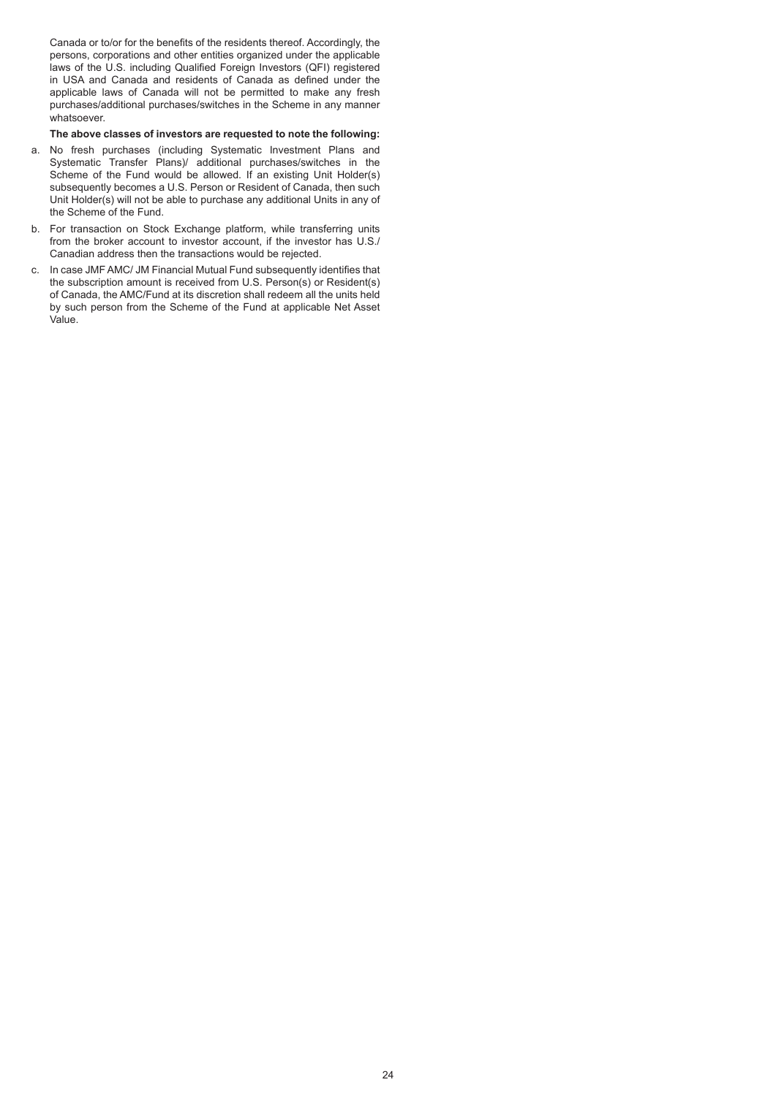Canada or to/or for the benefits of the residents thereof. Accordingly, the persons, corporations and other entities organized under the applicable laws of the U.S. including Qualified Foreign Investors (QFI) registered in USA and Canada and residents of Canada as defined under the applicable laws of Canada will not be permitted to make any fresh purchases/additional purchases/switches in the Scheme in any manner whatsoever.

# **The above classes of investors are requested to note the following:**

- a. No fresh purchases (including Systematic Investment Plans and Systematic Transfer Plans)/ additional purchases/switches in the Scheme of the Fund would be allowed. If an existing Unit Holder(s) subsequently becomes a U.S. Person or Resident of Canada, then such Unit Holder(s) will not be able to purchase any additional Units in any of the Scheme of the Fund.
- b. For transaction on Stock Exchange platform, while transferring units from the broker account to investor account, if the investor has U.S./ Canadian address then the transactions would be rejected.
- c. In case JMF AMC/ JM Financial Mutual Fund subsequently identifies that the subscription amount is received from U.S. Person(s) or Resident(s) of Canada, the AMC/Fund at its discretion shall redeem all the units held by such person from the Scheme of the Fund at applicable Net Asset Value.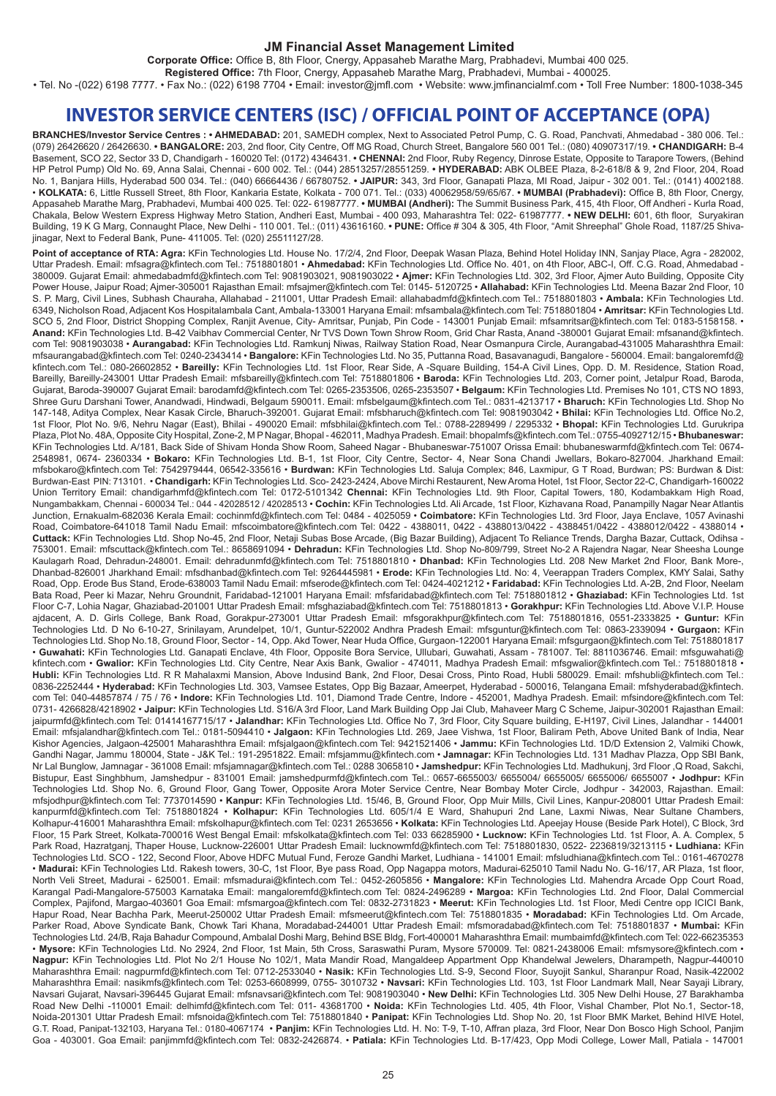# **JM Financial Asset Management Limited**

**Corporate Office:** Office B, 8th Floor, Cnergy, Appasaheb Marathe Marg, Prabhadevi, Mumbai 400 025.

**Registered Office:** 7th Floor, Cnergy, Appasaheb Marathe Marg, Prabhadevi, Mumbai - 400025.

• Tel. No -(022) 6198 7777. • Fax No.: (022) 6198 7704 • Email: investor@jmfl.com • Website: www.jmfinancialmf.com • Toll Free Number: 1800-1038-345

# **INVESTOR SERVICE CENTERS (ISC) / OFFICIAL POINT OF ACCEPTANCE (OPA)**

**BRANCHES/Investor Service Centres : • AHMEDABAD:** 201, SAMEDH complex, Next to Associated Petrol Pump, C. G. Road, Panchvati, Ahmedabad - 380 006. Tel.: (079) 26426620 / 26426630. **• BANGALORE:** 203, 2nd floor, City Centre, Off MG Road, Church Street, Bangalore 560 001 Tel.: (080) 40907317/19. **• CHANDIGARH:** B-4 Basement, SCO 22, Sector 33 D, Chandigarh - 160020 Tel: (0172) 4346431. **• CHENNAI:** 2nd Floor, Ruby Regency, Dinrose Estate, Opposite to Tarapore Towers, (Behind HP Petrol Pump) Old No. 69, Anna Salai, Chennai - 600 002. Tel.: (044) 28513257/28551259. **• HYDERABAD:** ABK OLBEE Plaza, 8-2-618/8 & 9, 2nd Floor, 204, Road No. 1, Banjara Hills, Hyderabad 500 034. Tel.: (040) 66664436 / 66780752. **• JAIPUR:** 343, 3rd Floor, Ganapati Plaza, MI Road, Jaipur - 302 001. Tel.: (0141) 4002188. • **KOLKATA:** 6, Little Russell Street, 8th Floor, Kankaria Estate, Kolkata - 700 071. Tel.: (033) 40062958/59/65/67. **• MUMBAI (Prabhadevi):** Office B, 8th Floor, Cnergy, Appasaheb Marathe Marg, Prabhadevi, Mumbai 400 025. Tel: 022- 61987777. **• MUMBAI (Andheri):** The Summit Business Park, 415, 4th Floor, Off Andheri - Kurla Road, Chakala, Below Western Express Highway Metro Station, Andheri East, Mumbai - 400 093, Maharashtra Tel: 022- 61987777. **• NEW DELHI:** 601, 6th floor, Suryakiran Building, 19 K G Marg, Connaught Place, New Delhi - 110 001. Tel.: (011) 43616160. **• PUNE:** Office # 304 & 305, 4th Floor, "Amit Shreephal" Ghole Road, 1187/25 Shivajinagar, Next to Federal Bank, Pune- 411005. Tel: (020) 25511127/28.

Point of acceptance of RTA: Agra: KFin Technologies Ltd. House No. 17/2/4, 2nd Floor, Deepak Wasan Plaza, Behind Hotel Holiday INN, Sanjay Place, Agra - 282002, Uttar Pradesh. Email: mfsagra@kfintech.com Tel.: 7518801801 • **Ahmedabad:** KFin Technologies Ltd. Office No. 401, on 4th Floor, ABC-I, Off. C.G. Road, Ahmedabad - 380009. Gujarat Email: ahmedabadmfd@kfintech.com Tel: 9081903021, 9081903022 • **Ajmer:** KFin Technologies Ltd. 302, 3rd Floor, Ajmer Auto Building, Opposite City Power House, Jaipur Road; Ajmer-305001 Rajasthan Email: mfsajmer@kfintech.com Tel: 0145- 5120725 • **Allahabad:** KFin Technologies Ltd. Meena Bazar 2nd Floor, 10 S. P. Marg, Civil Lines, Subhash Chauraha, Allahabad - 211001, Uttar Pradesh Email: allahabadmfd@kfintech.com Tel.: 7518801803 • **Ambala:** KFin Technologies Ltd. 6349, Nicholson Road, Adjacent Kos Hospitalambala Cant, Ambala-133001 Haryana Email: mfsambala@kfintech.com Tel: 7518801804 • **Amritsar:** KFin Technologies Ltd. SCO 5, 2nd Floor, District Shopping Complex, Ranjit Avenue, City- Amritsar, Punjab, Pin Code - 143001 Punjab Email: mfsamritsar@kfintech.com Tel: 0183-5158158. • **Anand:** KFin Technologies Ltd. B-42 Vaibhav Commercial Center, Nr TVS Down Town Shrow Room, Grid Char Rasta, Anand -380001 Gujarat Email: mfsanand@kfintech. com Tel: 9081903038 • **Aurangabad:** KFin Technologies Ltd. Ramkunj Niwas, Railway Station Road, Near Osmanpura Circle, Aurangabad-431005 Maharashthra Email: mfsaurangabad@kfintech.com Tel: 0240-2343414 • **Bangalore:** KFin Technologies Ltd. No 35, Puttanna Road, Basavanagudi, Bangalore - 560004. Email: bangaloremfd@ kfintech.com Tel.: 080-26602852 • **Bareilly:** KFin Technologies Ltd. 1st Floor, Rear Side, A -Square Building, 154-A Civil Lines, Opp. D. M. Residence, Station Road, Bareilly, Bareilly-243001 Uttar Pradesh Email: mfsbareilly@kfintech.com Tel: 7518801806 • **Baroda:** KFin Technologies Ltd. 203, Corner point, Jetalpur Road, Baroda, Gujarat, Baroda-390007 Gujarat Email: barodamfd@kfintech.com Tel: 0265-2353506, 0265-2353507 • **Belgaum:** KFin Technologies Ltd. Premises No 101, CTS NO 1893, Shree Guru Darshani Tower, Anandwadi, Hindwadi, Belgaum 590011. Email: mfsbelgaum@kfintech.com Tel.: 0831-4213717 • **Bharuch:** KFin Technologies Ltd. Shop No 147-148, Aditya Complex, Near Kasak Circle, Bharuch-392001. Gujarat Email: mfsbharuch@kfintech.com Tel: 9081903042 • **Bhilai:** KFin Technologies Ltd. Office No.2, 1st Floor, Plot No. 9/6, Nehru Nagar (East), Bhilai - 490020 Email: mfsbhilai@kfintech.com Tel.: 0788-2289499 / 2295332 • **Bhopal:** KFin Technologies Ltd. Gurukripa Plaza, Plot No. 48A, Opposite City Hospital, Zone-2, M P Nagar, Bhopal - 462011, Madhya Pradesh. Email: bhopalmfs@kfintech.com Tel.: 0755-4092712/15 • **Bhubaneswar:**  KFin Technologies Ltd. A/181, Back Side of Shivam Honda Show Room, Saheed Nagar - Bhubaneswar-751007 Orissa Email: bhubaneswarmfd@kfintech.com Tel: 0674- 2548981, 0674- 2360334 • **Bokaro:** KFin Technologies Ltd. B-1, 1st Floor, City Centre, Sector- 4, Near Sona Chandi Jwellars, Bokaro-827004. Jharkhand Email: mfsbokaro@kfintech.com Tel: 7542979444, 06542-335616 • **Burdwan:** KFin Technologies Ltd. Saluja Complex; 846, Laxmipur, G T Road, Burdwan; PS: Burdwan & Dist: Burdwan-East PIN: 713101. • **Chandigarh:** KFin Technologies Ltd. Sco- 2423-2424, Above Mirchi Restaurent, New Aroma Hotel, 1st Floor, Sector 22-C, Chandigarh-160022 Union Territory Email: chandigarhmfd@kfintech.com Tel: 0172-5101342 **Chennai:** KFin Technologies Ltd. 9th Floor, Capital Towers, 180, Kodambakkam High Road, Nungambakkam, Chennai - 600034 Tel.: 044 - 42028512 / 42028513 • **Cochin:** KFin Technologies Ltd. Ali Arcade, 1st Floor, Kizhavana Road, Panampilly Nagar Near Atlantis Junction, Ernakualm-682036 Kerala Email: cochinmfd@kfintech.com Tel: 0484 - 4025059 • **Coimbatore:** KFin Technologies Ltd. 3rd Floor, Jaya Enclave, 1057 Avinashi Road, Coimbatore-641018 Tamil Nadu Email: mfscoimbatore@kfintech.com Tel: 0422 - 4388011, 0422 - 4388013/0422 - 4388451/0422 - 4388012/0422 - 4388014 • **Cuttack:** KFin Technologies Ltd. Shop No-45, 2nd Floor, Netaji Subas Bose Arcade, (Big Bazar Building), Adjacent To Reliance Trends, Dargha Bazar, Cuttack, Odihsa - 753001. Email: mfscuttack@kfintech.com Tel.: 8658691094 • **Dehradun:** KFin Technologies Ltd. Shop No-809/799, Street No-2 A Rajendra Nagar, Near Sheesha Lounge Kaulagarh Road, Dehradun-248001. Email: dehradunmfd@kfintech.com Tel: 7518801810 • **Dhanbad:** KFin Technologies Ltd. 208 New Market 2nd Floor, Bank More-, Dhanbad-826001 Jharkhand Email: mfsdhanbad@kfintech.com Tel: 9264445981 • **Erode:** KFin Technologies Ltd. No: 4, Veerappan Traders Complex, KMY Salai, Sathy Road, Opp. Erode Bus Stand, Erode-638003 Tamil Nadu Email: mfserode@kfintech.com Tel: 0424-4021212 • **Faridabad:** KFin Technologies Ltd. A-2B, 2nd Floor, Neelam Bata Road, Peer ki Mazar, Nehru Groundnit, Faridabad-121001 Haryana Email: mfsfaridabad@kfintech.com Tel: 7518801812 • **Ghaziabad:** KFin Technologies Ltd. 1st Floor C-7, Lohia Nagar, Ghaziabad-201001 Uttar Pradesh Email: mfsghaziabad@kfintech.com Tel: 7518801813 • **Gorakhpur:** KFin Technologies Ltd. Above V.I.P. House ajdacent, A. D. Girls College, Bank Road, Gorakpur-273001 Uttar Pradesh Email: mfsgorakhpur@kfintech.com Tel: 7518801816, 0551-2333825 • **Guntur:** KFin Technologies Ltd. D No 6-10-27, Srinilayam, Arundelpet, 10/1, Guntur-522002 Andhra Pradesh Email: mfsguntur@kfintech.com Tel: 0863-2339094 • **Gurgaon:** KFin Technologies Ltd. Shop No.18, Ground Floor, Sector - 14, Opp. Akd Tower, Near Huda Office, Gurgaon-122001 Haryana Email: mfsgurgaon@kfintech.com Tel: 7518801817 • **Guwahati:** KFin Technologies Ltd. Ganapati Enclave, 4th Floor, Opposite Bora Service, Ullubari, Guwahati, Assam - 781007. Tel: 8811036746. Email: mfsguwahati@ kfintech.com • Gwalior: KFin Technologies Ltd. City Centre, Near Axis Bank, Gwalior - 474011, Madhya Pradesh Email: mfsgwalior@kfintech.com Tel.: 7518801818 • **Hubli:** KFin Technologies Ltd. R R Mahalaxmi Mansion, Above Indusind Bank, 2nd Floor, Desai Cross, Pinto Road, Hubli 580029. Email: mfshubli@kfintech.com Tel.: 0836-2252444 • **Hyderabad:** KFin Technologies Ltd. 303, Vamsee Estates, Opp Big Bazaar, Ameerpet, Hyderabad - 500016, Telangana Email: mfshyderabad@kfintech. com Tel: 040-44857874 / 75 / 76 • **Indore:** KFin Technologies Ltd. 101, Diamond Trade Centre, Indore - 452001, Madhya Pradesh. Email: mfsindore@kfintech.com Tel: 0731- 4266828/4218902 • **Jaipur:** KFin Technologies Ltd. S16/A 3rd Floor, Land Mark Building Opp Jai Club, Mahaveer Marg C Scheme, Jaipur-302001 Rajasthan Email: jaipurmfd@kfintech.com Tel: 01414167715/17 • **Jalandhar:** KFin Technologies Ltd. Office No 7, 3rd Floor, City Square building, E-H197, Civil Lines, Jalandhar - 144001 Email: mfsjalandhar@kfintech.com Tel.: 0181-5094410 • **Jalgaon:** KFin Technologies Ltd. 269, Jaee Vishwa, 1st Floor, Baliram Peth, Above United Bank of India, Near Kishor Agencies, Jalgaon-425001 Maharashthra Email: mfsjalgaon@kfintech.com Tel: 9421521406 • **Jammu:** KFin Technologies Ltd. 1D/D Extension 2, Valmiki Chowk, Gandhi Nagar, Jammu 180004, State - J&K Tel.: 191-2951822. Email: mfsjammu@kfintech.com • **Jamnagar:** KFin Technologies Ltd. 131 Madhav Plazza, Opp SBI Bank, Nr Lal Bunglow, Jamnagar - 361008 Email: mfsjamnagar@kfintech.com Tel.: 0288 3065810 • **Jamshedpur:** KFin Technologies Ltd. Madhukunj, 3rd Floor ,Q Road, Sakchi, Bistupur, East Singhbhum, Jamshedpur - 831001 Email: jamshedpurmfd@kfintech.com Tel.: 0657-6655003/ 6655004/ 6655005/ 6655006/ 6655007 • **Jodhpur:** KFin Technologies Ltd. Shop No. 6, Ground Floor, Gang Tower, Opposite Arora Moter Service Centre, Near Bombay Moter Circle, Jodhpur - 342003, Rajasthan. Email: mfsjodhpur@kfintech.com Tel: 7737014590 • **Kanpur:** KFin Technologies Ltd. 15/46, B, Ground Floor, Opp Muir Mills, Civil Lines, Kanpur-208001 Uttar Pradesh Email: kanpurmfd@kfintech.com Tel: 7518801824 • **Kolhapur:** KFin Technologies Ltd. 605/1/4 E Ward, Shahupuri 2nd Lane, Laxmi Niwas, Near Sultane Chambers, Kolhapur-416001 Maharashthra Email: mfskolhapur@kfintech.com Tel: 0231 2653656 • **Kolkata:** KFin Technologies Ltd. Apeejay House (Beside Park Hotel), C Block, 3rd Floor, 15 Park Street, Kolkata-700016 West Bengal Email: mfskolkata@kfintech.com Tel: 033 66285900 • **Lucknow:** KFin Technologies Ltd. 1st Floor, A. A. Complex, 5 Park Road, Hazratganj, Thaper House, Lucknow-226001 Uttar Pradesh Email: lucknowmfd@kfintech.com Tel: 7518801830, 0522- 2236819/3213115 • **Ludhiana:** KFin Technologies Ltd. SCO - 122, Second Floor, Above HDFC Mutual Fund, Feroze Gandhi Market, Ludhiana - 141001 Email: mfsludhiana@kfintech.com Tel.: 0161-4670278 • **Madurai:** KFin Technologies Ltd. Rakesh towers, 30-C, 1st Floor, Bye pass Road, Opp Nagappa motors, Madurai-625010 Tamil Nadu No. G-16/17, AR Plaza, 1st floor, North Veli Street, Madurai - 625001. Email: mfsmadurai@kfintech.com Tel.: 0452-2605856 • **Mangalore:** KFin Technologies Ltd. Mahendra Arcade Opp Court Road, Karangal Padi-Mangalore-575003 Karnataka Email: mangaloremfd@kfintech.com Tel: 0824-2496289 • **Margoa:** KFin Technologies Ltd. 2nd Floor, Dalal Commercial Complex, Pajifond, Margao-403601 Goa Email: mfsmargoa@kfintech.com Tel: 0832-2731823 • **Meerut:** KFin Technologies Ltd. 1st Floor, Medi Centre opp ICICI Bank, Hapur Road, Near Bachha Park, Meerut-250002 Uttar Pradesh Email: mfsmeerut@kfintech.com Tel: 7518801835 • **Moradabad:** KFin Technologies Ltd. Om Arcade, Parker Road, Above Syndicate Bank, Chowk Tari Khana, Moradabad-244001 Uttar Pradesh Email: mfsmoradabad@kfintech.com Tel: 7518801837 • **Mumbai:** KFin Technologies Ltd. 24/B, Raja Bahadur Compound, Ambalal Doshi Marg, Behind BSE Bldg, Fort-400001 Maharashthra Email: mumbaimfd@kfintech.com Tel: 022-66235353 • **Mysore:** KFin Technologies Ltd. No 2924, 2nd Floor, 1st Main, 5th Cross, Saraswathi Puram, Mysore 570009. Tel: 0821-2438006 Email: mfsmysore@kfintech.com • **Nagpur:** KFin Technologies Ltd. Plot No 2/1 House No 102/1, Mata Mandir Road, Mangaldeep Appartment Opp Khandelwal Jewelers, Dharampeth, Nagpur-440010 Maharashthra Email: nagpurmfd@kfintech.com Tel: 0712-2533040 • **Nasik:** KFin Technologies Ltd. S-9, Second Floor, Suyojit Sankul, Sharanpur Road, Nasik-422002 Maharashthra Email: nasikmfs@kfintech.com Tel: 0253-6608999, 0755- 3010732 • **Navsari:** KFin Technologies Ltd. 103, 1st Floor Landmark Mall, Near Sayaji Library, Navsari Gujarat, Navsari-396445 Gujarat Email: mfsnavsari@kfintech.com Tel: 9081903040 • **New Delhi:** KFin Technologies Ltd. 305 New Delhi House, 27 Barakhamba Road New Delhi -110001 Email: delhimfd@kfintech.com Tel: 011- 43681700 • **Noida:** KFin Technologies Ltd. 405, 4th Floor, Vishal Chamber, Plot No.1, Sector-18, Noida-201301 Uttar Pradesh Email: mfsnoida@kfintech.com Tel: 7518801840 • **Panipat:** KFin Technologies Ltd. Shop No. 20, 1st Floor BMK Market, Behind HIVE Hotel, G.T. Road, Panipat-132103, Haryana Tel.: 0180-4067174 • **Panjim:** KFin Technologies Ltd. H. No: T-9, T-10, Affran plaza, 3rd Floor, Near Don Bosco High School, Panjim Goa - 403001. Goa Email: panjimmfd@kfintech.com Tel: 0832-2426874. • **Patiala:** KFin Technologies Ltd. B-17/423, Opp Modi College, Lower Mall, Patiala - 147001